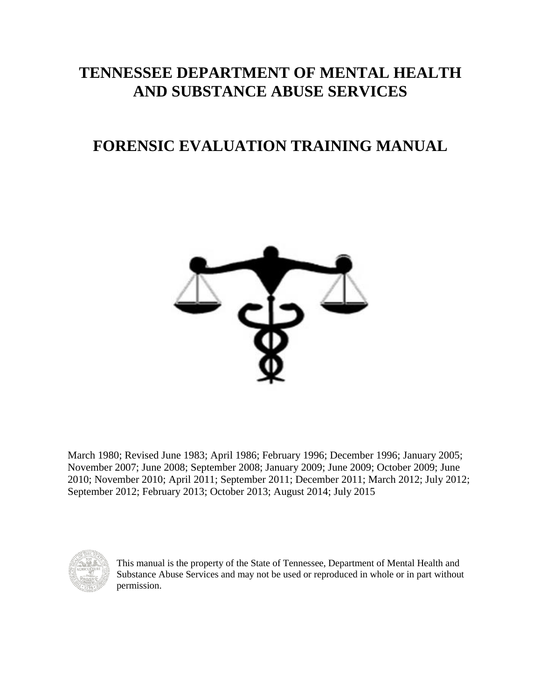## **TENNESSEE DEPARTMENT OF MENTAL HEALTH AND SUBSTANCE ABUSE SERVICES**

## **FORENSIC EVALUATION TRAINING MANUAL**



March 1980; Revised June 1983; April 1986; February 1996; December 1996; January 2005; November 2007; June 2008; September 2008; January 2009; June 2009; October 2009; June 2010; November 2010; April 2011; September 2011; December 2011; March 2012; July 2012; September 2012; February 2013; October 2013; August 2014; July 2015



This manual is the property of the State of Tennessee, Department of Mental Health and Substance Abuse Services and may not be used or reproduced in whole or in part without permission.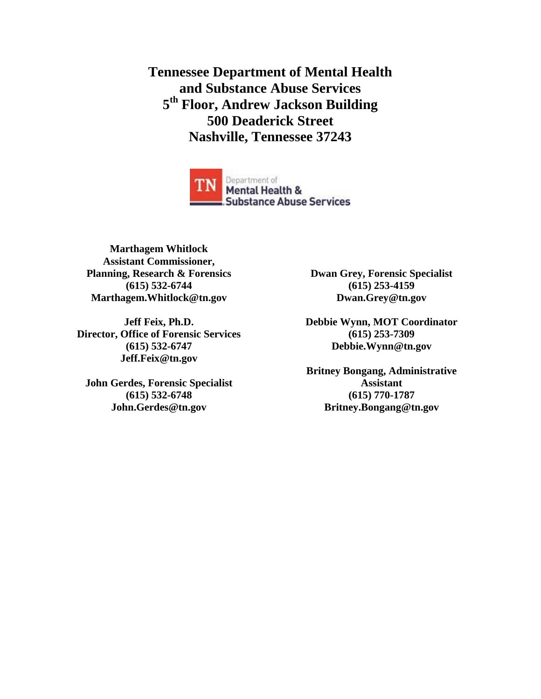**Tennessee Department of Mental Health and Substance Abuse Services 5 th Floor, Andrew Jackson Building 500 Deaderick Street Nashville, Tennessee 37243**



**Marthagem Whitlock Assistant Commissioner, Planning, Research & Forensics (615) 532-6744 Marthagem.Whitlock@tn.gov**

**Jeff Feix, Ph.D. Director, Office of Forensic Services (615) 532-6747 Jeff.Feix@tn.gov**

**John Gerdes, Forensic Specialist (615) 532-6748 John.Gerdes@tn.gov**

**Dwan Grey, Forensic Specialist (615) 253-4159 Dwan.Grey@tn.gov**

**Debbie Wynn, MOT Coordinator (615) 253-7309 Debbie.Wynn@tn.gov**

**Britney Bongang, Administrative Assistant (615) 770-1787 Britney.Bongang@tn.gov**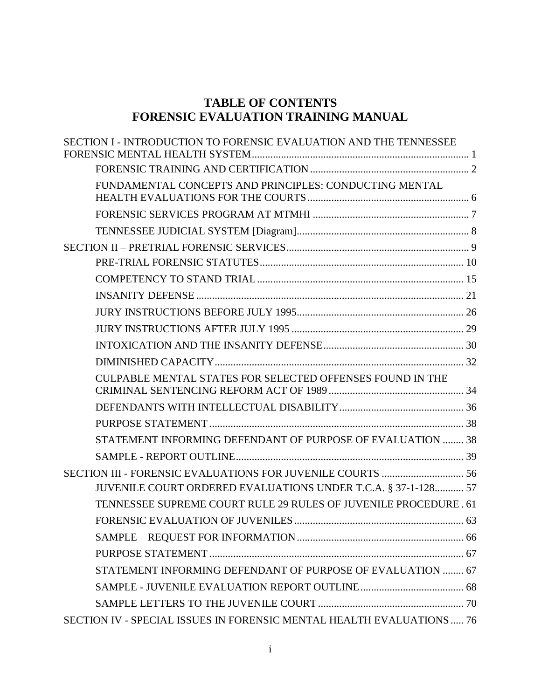## **TABLE OF CONTENTS FORENSIC EVALUATION TRAINING MANUAL**

| SECTION I - INTRODUCTION TO FORENSIC EVALUATION AND THE TENNESSEE     |  |
|-----------------------------------------------------------------------|--|
|                                                                       |  |
| FUNDAMENTAL CONCEPTS AND PRINCIPLES: CONDUCTING MENTAL                |  |
|                                                                       |  |
|                                                                       |  |
|                                                                       |  |
|                                                                       |  |
|                                                                       |  |
|                                                                       |  |
|                                                                       |  |
|                                                                       |  |
|                                                                       |  |
|                                                                       |  |
| CULPABLE MENTAL STATES FOR SELECTED OFFENSES FOUND IN THE             |  |
|                                                                       |  |
|                                                                       |  |
| STATEMENT INFORMING DEFENDANT OF PURPOSE OF EVALUATION  38            |  |
|                                                                       |  |
| SECTION III - FORENSIC EVALUATIONS FOR JUVENILE COURTS  56            |  |
| JUVENILE COURT ORDERED EVALUATIONS UNDER T.C.A. § 37-1-128 57         |  |
| TENNESSEE SUPREME COURT RULE 29 RULES OF JUVENILE PROCEDURE. 61       |  |
|                                                                       |  |
|                                                                       |  |
|                                                                       |  |
| STATEMENT INFORMING DEFENDANT OF PURPOSE OF EVALUATION  67            |  |
|                                                                       |  |
|                                                                       |  |
| SECTION IV - SPECIAL ISSUES IN FORENSIC MENTAL HEALTH EVALUATIONS  76 |  |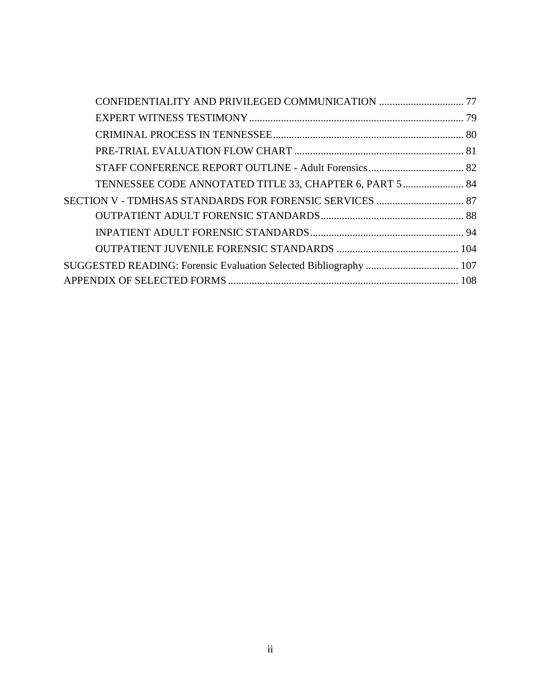| TENNESSEE CODE ANNOTATED TITLE 33, CHAPTER 6, PART 5 84           |  |
|-------------------------------------------------------------------|--|
| SECTION V - TDMHSAS STANDARDS FOR FORENSIC SERVICES  87           |  |
|                                                                   |  |
|                                                                   |  |
|                                                                   |  |
| SUGGESTED READING: Forensic Evaluation Selected Bibliography  107 |  |
|                                                                   |  |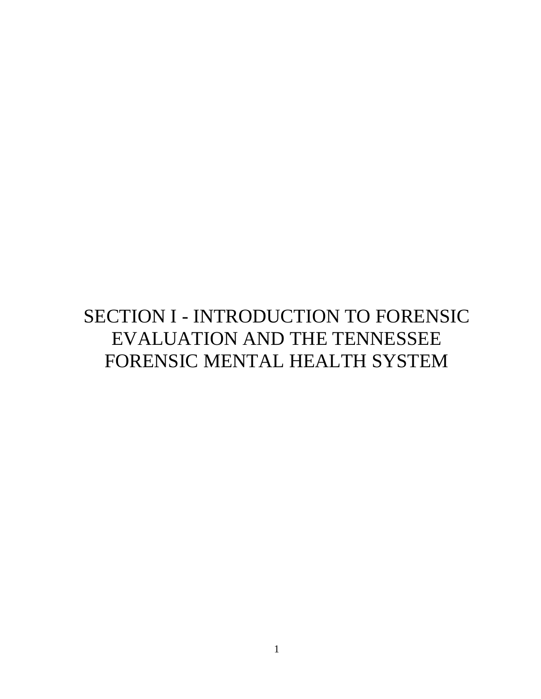# <span id="page-4-0"></span>SECTION I - INTRODUCTION TO FORENSIC EVALUATION AND THE TENNESSEE FORENSIC MENTAL HEALTH SYSTEM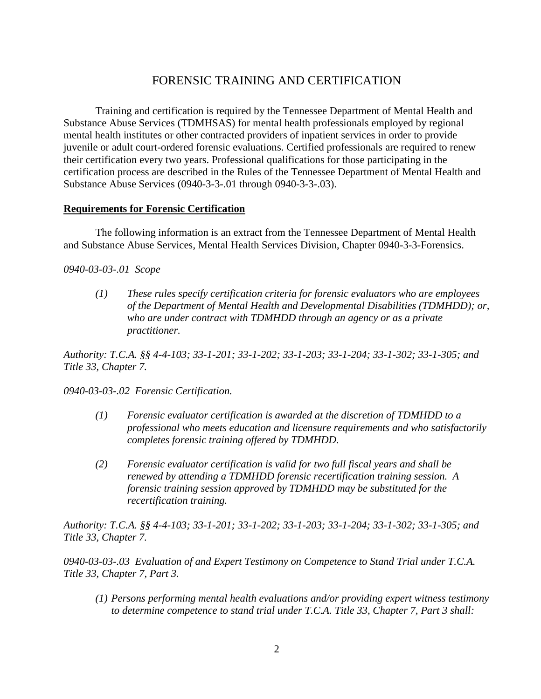## FORENSIC TRAINING AND CERTIFICATION

<span id="page-5-0"></span>Training and certification is required by the Tennessee Department of Mental Health and Substance Abuse Services (TDMHSAS) for mental health professionals employed by regional mental health institutes or other contracted providers of inpatient services in order to provide juvenile or adult court-ordered forensic evaluations. Certified professionals are required to renew their certification every two years. Professional qualifications for those participating in the certification process are described in the Rules of the Tennessee Department of Mental Health and Substance Abuse Services (0940-3-3-.01 through 0940-3-3-.03).

#### **Requirements for Forensic Certification**

The following information is an extract from the Tennessee Department of Mental Health and Substance Abuse Services, Mental Health Services Division, Chapter 0940-3-3-Forensics.

#### *0940-03-03-.01 Scope*

*(1) These rules specify certification criteria for forensic evaluators who are employees of the Department of Mental Health and Developmental Disabilities (TDMHDD); or, who are under contract with TDMHDD through an agency or as a private practitioner.*

*Authority: T.C.A. §§ 4-4-103; 33-1-201; 33-1-202; 33-1-203; 33-1-204; 33-1-302; 33-1-305; and Title 33, Chapter 7.*

*0940-03-03-.02 Forensic Certification.*

- *(1) Forensic evaluator certification is awarded at the discretion of TDMHDD to a professional who meets education and licensure requirements and who satisfactorily completes forensic training offered by TDMHDD.*
- *(2) Forensic evaluator certification is valid for two full fiscal years and shall be renewed by attending a TDMHDD forensic recertification training session. A forensic training session approved by TDMHDD may be substituted for the recertification training.*

*Authority: T.C.A. §§ 4-4-103; 33-1-201; 33-1-202; 33-1-203; 33-1-204; 33-1-302; 33-1-305; and Title 33, Chapter 7.*

*0940-03-03-.03 Evaluation of and Expert Testimony on Competence to Stand Trial under T.C.A. Title 33, Chapter 7, Part 3.*

*(1) Persons performing mental health evaluations and/or providing expert witness testimony to determine competence to stand trial under T.C.A. Title 33, Chapter 7, Part 3 shall:*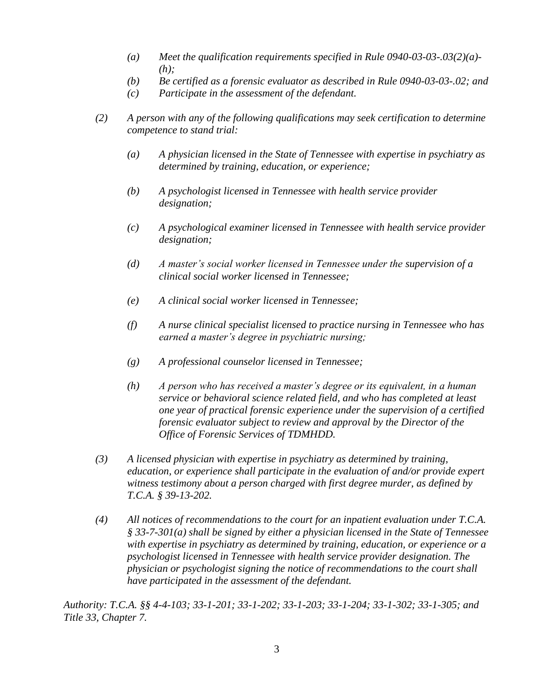- *(a) Meet the qualification requirements specified in Rule 0940-03-03-.03(2)(a)- (h);*
- *(b) Be certified as a forensic evaluator as described in Rule 0940-03-03-.02; and*
- *(c) Participate in the assessment of the defendant.*
- *(2) A person with any of the following qualifications may seek certification to determine competence to stand trial:*
	- *(a) A physician licensed in the State of Tennessee with expertise in psychiatry as determined by training, education, or experience;*
	- *(b) A psychologist licensed in Tennessee with health service provider designation;*
	- *(c) A psychological examiner licensed in Tennessee with health service provider designation;*
	- *(d) A master's social worker licensed in Tennessee under the supervision of a clinical social worker licensed in Tennessee;*
	- *(e) A clinical social worker licensed in Tennessee;*
	- *(f) A nurse clinical specialist licensed to practice nursing in Tennessee who has earned a master's degree in psychiatric nursing;*
	- *(g) A professional counselor licensed in Tennessee;*
	- *(h) A person who has received a master's degree or its equivalent, in a human service or behavioral science related field, and who has completed at least one year of practical forensic experience under the supervision of a certified forensic evaluator subject to review and approval by the Director of the Office of Forensic Services of TDMHDD.*
- *(3) A licensed physician with expertise in psychiatry as determined by training, education, or experience shall participate in the evaluation of and/or provide expert witness testimony about a person charged with first degree murder, as defined by T.C.A. § 39-13-202.*
- *(4) All notices of recommendations to the court for an inpatient evaluation under T.C.A. § 33-7-301(a) shall be signed by either a physician licensed in the State of Tennessee with expertise in psychiatry as determined by training, education, or experience or a psychologist licensed in Tennessee with health service provider designation. The physician or psychologist signing the notice of recommendations to the court shall have participated in the assessment of the defendant.*

*Authority: T.C.A. §§ 4-4-103; 33-1-201; 33-1-202; 33-1-203; 33-1-204; 33-1-302; 33-1-305; and Title 33, Chapter 7.*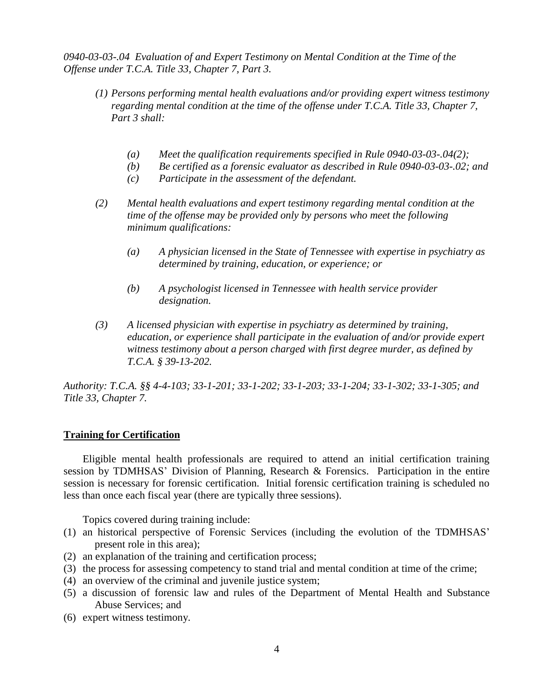*0940-03-03-.04 Evaluation of and Expert Testimony on Mental Condition at the Time of the Offense under T.C.A. Title 33, Chapter 7, Part 3.*

- *(1) Persons performing mental health evaluations and/or providing expert witness testimony regarding mental condition at the time of the offense under T.C.A. Title 33, Chapter 7, Part 3 shall:*
	- *(a) Meet the qualification requirements specified in Rule 0940-03-03-.04(2);*
	- *(b) Be certified as a forensic evaluator as described in Rule 0940-03-03-.02; and*
	- *(c) Participate in the assessment of the defendant.*
- *(2) Mental health evaluations and expert testimony regarding mental condition at the time of the offense may be provided only by persons who meet the following minimum qualifications:*
	- *(a) A physician licensed in the State of Tennessee with expertise in psychiatry as determined by training, education, or experience; or*
	- *(b) A psychologist licensed in Tennessee with health service provider designation.*
- *(3) A licensed physician with expertise in psychiatry as determined by training, education, or experience shall participate in the evaluation of and/or provide expert witness testimony about a person charged with first degree murder, as defined by T.C.A. § 39-13-202.*

*Authority: T.C.A. §§ 4-4-103; 33-1-201; 33-1-202; 33-1-203; 33-1-204; 33-1-302; 33-1-305; and Title 33, Chapter 7.*

#### **Training for Certification**

Eligible mental health professionals are required to attend an initial certification training session by TDMHSAS' Division of Planning, Research & Forensics. Participation in the entire session is necessary for forensic certification. Initial forensic certification training is scheduled no less than once each fiscal year (there are typically three sessions).

Topics covered during training include:

- (1) an historical perspective of Forensic Services (including the evolution of the TDMHSAS' present role in this area);
- (2) an explanation of the training and certification process;
- (3) the process for assessing competency to stand trial and mental condition at time of the crime;
- (4) an overview of the criminal and juvenile justice system;
- (5) a discussion of forensic law and rules of the Department of Mental Health and Substance Abuse Services; and
- (6) expert witness testimony.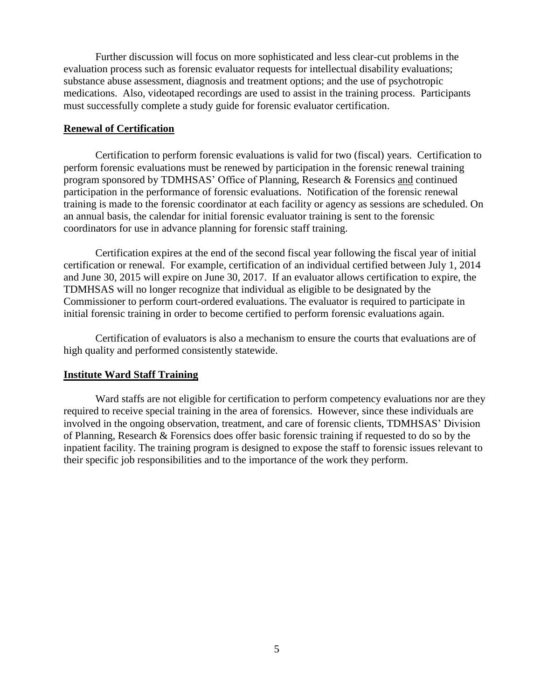Further discussion will focus on more sophisticated and less clear-cut problems in the evaluation process such as forensic evaluator requests for intellectual disability evaluations; substance abuse assessment, diagnosis and treatment options; and the use of psychotropic medications. Also, videotaped recordings are used to assist in the training process. Participants must successfully complete a study guide for forensic evaluator certification.

#### **Renewal of Certification**

Certification to perform forensic evaluations is valid for two (fiscal) years. Certification to perform forensic evaluations must be renewed by participation in the forensic renewal training program sponsored by TDMHSAS' Office of Planning, Research & Forensics and continued participation in the performance of forensic evaluations. Notification of the forensic renewal training is made to the forensic coordinator at each facility or agency as sessions are scheduled. On an annual basis, the calendar for initial forensic evaluator training is sent to the forensic coordinators for use in advance planning for forensic staff training.

Certification expires at the end of the second fiscal year following the fiscal year of initial certification or renewal. For example, certification of an individual certified between July 1, 2014 and June 30, 2015 will expire on June 30, 2017. If an evaluator allows certification to expire, the TDMHSAS will no longer recognize that individual as eligible to be designated by the Commissioner to perform court-ordered evaluations. The evaluator is required to participate in initial forensic training in order to become certified to perform forensic evaluations again.

Certification of evaluators is also a mechanism to ensure the courts that evaluations are of high quality and performed consistently statewide.

#### **Institute Ward Staff Training**

Ward staffs are not eligible for certification to perform competency evaluations nor are they required to receive special training in the area of forensics. However, since these individuals are involved in the ongoing observation, treatment, and care of forensic clients, TDMHSAS' Division of Planning, Research & Forensics does offer basic forensic training if requested to do so by the inpatient facility. The training program is designed to expose the staff to forensic issues relevant to their specific job responsibilities and to the importance of the work they perform.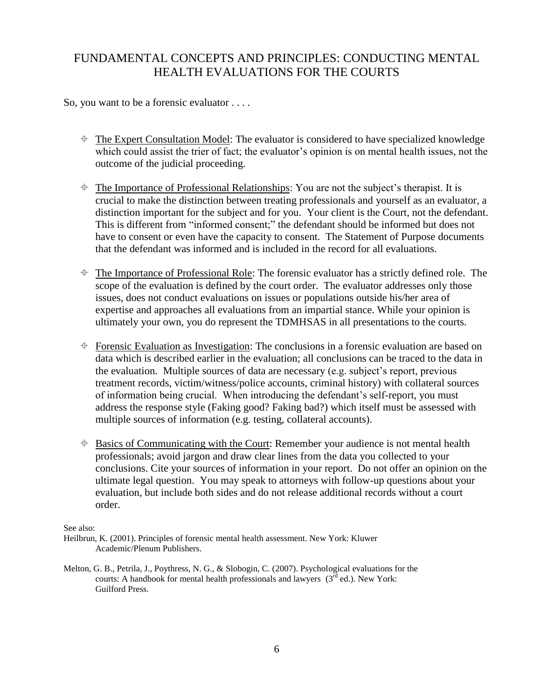## <span id="page-9-0"></span>FUNDAMENTAL CONCEPTS AND PRINCIPLES: CONDUCTING MENTAL HEALTH EVALUATIONS FOR THE COURTS

So, you want to be a forensic evaluator . . . .

- $\triangleq$  The Expert Consultation Model: The evaluator is considered to have specialized knowledge which could assist the trier of fact; the evaluator's opinion is on mental health issues, not the outcome of the judicial proceeding.
- $\triangleq$  The Importance of Professional Relationships: You are not the subject's therapist. It is crucial to make the distinction between treating professionals and yourself as an evaluator, a distinction important for the subject and for you. Your client is the Court, not the defendant. This is different from "informed consent;" the defendant should be informed but does not have to consent or even have the capacity to consent. The Statement of Purpose documents that the defendant was informed and is included in the record for all evaluations.
- $\triangleq$  The Importance of Professional Role: The forensic evaluator has a strictly defined role. The scope of the evaluation is defined by the court order. The evaluator addresses only those issues, does not conduct evaluations on issues or populations outside his/her area of expertise and approaches all evaluations from an impartial stance. While your opinion is ultimately your own, you do represent the TDMHSAS in all presentations to the courts.
- $\triangle$  Forensic Evaluation as Investigation: The conclusions in a forensic evaluation are based on data which is described earlier in the evaluation; all conclusions can be traced to the data in the evaluation. Multiple sources of data are necessary (e.g. subject's report, previous treatment records, victim/witness/police accounts, criminal history) with collateral sources of information being crucial. When introducing the defendant's self-report, you must address the response style (Faking good? Faking bad?) which itself must be assessed with multiple sources of information (e.g. testing, collateral accounts).
- $\triangleq$  Basics of Communicating with the Court: Remember your audience is not mental health professionals; avoid jargon and draw clear lines from the data you collected to your conclusions. Cite your sources of information in your report. Do not offer an opinion on the ultimate legal question. You may speak to attorneys with follow-up questions about your evaluation, but include both sides and do not release additional records without a court order.

#### See also:

Melton, G. B., Petrila, J., Poythress, N. G., & Slobogin, C. (2007). Psychological evaluations for the courts: A handbook for mental health professionals and lawyers  $(3^{rd}$  ed.). New York: Guilford Press.

Heilbrun, K. (2001). Principles of forensic mental health assessment. New York: Kluwer Academic/Plenum Publishers.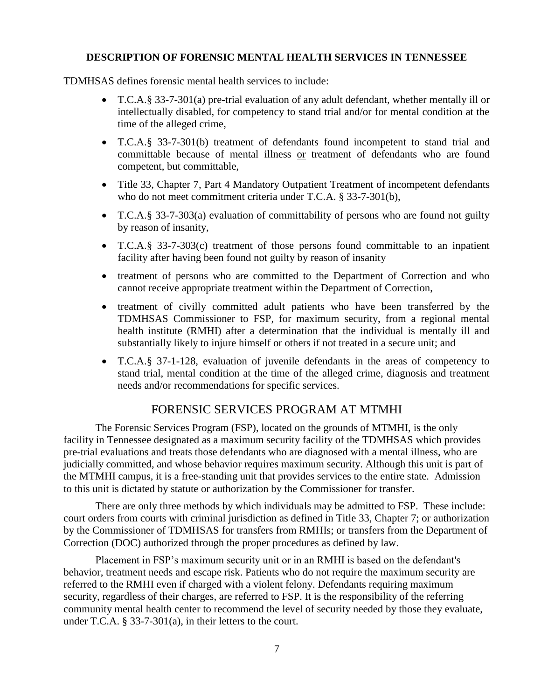#### **DESCRIPTION OF FORENSIC MENTAL HEALTH SERVICES IN TENNESSEE**

#### TDMHSAS defines forensic mental health services to include:

- T.C.A.§ 33-7-301(a) pre-trial evaluation of any adult defendant, whether mentally ill or intellectually disabled, for competency to stand trial and/or for mental condition at the time of the alleged crime,
- T.C.A.§ 33-7-301(b) treatment of defendants found incompetent to stand trial and committable because of mental illness or treatment of defendants who are found competent, but committable,
- Title 33, Chapter 7, Part 4 Mandatory Outpatient Treatment of incompetent defendants who do not meet commitment criteria under T.C.A. § 33-7-301(b),
- T.C.A.§ 33-7-303(a) evaluation of committability of persons who are found not guilty by reason of insanity,
- T.C.A.§ 33-7-303(c) treatment of those persons found committable to an inpatient facility after having been found not guilty by reason of insanity
- treatment of persons who are committed to the Department of Correction and who cannot receive appropriate treatment within the Department of Correction,
- treatment of civilly committed adult patients who have been transferred by the TDMHSAS Commissioner to FSP, for maximum security, from a regional mental health institute (RMHI) after a determination that the individual is mentally ill and substantially likely to injure himself or others if not treated in a secure unit; and
- T.C.A.§ 37-1-128, evaluation of juvenile defendants in the areas of competency to stand trial, mental condition at the time of the alleged crime, diagnosis and treatment needs and/or recommendations for specific services.

## FORENSIC SERVICES PROGRAM AT MTMHI

<span id="page-10-0"></span>The Forensic Services Program (FSP), located on the grounds of MTMHI, is the only facility in Tennessee designated as a maximum security facility of the TDMHSAS which provides pre-trial evaluations and treats those defendants who are diagnosed with a mental illness, who are judicially committed, and whose behavior requires maximum security. Although this unit is part of the MTMHI campus, it is a free-standing unit that provides services to the entire state. Admission to this unit is dictated by statute or authorization by the Commissioner for transfer.

There are only three methods by which individuals may be admitted to FSP. These include: court orders from courts with criminal jurisdiction as defined in Title 33, Chapter 7; or authorization by the Commissioner of TDMHSAS for transfers from RMHIs; or transfers from the Department of Correction (DOC) authorized through the proper procedures as defined by law.

Placement in FSP's maximum security unit or in an RMHI is based on the defendant's behavior, treatment needs and escape risk. Patients who do not require the maximum security are referred to the RMHI even if charged with a violent felony. Defendants requiring maximum security, regardless of their charges, are referred to FSP. It is the responsibility of the referring community mental health center to recommend the level of security needed by those they evaluate, under T.C.A. § 33-7-301(a), in their letters to the court.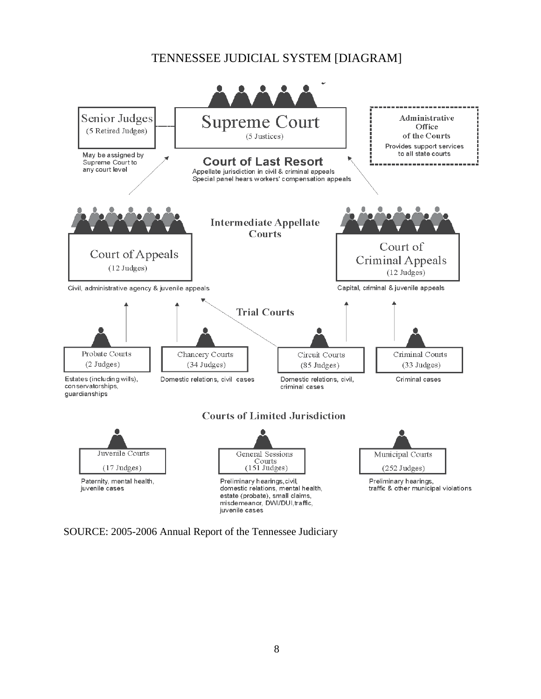## TENNESSEE JUDICIAL SYSTEM [DIAGRAM]

<span id="page-11-0"></span>

SOURCE: 2005-2006 Annual Report of the Tennessee Judiciary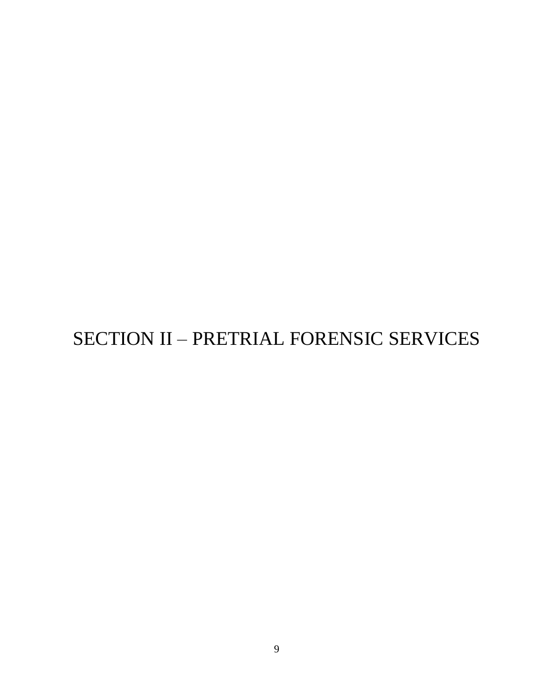# <span id="page-12-0"></span>SECTION II – PRETRIAL FORENSIC SERVICES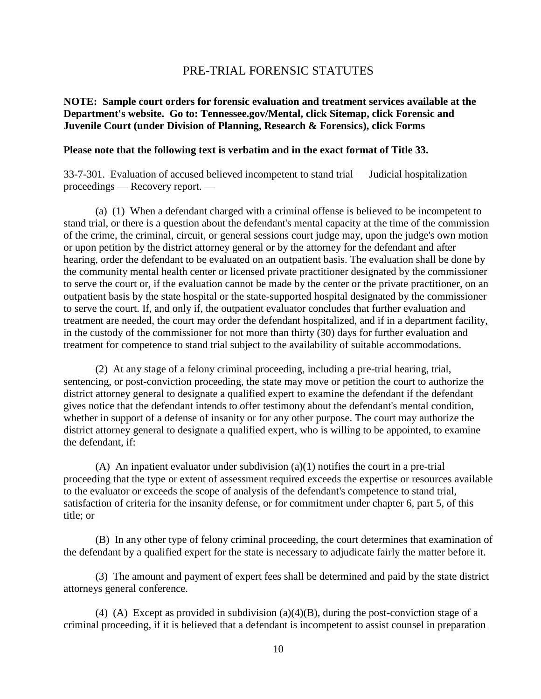#### PRE-TRIAL FORENSIC STATUTES

#### <span id="page-13-0"></span>**NOTE: Sample court orders for forensic evaluation and treatment services available at the Department's website. Go to: Tennessee.gov/Mental, click Sitemap, click Forensic and Juvenile Court (under Division of Planning, Research & Forensics), click Forms**

#### **Please note that the following text is verbatim and in the exact format of Title 33.**

33-7-301. Evaluation of accused believed incompetent to stand trial — Judicial hospitalization proceedings — Recovery report. —

(a) (1) When a defendant charged with a criminal offense is believed to be incompetent to stand trial, or there is a question about the defendant's mental capacity at the time of the commission of the crime, the criminal, circuit, or general sessions court judge may, upon the judge's own motion or upon petition by the district attorney general or by the attorney for the defendant and after hearing, order the defendant to be evaluated on an outpatient basis. The evaluation shall be done by the community mental health center or licensed private practitioner designated by the commissioner to serve the court or, if the evaluation cannot be made by the center or the private practitioner, on an outpatient basis by the state hospital or the state-supported hospital designated by the commissioner to serve the court. If, and only if, the outpatient evaluator concludes that further evaluation and treatment are needed, the court may order the defendant hospitalized, and if in a department facility, in the custody of the commissioner for not more than thirty (30) days for further evaluation and treatment for competence to stand trial subject to the availability of suitable accommodations.

(2) At any stage of a felony criminal proceeding, including a pre-trial hearing, trial, sentencing, or post-conviction proceeding, the state may move or petition the court to authorize the district attorney general to designate a qualified expert to examine the defendant if the defendant gives notice that the defendant intends to offer testimony about the defendant's mental condition, whether in support of a defense of insanity or for any other purpose. The court may authorize the district attorney general to designate a qualified expert, who is willing to be appointed, to examine the defendant, if:

(A) An inpatient evaluator under subdivision  $(a)(1)$  notifies the court in a pre-trial proceeding that the type or extent of assessment required exceeds the expertise or resources available to the evaluator or exceeds the scope of analysis of the defendant's competence to stand trial, satisfaction of criteria for the insanity defense, or for commitment under chapter 6, part 5, of this title; or

(B) In any other type of felony criminal proceeding, the court determines that examination of the defendant by a qualified expert for the state is necessary to adjudicate fairly the matter before it.

(3) The amount and payment of expert fees shall be determined and paid by the state district attorneys general conference.

(4) (A) Except as provided in subdivision (a)(4)(B), during the post-conviction stage of a criminal proceeding, if it is believed that a defendant is incompetent to assist counsel in preparation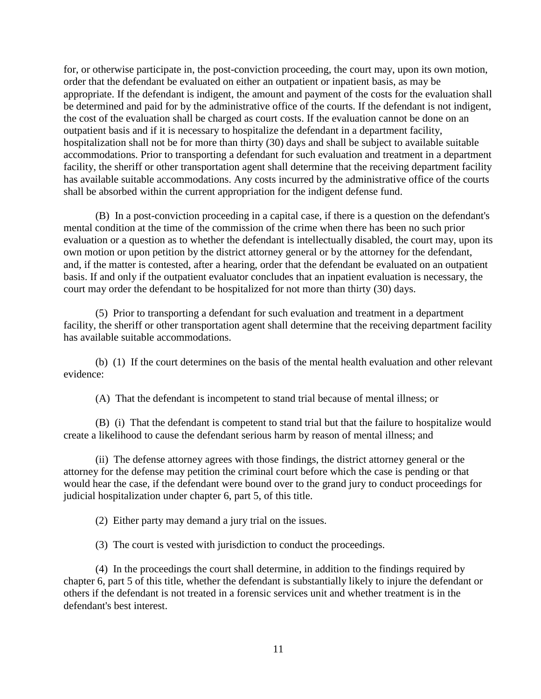for, or otherwise participate in, the post-conviction proceeding, the court may, upon its own motion, order that the defendant be evaluated on either an outpatient or inpatient basis, as may be appropriate. If the defendant is indigent, the amount and payment of the costs for the evaluation shall be determined and paid for by the administrative office of the courts. If the defendant is not indigent, the cost of the evaluation shall be charged as court costs. If the evaluation cannot be done on an outpatient basis and if it is necessary to hospitalize the defendant in a department facility, hospitalization shall not be for more than thirty (30) days and shall be subject to available suitable accommodations. Prior to transporting a defendant for such evaluation and treatment in a department facility, the sheriff or other transportation agent shall determine that the receiving department facility has available suitable accommodations. Any costs incurred by the administrative office of the courts shall be absorbed within the current appropriation for the indigent defense fund.

(B) In a post-conviction proceeding in a capital case, if there is a question on the defendant's mental condition at the time of the commission of the crime when there has been no such prior evaluation or a question as to whether the defendant is intellectually disabled, the court may, upon its own motion or upon petition by the district attorney general or by the attorney for the defendant, and, if the matter is contested, after a hearing, order that the defendant be evaluated on an outpatient basis. If and only if the outpatient evaluator concludes that an inpatient evaluation is necessary, the court may order the defendant to be hospitalized for not more than thirty (30) days.

(5) Prior to transporting a defendant for such evaluation and treatment in a department facility, the sheriff or other transportation agent shall determine that the receiving department facility has available suitable accommodations.

(b) (1) If the court determines on the basis of the mental health evaluation and other relevant evidence:

(A) That the defendant is incompetent to stand trial because of mental illness; or

(B) (i) That the defendant is competent to stand trial but that the failure to hospitalize would create a likelihood to cause the defendant serious harm by reason of mental illness; and

(ii) The defense attorney agrees with those findings, the district attorney general or the attorney for the defense may petition the criminal court before which the case is pending or that would hear the case, if the defendant were bound over to the grand jury to conduct proceedings for judicial hospitalization under chapter 6, part 5, of this title.

(2) Either party may demand a jury trial on the issues.

(3) The court is vested with jurisdiction to conduct the proceedings.

(4) In the proceedings the court shall determine, in addition to the findings required by chapter 6, part 5 of this title, whether the defendant is substantially likely to injure the defendant or others if the defendant is not treated in a forensic services unit and whether treatment is in the defendant's best interest.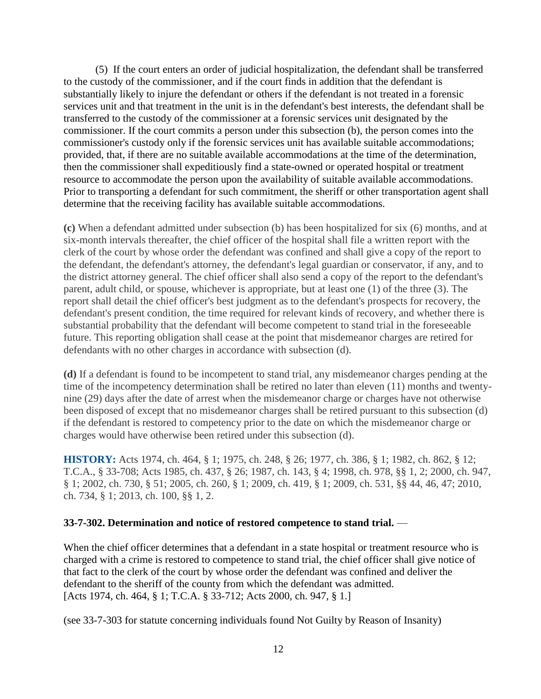(5) If the court enters an order of judicial hospitalization, the defendant shall be transferred to the custody of the commissioner, and if the court finds in addition that the defendant is substantially likely to injure the defendant or others if the defendant is not treated in a forensic services unit and that treatment in the unit is in the defendant's best interests, the defendant shall be transferred to the custody of the commissioner at a forensic services unit designated by the commissioner. If the court commits a person under this subsection (b), the person comes into the commissioner's custody only if the forensic services unit has available suitable accommodations; provided, that, if there are no suitable available accommodations at the time of the determination, then the commissioner shall expeditiously find a state-owned or operated hospital or treatment resource to accommodate the person upon the availability of suitable available accommodations. Prior to transporting a defendant for such commitment, the sheriff or other transportation agent shall determine that the receiving facility has available suitable accommodations.

**(c)** When a defendant admitted under subsection (b) has been hospitalized for six (6) months, and at six-month intervals thereafter, the chief officer of the hospital shall file a written report with the clerk of the court by whose order the defendant was confined and shall give a copy of the report to the defendant, the defendant's attorney, the defendant's legal guardian or conservator, if any, and to the district attorney general. The chief officer shall also send a copy of the report to the defendant's parent, adult child, or spouse, whichever is appropriate, but at least one (1) of the three (3). The report shall detail the chief officer's best judgment as to the defendant's prospects for recovery, the defendant's present condition, the time required for relevant kinds of recovery, and whether there is substantial probability that the defendant will become competent to stand trial in the foreseeable future. This reporting obligation shall cease at the point that misdemeanor charges are retired for defendants with no other charges in accordance with subsection (d).

**(d)** If a defendant is found to be incompetent to stand trial, any misdemeanor charges pending at the time of the incompetency determination shall be retired no later than eleven (11) months and twentynine (29) days after the date of arrest when the misdemeanor charge or charges have not otherwise been disposed of except that no misdemeanor charges shall be retired pursuant to this subsection (d) if the defendant is restored to competency prior to the date on which the misdemeanor charge or charges would have otherwise been retired under this subsection (d).

**HISTORY:** Acts 1974, ch. 464, § 1; 1975, ch. 248, § 26; 1977, ch. 386, § 1; 1982, ch. 862, § 12; T.C.A., § 33-708; Acts 1985, ch. 437, § 26; 1987, ch. 143, § 4; 1998, ch. 978, §§ 1, 2; 2000, ch. 947, § 1; 2002, ch. 730, § 51; 2005, ch. 260, § 1; 2009, ch. 419, § 1; 2009, ch. 531, §§ 44, 46, 47; 2010, ch. 734, § 1; 2013, ch. 100, §§ 1, 2.

#### **33-7-302. Determination and notice of restored competence to stand trial.** —

When the chief officer determines that a defendant in a state hospital or treatment resource who is charged with a crime is restored to competence to stand trial, the chief officer shall give notice of that fact to the clerk of the court by whose order the defendant was confined and deliver the defendant to the sheriff of the county from which the defendant was admitted. [Acts 1974, ch. 464, § 1; T.C.A. § 33-712; Acts 2000, ch. 947, § 1.]

(see 33-7-303 for statute concerning individuals found Not Guilty by Reason of Insanity)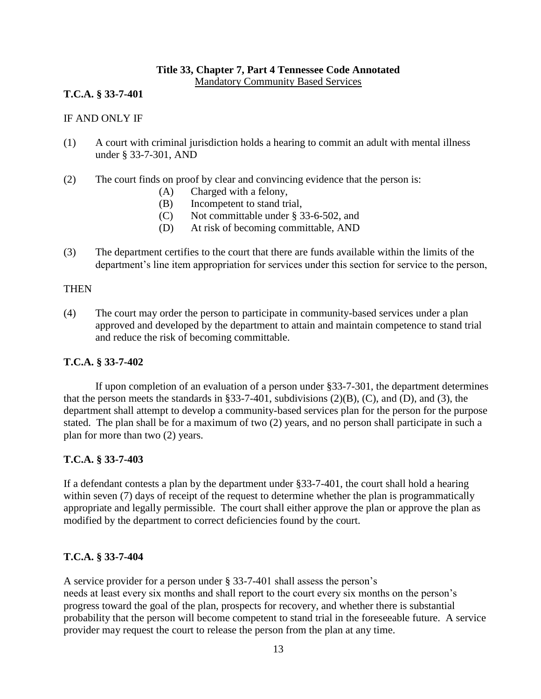## **Title 33, Chapter 7, Part 4 Tennessee Code Annotated**

Mandatory Community Based Services

#### **T.C.A. § 33-7-401**

#### IF AND ONLY IF

- (1) A court with criminal jurisdiction holds a hearing to commit an adult with mental illness under § 33-7-301, AND
- (2) The court finds on proof by clear and convincing evidence that the person is:
	- (A) Charged with a felony,
	- (B) Incompetent to stand trial,
	- (C) Not committable under § 33-6-502, and
	- (D) At risk of becoming committable, AND
- (3) The department certifies to the court that there are funds available within the limits of the department's line item appropriation for services under this section for service to the person,

#### **THEN**

(4) The court may order the person to participate in community-based services under a plan approved and developed by the department to attain and maintain competence to stand trial and reduce the risk of becoming committable.

#### **T.C.A. § 33-7-402**

If upon completion of an evaluation of a person under §33-7-301, the department determines that the person meets the standards in §33-7-401, subdivisions  $(2)(B)$ ,  $(C)$ , and  $(D)$ , and  $(3)$ , the department shall attempt to develop a community-based services plan for the person for the purpose stated. The plan shall be for a maximum of two (2) years, and no person shall participate in such a plan for more than two (2) years.

#### **T.C.A. § 33-7-403**

If a defendant contests a plan by the department under §33-7-401, the court shall hold a hearing within seven (7) days of receipt of the request to determine whether the plan is programmatically appropriate and legally permissible. The court shall either approve the plan or approve the plan as modified by the department to correct deficiencies found by the court.

#### **T.C.A. § 33-7-404**

A service provider for a person under § 33-7-401 shall assess the person's needs at least every six months and shall report to the court every six months on the person's progress toward the goal of the plan, prospects for recovery, and whether there is substantial probability that the person will become competent to stand trial in the foreseeable future. A service provider may request the court to release the person from the plan at any time.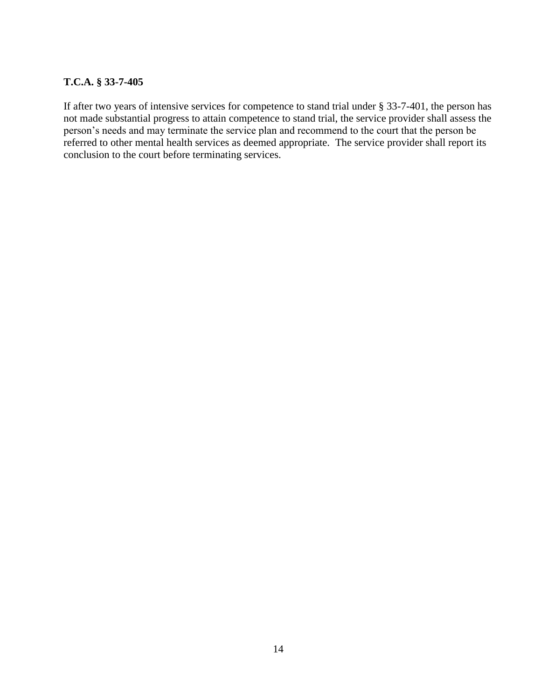#### **T.C.A. § 33-7-405**

If after two years of intensive services for competence to stand trial under § 33-7-401, the person has not made substantial progress to attain competence to stand trial, the service provider shall assess the person's needs and may terminate the service plan and recommend to the court that the person be referred to other mental health services as deemed appropriate. The service provider shall report its conclusion to the court before terminating services.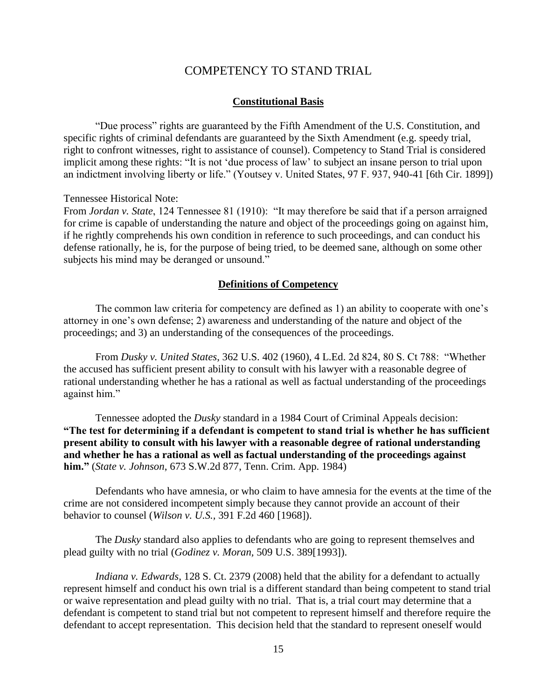#### COMPETENCY TO STAND TRIAL

#### **Constitutional Basis**

<span id="page-18-0"></span>"Due process" rights are guaranteed by the Fifth Amendment of the U.S. Constitution, and specific rights of criminal defendants are guaranteed by the Sixth Amendment (e.g. speedy trial, right to confront witnesses, right to assistance of counsel). Competency to Stand Trial is considered implicit among these rights: "It is not 'due process of law' to subject an insane person to trial upon an indictment involving liberty or life." (Youtsey v. United States, 97 F. 937, 940-41 [6th Cir. 1899])

Tennessee Historical Note:

From *Jordan v. State*, 124 Tennessee 81 (1910): "It may therefore be said that if a person arraigned for crime is capable of understanding the nature and object of the proceedings going on against him, if he rightly comprehends his own condition in reference to such proceedings, and can conduct his defense rationally, he is, for the purpose of being tried, to be deemed sane, although on some other subjects his mind may be deranged or unsound."

#### **Definitions of Competency**

The common law criteria for competency are defined as 1) an ability to cooperate with one's attorney in one's own defense; 2) awareness and understanding of the nature and object of the proceedings; and 3) an understanding of the consequences of the proceedings.

From *Dusky v. United States*, 362 U.S. 402 (1960), 4 L.Ed. 2d 824, 80 S. Ct 788: "Whether the accused has sufficient present ability to consult with his lawyer with a reasonable degree of rational understanding whether he has a rational as well as factual understanding of the proceedings against him."

Tennessee adopted the *Dusky* standard in a 1984 Court of Criminal Appeals decision: **"The test for determining if a defendant is competent to stand trial is whether he has sufficient present ability to consult with his lawyer with a reasonable degree of rational understanding and whether he has a rational as well as factual understanding of the proceedings against him."** (*State v. Johnson*, 673 S.W.2d 877, Tenn. Crim. App. 1984)

Defendants who have amnesia, or who claim to have amnesia for the events at the time of the crime are not considered incompetent simply because they cannot provide an account of their behavior to counsel (*Wilson v. U.S.,* 391 F.2d 460 [1968]).

The *Dusky* standard also applies to defendants who are going to represent themselves and plead guilty with no trial (*Godinez v. Moran,* 509 U.S. 389[1993]).

*Indiana v. Edwards,* 128 S. Ct. 2379 (2008) held that the ability for a defendant to actually represent himself and conduct his own trial is a different standard than being competent to stand trial or waive representation and plead guilty with no trial. That is, a trial court may determine that a defendant is competent to stand trial but not competent to represent himself and therefore require the defendant to accept representation. This decision held that the standard to represent oneself would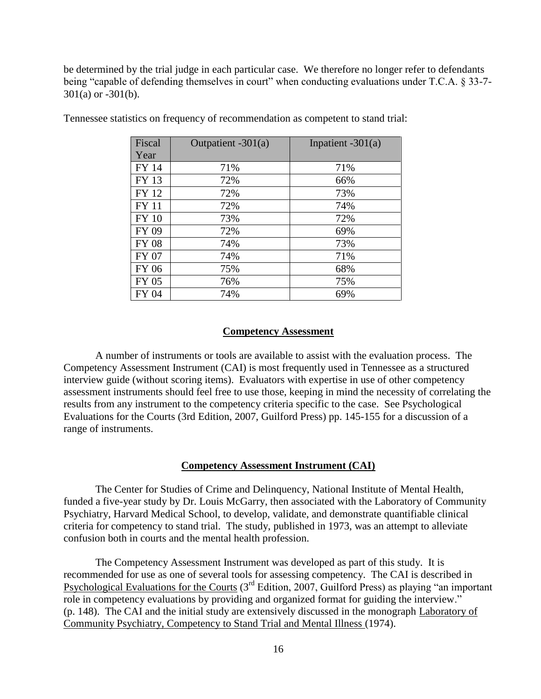be determined by the trial judge in each particular case. We therefore no longer refer to defendants being "capable of defending themselves in court" when conducting evaluations under T.C.A. § 33-7- 301(a) or -301(b).

| Fiscal       | Outpatient $-301(a)$ | Inpatient $-301(a)$ |
|--------------|----------------------|---------------------|
| Year         |                      |                     |
| <b>FY 14</b> | 71%                  | 71%                 |
| FY 13        | 72%                  | 66%                 |
| FY 12        | 72%                  | 73%                 |
| <b>FY 11</b> | 72%                  | 74%                 |
| <b>FY 10</b> | 73%                  | 72%                 |
| FY 09        | 72%                  | 69%                 |
| <b>FY 08</b> | 74%                  | 73%                 |
| FY 07        | 74%                  | 71%                 |
| <b>FY 06</b> | 75%                  | 68%                 |
| FY 05        | 76%                  | 75%                 |
| FY 04        | 74%                  | 69%                 |

Tennessee statistics on frequency of recommendation as competent to stand trial:

#### **Competency Assessment**

A number of instruments or tools are available to assist with the evaluation process. The Competency Assessment Instrument (CAI) is most frequently used in Tennessee as a structured interview guide (without scoring items). Evaluators with expertise in use of other competency assessment instruments should feel free to use those, keeping in mind the necessity of correlating the results from any instrument to the competency criteria specific to the case. See Psychological Evaluations for the Courts (3rd Edition, 2007, Guilford Press) pp. 145-155 for a discussion of a range of instruments.

#### **Competency Assessment Instrument (CAI)**

The Center for Studies of Crime and Delinquency, National Institute of Mental Health, funded a five-year study by Dr. Louis McGarry, then associated with the Laboratory of Community Psychiatry, Harvard Medical School, to develop, validate, and demonstrate quantifiable clinical criteria for competency to stand trial. The study, published in 1973, was an attempt to alleviate confusion both in courts and the mental health profession.

The Competency Assessment Instrument was developed as part of this study. It is recommended for use as one of several tools for assessing competency. The CAI is described in Psychological Evaluations for the Courts (3<sup>rd</sup> Edition, 2007, Guilford Press) as playing "an important role in competency evaluations by providing and organized format for guiding the interview." (p. 148). The CAI and the initial study are extensively discussed in the monograph Laboratory of Community Psychiatry, Competency to Stand Trial and Mental Illness (1974).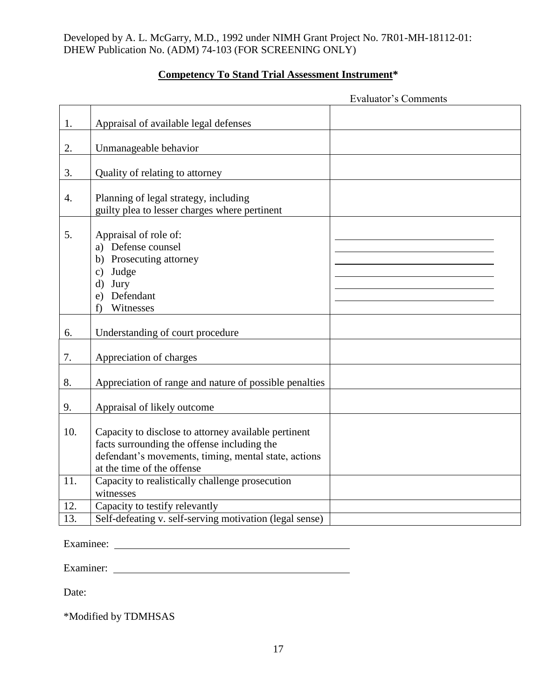Developed by A. L. McGarry, M.D., 1992 under NIMH Grant Project No. 7R01-MH-18112-01: DHEW Publication No. (ADM) 74-103 (FOR SCREENING ONLY)

## **Competency To Stand Trial Assessment Instrument\***

|                  | <b>Evaluator's Comments</b>                                                                                                                                                               |  |  |
|------------------|-------------------------------------------------------------------------------------------------------------------------------------------------------------------------------------------|--|--|
|                  |                                                                                                                                                                                           |  |  |
| 1.               | Appraisal of available legal defenses                                                                                                                                                     |  |  |
|                  |                                                                                                                                                                                           |  |  |
| 2.               | Unmanageable behavior                                                                                                                                                                     |  |  |
| 3.               | Quality of relating to attorney                                                                                                                                                           |  |  |
| $\overline{4}$ . | Planning of legal strategy, including<br>guilty plea to lesser charges where pertinent                                                                                                    |  |  |
| 5.               | Appraisal of role of:<br>a) Defense counsel<br>b) Prosecuting attorney<br>c) Judge<br>d) Jury<br>e) Defendant<br>Witnesses<br>f)                                                          |  |  |
|                  |                                                                                                                                                                                           |  |  |
| 6.               | Understanding of court procedure                                                                                                                                                          |  |  |
| 7.               | Appreciation of charges                                                                                                                                                                   |  |  |
| 8.               | Appreciation of range and nature of possible penalties                                                                                                                                    |  |  |
| 9.               | Appraisal of likely outcome                                                                                                                                                               |  |  |
| 10.              | Capacity to disclose to attorney available pertinent<br>facts surrounding the offense including the<br>defendant's movements, timing, mental state, actions<br>at the time of the offense |  |  |
| 11.              | Capacity to realistically challenge prosecution<br>witnesses                                                                                                                              |  |  |
| 12.              | Capacity to testify relevantly                                                                                                                                                            |  |  |
| 13.              | Self-defeating v. self-serving motivation (legal sense)                                                                                                                                   |  |  |
|                  |                                                                                                                                                                                           |  |  |

Examinee:

Examiner:

Date:

\*Modified by TDMHSAS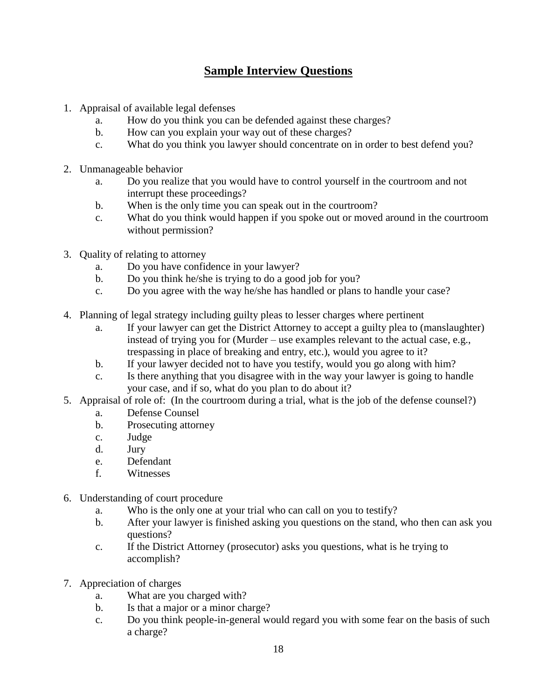## **Sample Interview Questions**

- 1. Appraisal of available legal defenses
	- a. How do you think you can be defended against these charges?
	- b. How can you explain your way out of these charges?
	- c. What do you think you lawyer should concentrate on in order to best defend you?
- 2. Unmanageable behavior
	- a. Do you realize that you would have to control yourself in the courtroom and not interrupt these proceedings?
	- b. When is the only time you can speak out in the courtroom?
	- c. What do you think would happen if you spoke out or moved around in the courtroom without permission?
- 3. Quality of relating to attorney
	- a. Do you have confidence in your lawyer?
	- b. Do you think he/she is trying to do a good job for you?
	- c. Do you agree with the way he/she has handled or plans to handle your case?
- 4. Planning of legal strategy including guilty pleas to lesser charges where pertinent
	- a. If your lawyer can get the District Attorney to accept a guilty plea to (manslaughter) instead of trying you for (Murder – use examples relevant to the actual case, e.g., trespassing in place of breaking and entry, etc.), would you agree to it?
	- b. If your lawyer decided not to have you testify, would you go along with him?
	- c. Is there anything that you disagree with in the way your lawyer is going to handle your case, and if so, what do you plan to do about it?
- 5. Appraisal of role of: (In the courtroom during a trial, what is the job of the defense counsel?)
	- a. Defense Counsel
	- b. Prosecuting attorney
	- c. Judge
	- d. Jury
	- e. Defendant
	- f. Witnesses
- 6. Understanding of court procedure
	- a. Who is the only one at your trial who can call on you to testify?
	- b. After your lawyer is finished asking you questions on the stand, who then can ask you questions?
	- c. If the District Attorney (prosecutor) asks you questions, what is he trying to accomplish?
- 7. Appreciation of charges
	- a. What are you charged with?
	- b. Is that a major or a minor charge?
	- c. Do you think people-in-general would regard you with some fear on the basis of such a charge?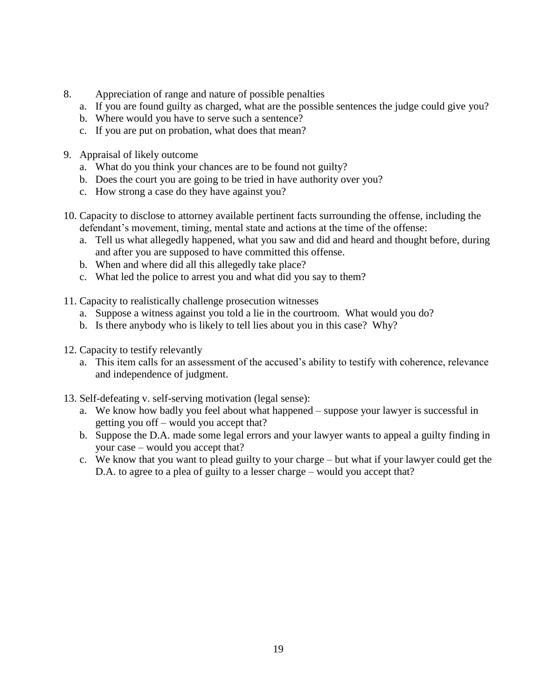- 8. Appreciation of range and nature of possible penalties
	- a. If you are found guilty as charged, what are the possible sentences the judge could give you?
	- b. Where would you have to serve such a sentence?
	- c. If you are put on probation, what does that mean?
- 9. Appraisal of likely outcome
	- a. What do you think your chances are to be found not guilty?
	- b. Does the court you are going to be tried in have authority over you?
	- c. How strong a case do they have against you?
- 10. Capacity to disclose to attorney available pertinent facts surrounding the offense, including the defendant's movement, timing, mental state and actions at the time of the offense:
	- a. Tell us what allegedly happened, what you saw and did and heard and thought before, during and after you are supposed to have committed this offense.
	- b. When and where did all this allegedly take place?
	- c. What led the police to arrest you and what did you say to them?
- 11. Capacity to realistically challenge prosecution witnesses
	- a. Suppose a witness against you told a lie in the courtroom. What would you do?
	- b. Is there anybody who is likely to tell lies about you in this case? Why?
- 12. Capacity to testify relevantly
	- a. This item calls for an assessment of the accused's ability to testify with coherence, relevance and independence of judgment.
- 13. Self-defeating v. self-serving motivation (legal sense):
	- a. We know how badly you feel about what happened suppose your lawyer is successful in getting you off – would you accept that?
	- b. Suppose the D.A. made some legal errors and your lawyer wants to appeal a guilty finding in your case – would you accept that?
	- c. We know that you want to plead guilty to your charge but what if your lawyer could get the D.A. to agree to a plea of guilty to a lesser charge – would you accept that?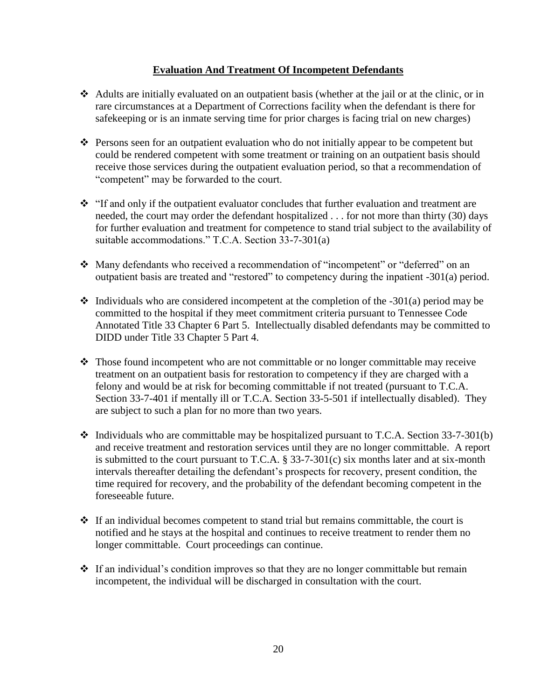#### **Evaluation And Treatment Of Incompetent Defendants**

- Adults are initially evaluated on an outpatient basis (whether at the jail or at the clinic, or in rare circumstances at a Department of Corrections facility when the defendant is there for safekeeping or is an inmate serving time for prior charges is facing trial on new charges)
- Persons seen for an outpatient evaluation who do not initially appear to be competent but could be rendered competent with some treatment or training on an outpatient basis should receive those services during the outpatient evaluation period, so that a recommendation of "competent" may be forwarded to the court.
- \* "If and only if the outpatient evaluator concludes that further evaluation and treatment are needed, the court may order the defendant hospitalized . . . for not more than thirty (30) days for further evaluation and treatment for competence to stand trial subject to the availability of suitable accommodations." T.C.A. Section 33-7-301(a)
- Many defendants who received a recommendation of "incompetent" or "deferred" on an outpatient basis are treated and "restored" to competency during the inpatient -301(a) period.
- $\cdot$  Individuals who are considered incompetent at the completion of the -301(a) period may be committed to the hospital if they meet commitment criteria pursuant to Tennessee Code Annotated Title 33 Chapter 6 Part 5. Intellectually disabled defendants may be committed to DIDD under Title 33 Chapter 5 Part 4.
- Those found incompetent who are not committable or no longer committable may receive treatment on an outpatient basis for restoration to competency if they are charged with a felony and would be at risk for becoming committable if not treated (pursuant to T.C.A. Section 33-7-401 if mentally ill or T.C.A. Section 33-5-501 if intellectually disabled). They are subject to such a plan for no more than two years.
- $\cdot$  Individuals who are committable may be hospitalized pursuant to T.C.A. Section 33-7-301(b) and receive treatment and restoration services until they are no longer committable. A report is submitted to the court pursuant to T.C.A.  $\S$  33-7-301(c) six months later and at six-month intervals thereafter detailing the defendant's prospects for recovery, present condition, the time required for recovery, and the probability of the defendant becoming competent in the foreseeable future.
- $\cdot \cdot$  If an individual becomes competent to stand trial but remains committable, the court is notified and he stays at the hospital and continues to receive treatment to render them no longer committable. Court proceedings can continue.
- $\cdot \cdot$  If an individual's condition improves so that they are no longer committable but remain incompetent, the individual will be discharged in consultation with the court.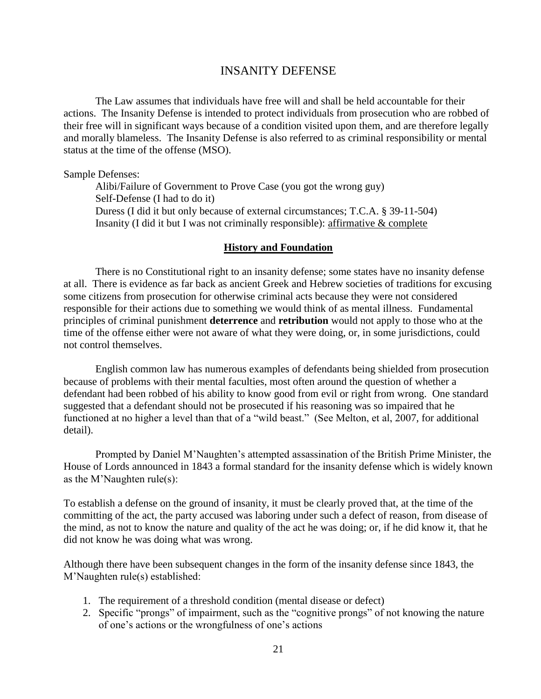#### INSANITY DEFENSE

<span id="page-24-0"></span>The Law assumes that individuals have free will and shall be held accountable for their actions. The Insanity Defense is intended to protect individuals from prosecution who are robbed of their free will in significant ways because of a condition visited upon them, and are therefore legally and morally blameless. The Insanity Defense is also referred to as criminal responsibility or mental status at the time of the offense (MSO).

Sample Defenses:

Alibi/Failure of Government to Prove Case (you got the wrong guy) Self-Defense (I had to do it) Duress (I did it but only because of external circumstances; T.C.A. § 39-11-504) Insanity (I did it but I was not criminally responsible): affirmative & complete

#### **History and Foundation**

There is no Constitutional right to an insanity defense; some states have no insanity defense at all. There is evidence as far back as ancient Greek and Hebrew societies of traditions for excusing some citizens from prosecution for otherwise criminal acts because they were not considered responsible for their actions due to something we would think of as mental illness. Fundamental principles of criminal punishment **deterrence** and **retribution** would not apply to those who at the time of the offense either were not aware of what they were doing, or, in some jurisdictions, could not control themselves.

English common law has numerous examples of defendants being shielded from prosecution because of problems with their mental faculties, most often around the question of whether a defendant had been robbed of his ability to know good from evil or right from wrong. One standard suggested that a defendant should not be prosecuted if his reasoning was so impaired that he functioned at no higher a level than that of a "wild beast." (See Melton, et al, 2007, for additional detail).

Prompted by Daniel M'Naughten's attempted assassination of the British Prime Minister, the House of Lords announced in 1843 a formal standard for the insanity defense which is widely known as the M'Naughten rule(s):

To establish a defense on the ground of insanity, it must be clearly proved that, at the time of the committing of the act, the party accused was laboring under such a defect of reason, from disease of the mind, as not to know the nature and quality of the act he was doing; or, if he did know it, that he did not know he was doing what was wrong.

Although there have been subsequent changes in the form of the insanity defense since 1843, the M'Naughten rule(s) established:

- 1. The requirement of a threshold condition (mental disease or defect)
- 2. Specific "prongs" of impairment, such as the "cognitive prongs" of not knowing the nature of one's actions or the wrongfulness of one's actions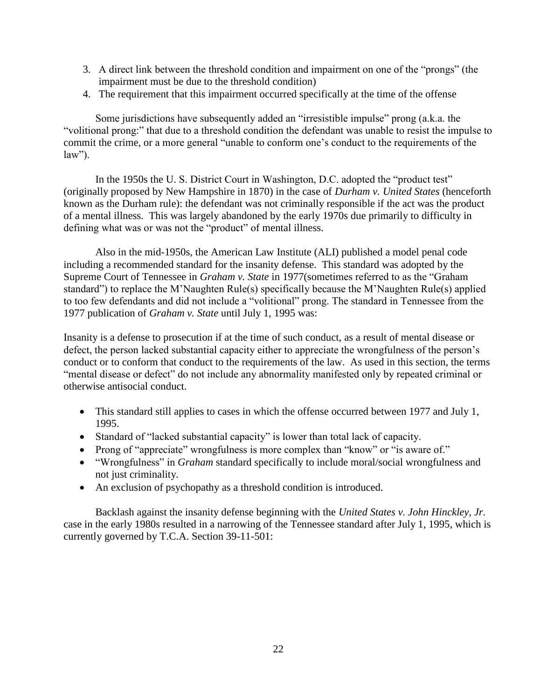- 3. A direct link between the threshold condition and impairment on one of the "prongs" (the impairment must be due to the threshold condition)
- 4. The requirement that this impairment occurred specifically at the time of the offense

Some jurisdictions have subsequently added an "irresistible impulse" prong (a.k.a. the "volitional prong:" that due to a threshold condition the defendant was unable to resist the impulse to commit the crime, or a more general "unable to conform one's conduct to the requirements of the  $law$ ").

In the 1950s the U. S. District Court in Washington, D.C. adopted the "product test" (originally proposed by New Hampshire in 1870) in the case of *Durham v. United States* (henceforth known as the Durham rule): the defendant was not criminally responsible if the act was the product of a mental illness. This was largely abandoned by the early 1970s due primarily to difficulty in defining what was or was not the "product" of mental illness.

Also in the mid-1950s, the American Law Institute (ALI) published a model penal code including a recommended standard for the insanity defense. This standard was adopted by the Supreme Court of Tennessee in *Graham v. State* in 1977(sometimes referred to as the "Graham standard") to replace the M'Naughten Rule(s) specifically because the M'Naughten Rule(s) applied to too few defendants and did not include a "volitional" prong. The standard in Tennessee from the 1977 publication of *Graham v. State* until July 1, 1995 was:

Insanity is a defense to prosecution if at the time of such conduct, as a result of mental disease or defect, the person lacked substantial capacity either to appreciate the wrongfulness of the person's conduct or to conform that conduct to the requirements of the law. As used in this section, the terms "mental disease or defect" do not include any abnormality manifested only by repeated criminal or otherwise antisocial conduct.

- This standard still applies to cases in which the offense occurred between 1977 and July 1, 1995.
- Standard of "lacked substantial capacity" is lower than total lack of capacity.
- Prong of "appreciate" wrongfulness is more complex than "know" or "is aware of."
- "Wrongfulness" in *Graham* standard specifically to include moral/social wrongfulness and not just criminality.
- An exclusion of psychopathy as a threshold condition is introduced.

Backlash against the insanity defense beginning with the *United States v. John Hinckley, Jr.* case in the early 1980s resulted in a narrowing of the Tennessee standard after July 1, 1995, which is currently governed by T.C.A. Section 39-11-501: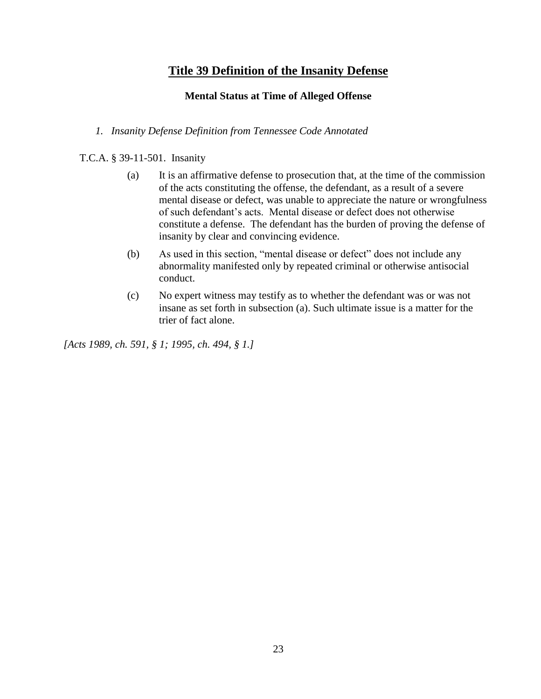## **Title 39 Definition of the Insanity Defense**

#### **Mental Status at Time of Alleged Offense**

#### *1. Insanity Defense Definition from Tennessee Code Annotated*

T.C.A. § 39-11-501. Insanity

- (a) It is an affirmative defense to prosecution that, at the time of the commission of the acts constituting the offense, the defendant, as a result of a severe mental disease or defect, was unable to appreciate the nature or wrongfulness of such defendant's acts. Mental disease or defect does not otherwise constitute a defense. The defendant has the burden of proving the defense of insanity by clear and convincing evidence.
- (b) As used in this section, "mental disease or defect" does not include any abnormality manifested only by repeated criminal or otherwise antisocial conduct.
- (c) No expert witness may testify as to whether the defendant was or was not insane as set forth in subsection (a). Such ultimate issue is a matter for the trier of fact alone.

*[Acts 1989, ch. 591, § 1; 1995, ch. 494, § 1.]*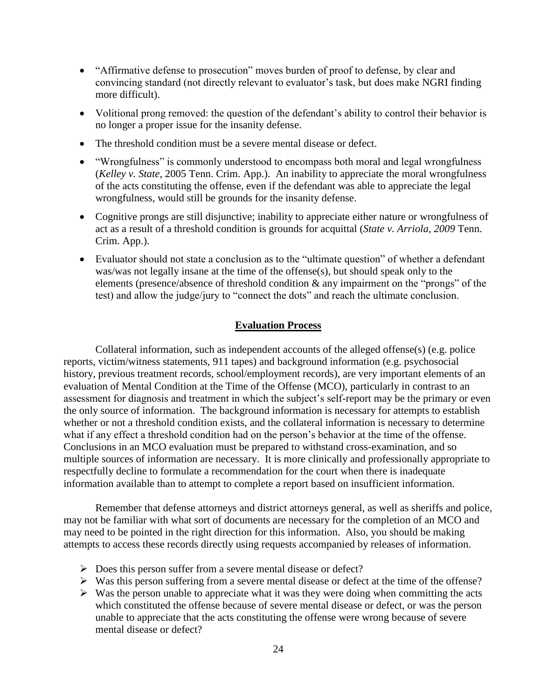- "Affirmative defense to prosecution" moves burden of proof to defense, by clear and convincing standard (not directly relevant to evaluator's task, but does make NGRI finding more difficult).
- Volitional prong removed: the question of the defendant's ability to control their behavior is no longer a proper issue for the insanity defense.
- The threshold condition must be a severe mental disease or defect.
- "Wrongfulness" is commonly understood to encompass both moral and legal wrongfulness (*Kelley v. State*, 2005 Tenn. Crim. App.). An inability to appreciate the moral wrongfulness of the acts constituting the offense, even if the defendant was able to appreciate the legal wrongfulness, would still be grounds for the insanity defense.
- Cognitive prongs are still disjunctive; inability to appreciate either nature or wrongfulness of act as a result of a threshold condition is grounds for acquittal (*State v. Arriola, 2009* Tenn. Crim. App.).
- Evaluator should not state a conclusion as to the "ultimate question" of whether a defendant was/was not legally insane at the time of the offense(s), but should speak only to the elements (presence/absence of threshold condition & any impairment on the "prongs" of the test) and allow the judge/jury to "connect the dots" and reach the ultimate conclusion.

#### **Evaluation Process**

Collateral information, such as independent accounts of the alleged offense(s) (e.g. police reports, victim/witness statements, 911 tapes) and background information (e.g. psychosocial history, previous treatment records, school/employment records), are very important elements of an evaluation of Mental Condition at the Time of the Offense (MCO), particularly in contrast to an assessment for diagnosis and treatment in which the subject's self-report may be the primary or even the only source of information. The background information is necessary for attempts to establish whether or not a threshold condition exists, and the collateral information is necessary to determine what if any effect a threshold condition had on the person's behavior at the time of the offense. Conclusions in an MCO evaluation must be prepared to withstand cross-examination, and so multiple sources of information are necessary. It is more clinically and professionally appropriate to respectfully decline to formulate a recommendation for the court when there is inadequate information available than to attempt to complete a report based on insufficient information.

Remember that defense attorneys and district attorneys general, as well as sheriffs and police, may not be familiar with what sort of documents are necessary for the completion of an MCO and may need to be pointed in the right direction for this information. Also, you should be making attempts to access these records directly using requests accompanied by releases of information.

- $\triangleright$  Does this person suffer from a severe mental disease or defect?
- $\triangleright$  Was this person suffering from a severe mental disease or defect at the time of the offense?
- $\triangleright$  Was the person unable to appreciate what it was they were doing when committing the acts which constituted the offense because of severe mental disease or defect, or was the person unable to appreciate that the acts constituting the offense were wrong because of severe mental disease or defect?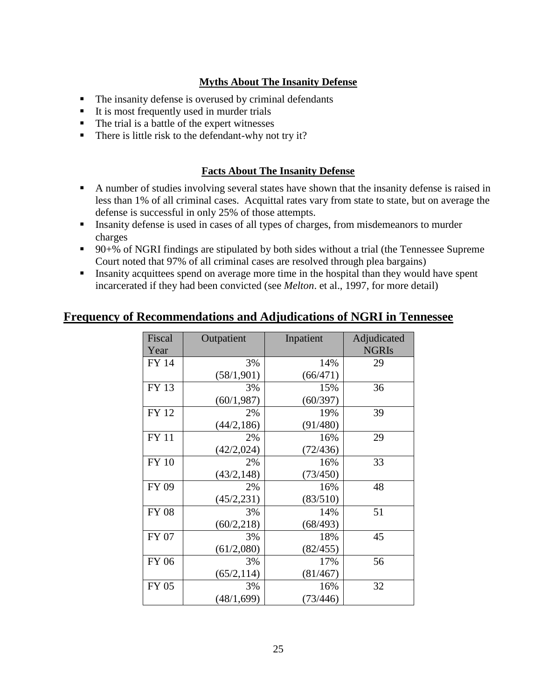## **Myths About The Insanity Defense**

- The insanity defense is overused by criminal defendants
- It is most frequently used in murder trials
- $\blacksquare$  The trial is a battle of the expert witnesses
- There is little risk to the defendant-why not try it?

### **Facts About The Insanity Defense**

- A number of studies involving several states have shown that the insanity defense is raised in less than 1% of all criminal cases. Acquittal rates vary from state to state, but on average the defense is successful in only 25% of those attempts.
- Insanity defense is used in cases of all types of charges, from misdemeanors to murder charges
- 90+% of NGRI findings are stipulated by both sides without a trial (the Tennessee Supreme Court noted that 97% of all criminal cases are resolved through plea bargains)
- Insanity acquittees spend on average more time in the hospital than they would have spent incarcerated if they had been convicted (see *Melton*. et al., 1997, for more detail)

## **Frequency of Recommendations and Adjudications of NGRI in Tennessee**

| Fiscal       | Outpatient  | Inpatient | Adjudicated  |
|--------------|-------------|-----------|--------------|
| Year         |             |           | <b>NGRIS</b> |
| <b>FY 14</b> | 3%          | 14%       | 29           |
|              | (58/1, 901) | (66/471)  |              |
| <b>FY 13</b> | 3%          | 15%       | 36           |
|              | (60/1, 987) | (60/397)  |              |
| <b>FY 12</b> | 2%          | 19%       | 39           |
|              | (44/2, 186) | (91/480)  |              |
| <b>FY 11</b> | 2%          | 16%       | 29           |
|              | (42/2,024)  | (72/436)  |              |
| <b>FY 10</b> | 2%          | 16%       | 33           |
|              | (43/2, 148) | (73/450)  |              |
| <b>FY 09</b> | 2%          | 16%       | 48           |
|              | (45/2, 231) | (83/510)  |              |
| <b>FY 08</b> | 3%          | 14%       | 51           |
|              | (60/2, 218) | (68/493)  |              |
| FY 07        | 3%          | 18%       | 45           |
|              | (61/2,080)  | (82/455)  |              |
| <b>FY 06</b> | 3%          | 17%       | 56           |
|              | (65/2, 114) | (81/467)  |              |
| FY 05        | 3%          | 16%       | 32           |
|              | (48/1,699)  | (73/446)  |              |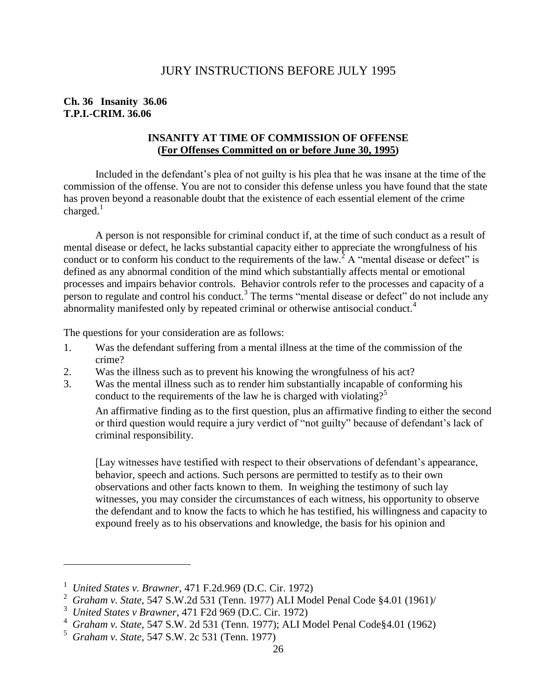### JURY INSTRUCTIONS BEFORE JULY 1995

#### <span id="page-29-0"></span>**Ch. 36 Insanity 36.06 T.P.I.-CRIM. 36.06**

#### **INSANITY AT TIME OF COMMISSION OF OFFENSE (For Offenses Committed on or before June 30, 1995)**

Included in the defendant's plea of not guilty is his plea that he was insane at the time of the commission of the offense. You are not to consider this defense unless you have found that the state has proven beyond a reasonable doubt that the existence of each essential element of the crime charged. $<sup>1</sup>$ </sup>

A person is not responsible for criminal conduct if, at the time of such conduct as a result of mental disease or defect, he lacks substantial capacity either to appreciate the wrongfulness of his conduct or to conform his conduct to the requirements of the law.<sup>2</sup> A "mental disease or defect" is defined as any abnormal condition of the mind which substantially affects mental or emotional processes and impairs behavior controls. Behavior controls refer to the processes and capacity of a person to regulate and control his conduct.<sup>3</sup> The terms "mental disease or defect" do not include any abnormality manifested only by repeated criminal or otherwise antisocial conduct.<sup>4</sup>

The questions for your consideration are as follows:

- 1. Was the defendant suffering from a mental illness at the time of the commission of the crime?
- 2. Was the illness such as to prevent his knowing the wrongfulness of his act?
- 3. Was the mental illness such as to render him substantially incapable of conforming his conduct to the requirements of the law he is charged with violating?<sup>5</sup>

An affirmative finding as to the first question, plus an affirmative finding to either the second or third question would require a jury verdict of "not guilty" because of defendant's lack of criminal responsibility.

[Lay witnesses have testified with respect to their observations of defendant's appearance, behavior, speech and actions. Such persons are permitted to testify as to their own observations and other facts known to them. In weighing the testimony of such lay witnesses, you may consider the circumstances of each witness, his opportunity to observe the defendant and to know the facts to which he has testified, his willingness and capacity to expound freely as to his observations and knowledge, the basis for his opinion and

4 *Graham v. State*, 547 S.W. 2d 531 (Tenn. 1977); ALI Model Penal Code§4.01 (1962)

 $\overline{a}$ 

<sup>1</sup> *United States v. Brawner*, 471 F.2d.969 (D.C. Cir. 1972)

<sup>2</sup> *Graham v. State*, 547 S.W.2d 531 (Tenn. 1977) ALI Model Penal Code §4.01 (1961)/

<sup>3</sup> *United States v Brawner*, 471 F2d 969 (D.C. Cir. 1972)

<sup>5</sup> *Graham v. State*, 547 S.W. 2c 531 (Tenn. 1977)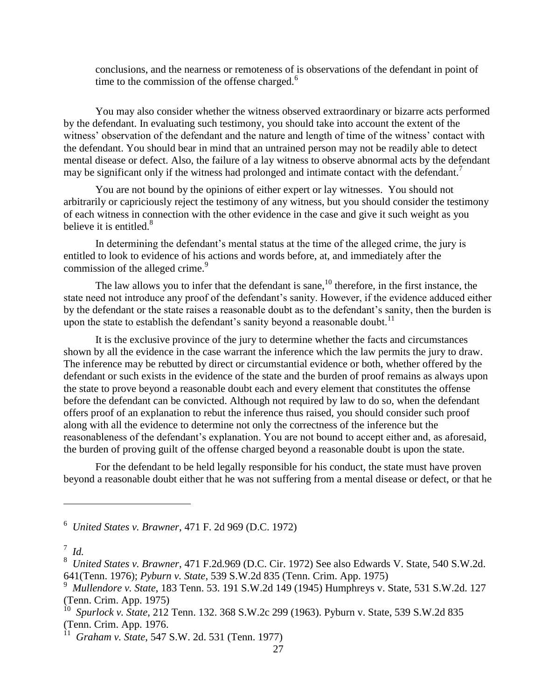conclusions, and the nearness or remoteness of is observations of the defendant in point of time to the commission of the offense charged.<sup>6</sup>

You may also consider whether the witness observed extraordinary or bizarre acts performed by the defendant. In evaluating such testimony, you should take into account the extent of the witness' observation of the defendant and the nature and length of time of the witness' contact with the defendant. You should bear in mind that an untrained person may not be readily able to detect mental disease or defect. Also, the failure of a lay witness to observe abnormal acts by the defendant may be significant only if the witness had prolonged and intimate contact with the defendant.<sup>7</sup>

You are not bound by the opinions of either expert or lay witnesses. You should not arbitrarily or capriciously reject the testimony of any witness, but you should consider the testimony of each witness in connection with the other evidence in the case and give it such weight as you believe it is entitled.<sup>8</sup>

In determining the defendant's mental status at the time of the alleged crime, the jury is entitled to look to evidence of his actions and words before, at, and immediately after the commission of the alleged crime.<sup>9</sup>

The law allows you to infer that the defendant is sane,  $^{10}$  therefore, in the first instance, the state need not introduce any proof of the defendant's sanity. However, if the evidence adduced either by the defendant or the state raises a reasonable doubt as to the defendant's sanity, then the burden is upon the state to establish the defendant's sanity beyond a reasonable doubt.<sup>11</sup>

It is the exclusive province of the jury to determine whether the facts and circumstances shown by all the evidence in the case warrant the inference which the law permits the jury to draw. The inference may be rebutted by direct or circumstantial evidence or both, whether offered by the defendant or such exists in the evidence of the state and the burden of proof remains as always upon the state to prove beyond a reasonable doubt each and every element that constitutes the offense before the defendant can be convicted. Although not required by law to do so, when the defendant offers proof of an explanation to rebut the inference thus raised, you should consider such proof along with all the evidence to determine not only the correctness of the inference but the reasonableness of the defendant's explanation. You are not bound to accept either and, as aforesaid, the burden of proving guilt of the offense charged beyond a reasonable doubt is upon the state.

For the defendant to be held legally responsible for his conduct, the state must have proven beyond a reasonable doubt either that he was not suffering from a mental disease or defect, or that he

 $\overline{a}$ 

<sup>6</sup> *United States v. Brawner*, 471 F. 2d 969 (D.C. 1972)

<sup>7</sup> *Id.*

<sup>8</sup> *United States v. Brawner*, 471 F.2d.969 (D.C. Cir. 1972) See also Edwards V. State, 540 S.W.2d. 641(Tenn. 1976); *Pyburn v. State*, 539 S.W.2d 835 (Tenn. Crim. App. 1975)

<sup>9</sup> *Mullendore v. State*, 183 Tenn. 53. 191 S.W.2d 149 (1945) Humphreys v. State, 531 S.W.2d. 127 (Tenn. Crim. App. 1975)

<sup>10</sup> *Spurlock v. State*, 212 Tenn. 132. 368 S.W.2c 299 (1963). Pyburn v. State, 539 S.W.2d 835 (Tenn. Crim. App. 1976.

<sup>11</sup> *Graham v. State*, 547 S.W. 2d. 531 (Tenn. 1977)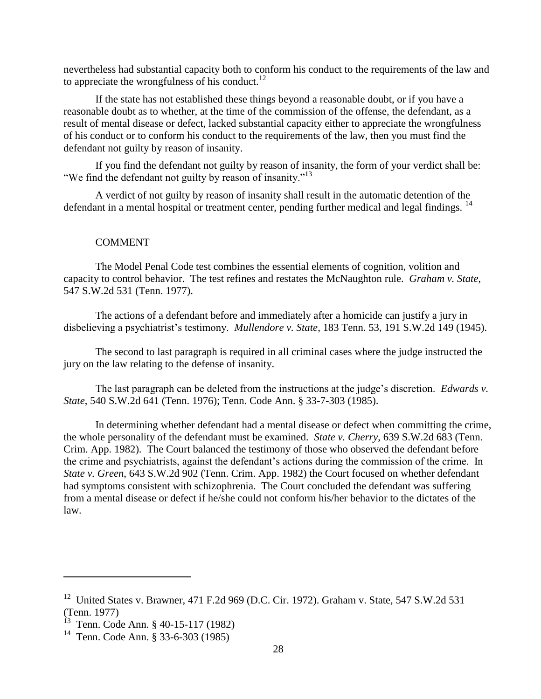nevertheless had substantial capacity both to conform his conduct to the requirements of the law and to appreciate the wrongfulness of his conduct.<sup>12</sup>

If the state has not established these things beyond a reasonable doubt, or if you have a reasonable doubt as to whether, at the time of the commission of the offense, the defendant, as a result of mental disease or defect, lacked substantial capacity either to appreciate the wrongfulness of his conduct or to conform his conduct to the requirements of the law, then you must find the defendant not guilty by reason of insanity.

If you find the defendant not guilty by reason of insanity, the form of your verdict shall be: "We find the defendant not guilty by reason of insanity."<sup>13</sup>

A verdict of not guilty by reason of insanity shall result in the automatic detention of the defendant in a mental hospital or treatment center, pending further medical and legal findings. <sup>14</sup>

#### COMMENT

The Model Penal Code test combines the essential elements of cognition, volition and capacity to control behavior. The test refines and restates the McNaughton rule. *Graham v. State*, 547 S.W.2d 531 (Tenn. 1977).

The actions of a defendant before and immediately after a homicide can justify a jury in disbelieving a psychiatrist's testimony. *Mullendore v. State*, 183 Tenn. 53, 191 S.W.2d 149 (1945).

The second to last paragraph is required in all criminal cases where the judge instructed the jury on the law relating to the defense of insanity.

The last paragraph can be deleted from the instructions at the judge's discretion. *Edwards v. State*, 540 S.W.2d 641 (Tenn. 1976); Tenn. Code Ann. § 33-7-303 (1985).

In determining whether defendant had a mental disease or defect when committing the crime, the whole personality of the defendant must be examined. *State v. Cherry*, 639 S.W.2d 683 (Tenn. Crim. App. 1982). The Court balanced the testimony of those who observed the defendant before the crime and psychiatrists, against the defendant's actions during the commission of the crime. In *State v. Green*, 643 S.W.2d 902 (Tenn. Crim. App. 1982) the Court focused on whether defendant had symptoms consistent with schizophrenia. The Court concluded the defendant was suffering from a mental disease or defect if he/she could not conform his/her behavior to the dictates of the law.

 $\overline{a}$ 

<sup>&</sup>lt;sup>12</sup> United States v. Brawner, 471 F.2d 969 (D.C. Cir. 1972). Graham v. State, 547 S.W.2d 531 (Tenn. 1977)

<sup>&</sup>lt;sup>13</sup> Tenn. Code Ann. § 40-15-117 (1982)

<sup>14</sup> Tenn. Code Ann. § 33-6-303 (1985)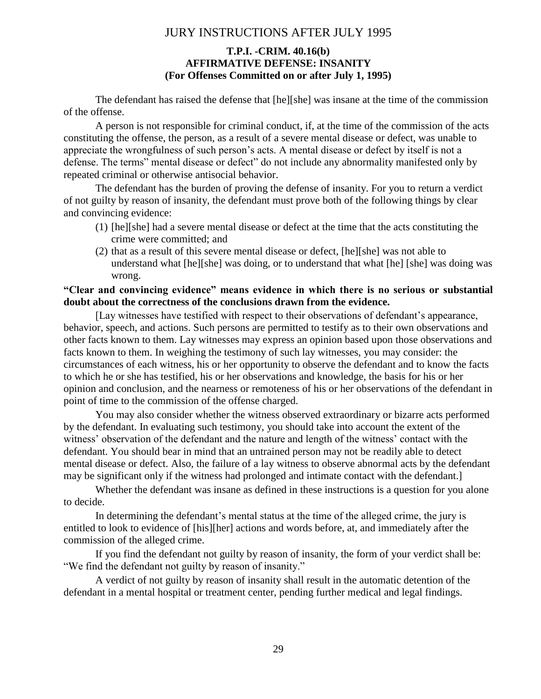## JURY INSTRUCTIONS AFTER JULY 1995

#### **T.P.I. -CRIM. 40.16(b) AFFIRMATIVE DEFENSE: INSANITY (For Offenses Committed on or after July 1, 1995)**

<span id="page-32-0"></span>The defendant has raised the defense that [he][she] was insane at the time of the commission of the offense.

A person is not responsible for criminal conduct, if, at the time of the commission of the acts constituting the offense, the person, as a result of a severe mental disease or defect, was unable to appreciate the wrongfulness of such person's acts. A mental disease or defect by itself is not a defense. The terms" mental disease or defect" do not include any abnormality manifested only by repeated criminal or otherwise antisocial behavior.

The defendant has the burden of proving the defense of insanity. For you to return a verdict of not guilty by reason of insanity, the defendant must prove both of the following things by clear and convincing evidence:

- (1) [he][she] had a severe mental disease or defect at the time that the acts constituting the crime were committed; and
- (2) that as a result of this severe mental disease or defect, [he][she] was not able to understand what [he][she] was doing, or to understand that what [he] [she] was doing was wrong.

#### **"Clear and convincing evidence" means evidence in which there is no serious or substantial doubt about the correctness of the conclusions drawn from the evidence.**

[Lay witnesses have testified with respect to their observations of defendant's appearance, behavior, speech, and actions. Such persons are permitted to testify as to their own observations and other facts known to them. Lay witnesses may express an opinion based upon those observations and facts known to them. In weighing the testimony of such lay witnesses, you may consider: the circumstances of each witness, his or her opportunity to observe the defendant and to know the facts to which he or she has testified, his or her observations and knowledge, the basis for his or her opinion and conclusion, and the nearness or remoteness of his or her observations of the defendant in point of time to the commission of the offense charged.

You may also consider whether the witness observed extraordinary or bizarre acts performed by the defendant. In evaluating such testimony, you should take into account the extent of the witness' observation of the defendant and the nature and length of the witness' contact with the defendant. You should bear in mind that an untrained person may not be readily able to detect mental disease or defect. Also, the failure of a lay witness to observe abnormal acts by the defendant may be significant only if the witness had prolonged and intimate contact with the defendant.]

Whether the defendant was insane as defined in these instructions is a question for you alone to decide.

In determining the defendant's mental status at the time of the alleged crime, the jury is entitled to look to evidence of [his][her] actions and words before, at, and immediately after the commission of the alleged crime.

If you find the defendant not guilty by reason of insanity, the form of your verdict shall be: "We find the defendant not guilty by reason of insanity."

A verdict of not guilty by reason of insanity shall result in the automatic detention of the defendant in a mental hospital or treatment center, pending further medical and legal findings.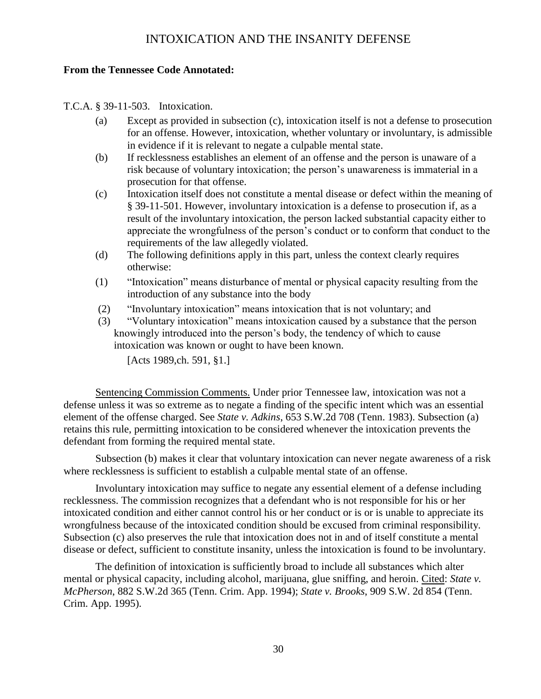## INTOXICATION AND THE INSANITY DEFENSE

#### <span id="page-33-0"></span>**From the Tennessee Code Annotated:**

T.C.A. § 39-11-503. Intoxication.

- (a) Except as provided in subsection (c), intoxication itself is not a defense to prosecution for an offense. However, intoxication, whether voluntary or involuntary, is admissible in evidence if it is relevant to negate a culpable mental state.
- (b) If recklessness establishes an element of an offense and the person is unaware of a risk because of voluntary intoxication; the person's unawareness is immaterial in a prosecution for that offense.
- (c) Intoxication itself does not constitute a mental disease or defect within the meaning of § 39-11-501. However, involuntary intoxication is a defense to prosecution if, as a result of the involuntary intoxication, the person lacked substantial capacity either to appreciate the wrongfulness of the person's conduct or to conform that conduct to the requirements of the law allegedly violated.
- (d) The following definitions apply in this part, unless the context clearly requires otherwise:
- (1) "Intoxication" means disturbance of mental or physical capacity resulting from the introduction of any substance into the body
- (2) "Involuntary intoxication" means intoxication that is not voluntary; and
- (3) "Voluntary intoxication" means intoxication caused by a substance that the person knowingly introduced into the person's body, the tendency of which to cause intoxication was known or ought to have been known.

[Acts 1989,ch. 591, §1.]

Sentencing Commission Comments. Under prior Tennessee law, intoxication was not a defense unless it was so extreme as to negate a finding of the specific intent which was an essential element of the offense charged. See *State v. Adkins*, 653 S.W.2d 708 (Tenn. 1983). Subsection (a) retains this rule, permitting intoxication to be considered whenever the intoxication prevents the defendant from forming the required mental state.

Subsection (b) makes it clear that voluntary intoxication can never negate awareness of a risk where recklessness is sufficient to establish a culpable mental state of an offense.

Involuntary intoxication may suffice to negate any essential element of a defense including recklessness. The commission recognizes that a defendant who is not responsible for his or her intoxicated condition and either cannot control his or her conduct or is or is unable to appreciate its wrongfulness because of the intoxicated condition should be excused from criminal responsibility. Subsection (c) also preserves the rule that intoxication does not in and of itself constitute a mental disease or defect, sufficient to constitute insanity, unless the intoxication is found to be involuntary.

The definition of intoxication is sufficiently broad to include all substances which alter mental or physical capacity, including alcohol, marijuana, glue sniffing, and heroin. Cited: *State v. McPherson*, 882 S.W.2d 365 (Tenn. Crim. App. 1994); *State v. Brooks*, 909 S.W. 2d 854 (Tenn. Crim. App. 1995).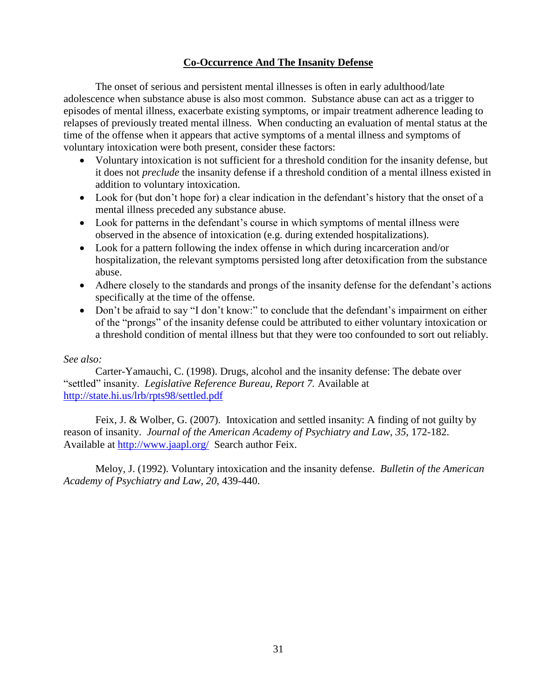#### **Co-Occurrence And The Insanity Defense**

The onset of serious and persistent mental illnesses is often in early adulthood/late adolescence when substance abuse is also most common. Substance abuse can act as a trigger to episodes of mental illness, exacerbate existing symptoms, or impair treatment adherence leading to relapses of previously treated mental illness. When conducting an evaluation of mental status at the time of the offense when it appears that active symptoms of a mental illness and symptoms of voluntary intoxication were both present, consider these factors:

- Voluntary intoxication is not sufficient for a threshold condition for the insanity defense, but it does not *preclude* the insanity defense if a threshold condition of a mental illness existed in addition to voluntary intoxication.
- Look for (but don't hope for) a clear indication in the defendant's history that the onset of a mental illness preceded any substance abuse.
- Look for patterns in the defendant's course in which symptoms of mental illness were observed in the absence of intoxication (e.g. during extended hospitalizations).
- Look for a pattern following the index offense in which during incarceration and/or hospitalization, the relevant symptoms persisted long after detoxification from the substance abuse.
- Adhere closely to the standards and prongs of the insanity defense for the defendant's actions specifically at the time of the offense.
- Don't be afraid to say "I don't know:" to conclude that the defendant's impairment on either of the "prongs" of the insanity defense could be attributed to either voluntary intoxication or a threshold condition of mental illness but that they were too confounded to sort out reliably.

#### *See also:*

Carter-Yamauchi, C. (1998). Drugs, alcohol and the insanity defense: The debate over "settled" insanity. *Legislative Reference Bureau, Report 7.* Available at <http://state.hi.us/lrb/rpts98/settled.pdf>

Feix, J. & Wolber, G. (2007). Intoxication and settled insanity: A finding of not guilty by reason of insanity. *Journal of the American Academy of Psychiatry and Law, 35,* 172-182. Available at<http://www.jaapl.org/>Search author Feix.

Meloy, J. (1992). Voluntary intoxication and the insanity defense. *Bulletin of the American Academy of Psychiatry and Law, 20,* 439-440.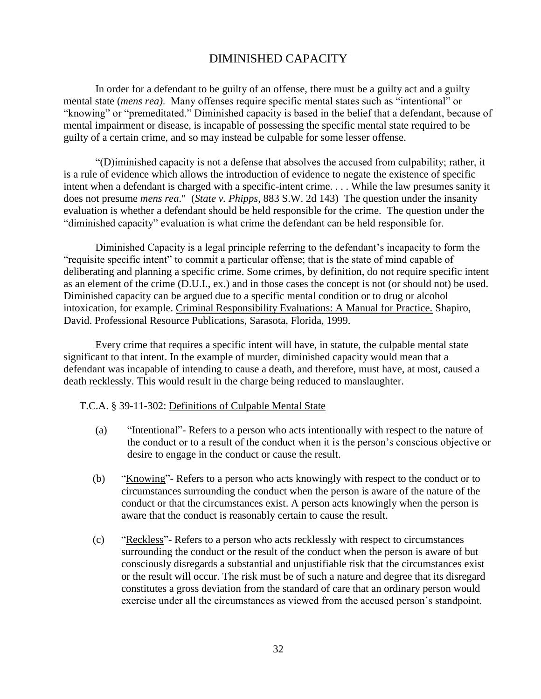## DIMINISHED CAPACITY

<span id="page-35-0"></span>In order for a defendant to be guilty of an offense, there must be a guilty act and a guilty mental state (*mens rea)*. Many offenses require specific mental states such as "intentional" or "knowing" or "premeditated." Diminished capacity is based in the belief that a defendant, because of mental impairment or disease, is incapable of possessing the specific mental state required to be guilty of a certain crime, and so may instead be culpable for some lesser offense.

"(D)iminished capacity is not a defense that absolves the accused from culpability; rather, it is a rule of evidence which allows the introduction of evidence to negate the existence of specific intent when a defendant is charged with a specific-intent crime. . . . While the law presumes sanity it does not presume *mens rea*." (*State v. Phipps*, 883 S.W. 2d 143) The question under the insanity evaluation is whether a defendant should be held responsible for the crime. The question under the "diminished capacity" evaluation is what crime the defendant can be held responsible for.

Diminished Capacity is a legal principle referring to the defendant's incapacity to form the "requisite specific intent" to commit a particular offense; that is the state of mind capable of deliberating and planning a specific crime. Some crimes, by definition, do not require specific intent as an element of the crime (D.U.I., ex.) and in those cases the concept is not (or should not) be used. Diminished capacity can be argued due to a specific mental condition or to drug or alcohol intoxication, for example. Criminal Responsibility Evaluations: A Manual for Practice. Shapiro, David. Professional Resource Publications, Sarasota, Florida, 1999.

Every crime that requires a specific intent will have, in statute, the culpable mental state significant to that intent. In the example of murder, diminished capacity would mean that a defendant was incapable of intending to cause a death, and therefore, must have, at most, caused a death recklessly. This would result in the charge being reduced to manslaughter.

#### T.C.A. § 39-11-302: Definitions of Culpable Mental State

- (a) "Intentional"- Refers to a person who acts intentionally with respect to the nature of the conduct or to a result of the conduct when it is the person's conscious objective or desire to engage in the conduct or cause the result.
- (b) "Knowing"- Refers to a person who acts knowingly with respect to the conduct or to circumstances surrounding the conduct when the person is aware of the nature of the conduct or that the circumstances exist. A person acts knowingly when the person is aware that the conduct is reasonably certain to cause the result.
- (c) "Reckless"- Refers to a person who acts recklessly with respect to circumstances surrounding the conduct or the result of the conduct when the person is aware of but consciously disregards a substantial and unjustifiable risk that the circumstances exist or the result will occur. The risk must be of such a nature and degree that its disregard constitutes a gross deviation from the standard of care that an ordinary person would exercise under all the circumstances as viewed from the accused person's standpoint.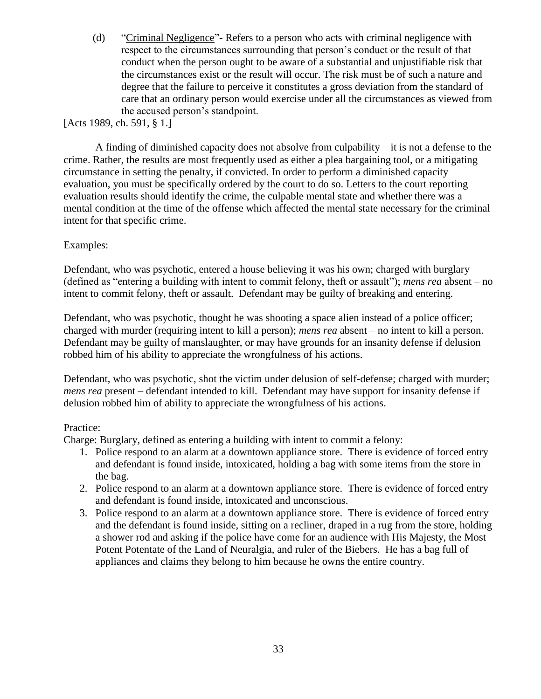(d) "Criminal Negligence"- Refers to a person who acts with criminal negligence with respect to the circumstances surrounding that person's conduct or the result of that conduct when the person ought to be aware of a substantial and unjustifiable risk that the circumstances exist or the result will occur. The risk must be of such a nature and degree that the failure to perceive it constitutes a gross deviation from the standard of care that an ordinary person would exercise under all the circumstances as viewed from the accused person's standpoint.

[Acts 1989, ch. 591, § 1.]

A finding of diminished capacity does not absolve from culpability  $-$  it is not a defense to the crime. Rather, the results are most frequently used as either a plea bargaining tool, or a mitigating circumstance in setting the penalty, if convicted. In order to perform a diminished capacity evaluation, you must be specifically ordered by the court to do so. Letters to the court reporting evaluation results should identify the crime, the culpable mental state and whether there was a mental condition at the time of the offense which affected the mental state necessary for the criminal intent for that specific crime.

#### Examples:

Defendant, who was psychotic, entered a house believing it was his own; charged with burglary (defined as "entering a building with intent to commit felony, theft or assault"); *mens rea* absent – no intent to commit felony, theft or assault. Defendant may be guilty of breaking and entering.

Defendant, who was psychotic, thought he was shooting a space alien instead of a police officer; charged with murder (requiring intent to kill a person); *mens rea* absent – no intent to kill a person. Defendant may be guilty of manslaughter, or may have grounds for an insanity defense if delusion robbed him of his ability to appreciate the wrongfulness of his actions.

Defendant, who was psychotic, shot the victim under delusion of self-defense; charged with murder; *mens rea* present – defendant intended to kill. Defendant may have support for insanity defense if delusion robbed him of ability to appreciate the wrongfulness of his actions.

#### Practice:

Charge: Burglary, defined as entering a building with intent to commit a felony:

- 1. Police respond to an alarm at a downtown appliance store. There is evidence of forced entry and defendant is found inside, intoxicated, holding a bag with some items from the store in the bag.
- 2. Police respond to an alarm at a downtown appliance store. There is evidence of forced entry and defendant is found inside, intoxicated and unconscious.
- 3. Police respond to an alarm at a downtown appliance store. There is evidence of forced entry and the defendant is found inside, sitting on a recliner, draped in a rug from the store, holding a shower rod and asking if the police have come for an audience with His Majesty, the Most Potent Potentate of the Land of Neuralgia, and ruler of the Biebers. He has a bag full of appliances and claims they belong to him because he owns the entire country.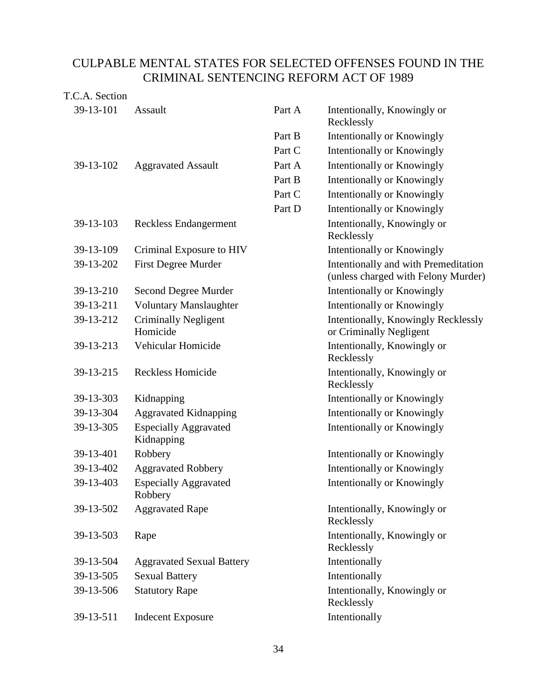# CULPABLE MENTAL STATES FOR SELECTED OFFENSES FOUND IN THE CRIMINAL SENTENCING REFORM ACT OF 1989

## T.C.A. Section

| 39-13-101 | Assault                                    | Part A | Intentionally, Knowingly or<br>Recklessly                                   |
|-----------|--------------------------------------------|--------|-----------------------------------------------------------------------------|
|           |                                            | Part B | Intentionally or Knowingly                                                  |
|           |                                            | Part C | Intentionally or Knowingly                                                  |
| 39-13-102 | <b>Aggravated Assault</b>                  | Part A | Intentionally or Knowingly                                                  |
|           |                                            | Part B | Intentionally or Knowingly                                                  |
|           |                                            | Part C | Intentionally or Knowingly                                                  |
|           |                                            | Part D | Intentionally or Knowingly                                                  |
| 39-13-103 | Reckless Endangerment                      |        | Intentionally, Knowingly or<br>Recklessly                                   |
| 39-13-109 | Criminal Exposure to HIV                   |        | Intentionally or Knowingly                                                  |
| 39-13-202 | <b>First Degree Murder</b>                 |        | Intentionally and with Premeditation<br>(unless charged with Felony Murder) |
| 39-13-210 | Second Degree Murder                       |        | Intentionally or Knowingly                                                  |
| 39-13-211 | <b>Voluntary Manslaughter</b>              |        | <b>Intentionally or Knowingly</b>                                           |
| 39-13-212 | <b>Criminally Negligent</b><br>Homicide    |        | Intentionally, Knowingly Recklessly<br>or Criminally Negligent              |
| 39-13-213 | Vehicular Homicide                         |        | Intentionally, Knowingly or<br>Recklessly                                   |
| 39-13-215 | <b>Reckless Homicide</b>                   |        | Intentionally, Knowingly or<br>Recklessly                                   |
| 39-13-303 | Kidnapping                                 |        | Intentionally or Knowingly                                                  |
| 39-13-304 | <b>Aggravated Kidnapping</b>               |        | Intentionally or Knowingly                                                  |
| 39-13-305 | <b>Especially Aggravated</b><br>Kidnapping |        | Intentionally or Knowingly                                                  |
| 39-13-401 | Robbery                                    |        | Intentionally or Knowingly                                                  |
| 39-13-402 | <b>Aggravated Robbery</b>                  |        | <b>Intentionally or Knowingly</b>                                           |
| 39-13-403 | <b>Especially Aggravated</b><br>Robbery    |        | Intentionally or Knowingly                                                  |
| 39-13-502 | <b>Aggravated Rape</b>                     |        | Intentionally, Knowingly or<br>Recklessly                                   |
| 39-13-503 | Rape                                       |        | Intentionally, Knowingly or<br>Recklessly                                   |
| 39-13-504 | <b>Aggravated Sexual Battery</b>           |        | Intentionally                                                               |
| 39-13-505 | <b>Sexual Battery</b>                      |        | Intentionally                                                               |
| 39-13-506 | <b>Statutory Rape</b>                      |        | Intentionally, Knowingly or<br>Recklessly                                   |
| 39-13-511 | <b>Indecent Exposure</b>                   |        | Intentionally                                                               |
|           |                                            |        |                                                                             |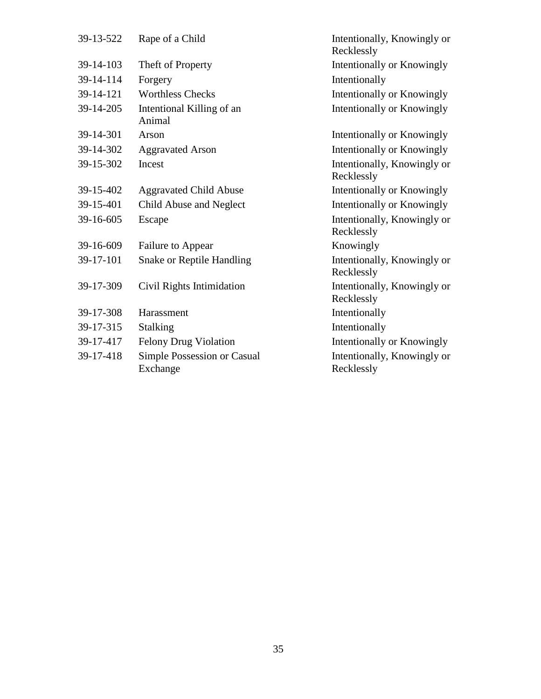| 39-13-522 | Rape of a Child                         | Intentionally, Knowingly or<br>Recklessly |
|-----------|-----------------------------------------|-------------------------------------------|
| 39-14-103 | Theft of Property                       | Intentionally or Knowingly                |
| 39-14-114 | Forgery                                 | Intentionally                             |
| 39-14-121 | <b>Worthless Checks</b>                 | Intentionally or Knowingly                |
| 39-14-205 | Intentional Killing of an<br>Animal     | Intentionally or Knowingly                |
| 39-14-301 | Arson                                   | Intentionally or Knowingly                |
| 39-14-302 | <b>Aggravated Arson</b>                 | Intentionally or Knowingly                |
| 39-15-302 | Incest                                  | Intentionally, Knowingly or<br>Recklessly |
| 39-15-402 | <b>Aggravated Child Abuse</b>           | Intentionally or Knowingly                |
| 39-15-401 | Child Abuse and Neglect                 | Intentionally or Knowingly                |
| 39-16-605 | Escape                                  | Intentionally, Knowingly or<br>Recklessly |
| 39-16-609 | Failure to Appear                       | Knowingly                                 |
| 39-17-101 | <b>Snake or Reptile Handling</b>        | Intentionally, Knowingly or<br>Recklessly |
| 39-17-309 | Civil Rights Intimidation               | Intentionally, Knowingly or<br>Recklessly |
| 39-17-308 | Harassment                              | Intentionally                             |
| 39-17-315 | <b>Stalking</b>                         | Intentionally                             |
| 39-17-417 | <b>Felony Drug Violation</b>            | Intentionally or Knowingly                |
| 39-17-418 | Simple Possession or Casual<br>Exchange | Intentionally, Knowingly or<br>Recklessly |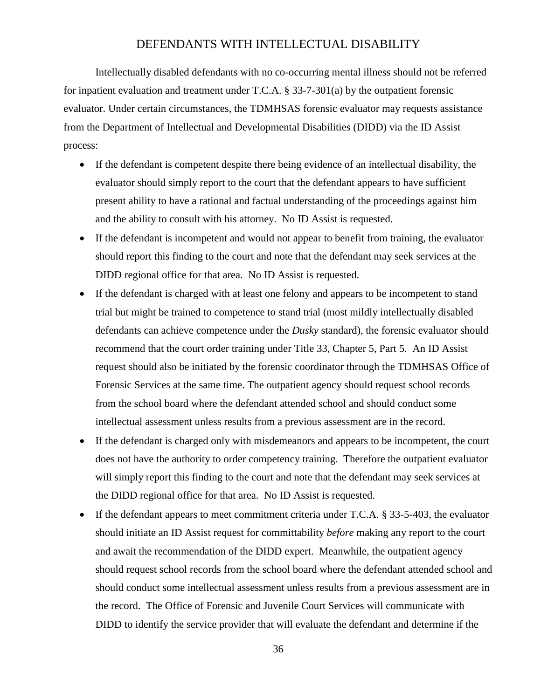## DEFENDANTS WITH INTELLECTUAL DISABILITY

Intellectually disabled defendants with no co-occurring mental illness should not be referred for inpatient evaluation and treatment under T.C.A. § 33-7-301(a) by the outpatient forensic evaluator. Under certain circumstances, the TDMHSAS forensic evaluator may requests assistance from the Department of Intellectual and Developmental Disabilities (DIDD) via the ID Assist process:

- If the defendant is competent despite there being evidence of an intellectual disability, the evaluator should simply report to the court that the defendant appears to have sufficient present ability to have a rational and factual understanding of the proceedings against him and the ability to consult with his attorney. No ID Assist is requested.
- If the defendant is incompetent and would not appear to benefit from training, the evaluator should report this finding to the court and note that the defendant may seek services at the DIDD regional office for that area. No ID Assist is requested.
- If the defendant is charged with at least one felony and appears to be incompetent to stand trial but might be trained to competence to stand trial (most mildly intellectually disabled defendants can achieve competence under the *Dusky* standard), the forensic evaluator should recommend that the court order training under Title 33, Chapter 5, Part 5. An ID Assist request should also be initiated by the forensic coordinator through the TDMHSAS Office of Forensic Services at the same time. The outpatient agency should request school records from the school board where the defendant attended school and should conduct some intellectual assessment unless results from a previous assessment are in the record.
- If the defendant is charged only with misdemeanors and appears to be incompetent, the court does not have the authority to order competency training. Therefore the outpatient evaluator will simply report this finding to the court and note that the defendant may seek services at the DIDD regional office for that area. No ID Assist is requested.
- If the defendant appears to meet commitment criteria under T.C.A. § 33-5-403, the evaluator should initiate an ID Assist request for committability *before* making any report to the court and await the recommendation of the DIDD expert. Meanwhile, the outpatient agency should request school records from the school board where the defendant attended school and should conduct some intellectual assessment unless results from a previous assessment are in the record. The Office of Forensic and Juvenile Court Services will communicate with DIDD to identify the service provider that will evaluate the defendant and determine if the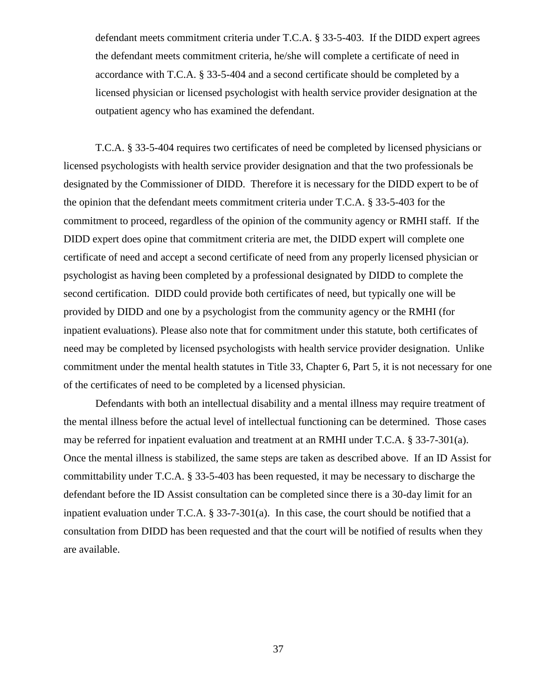defendant meets commitment criteria under T.C.A. § 33-5-403. If the DIDD expert agrees the defendant meets commitment criteria, he/she will complete a certificate of need in accordance with T.C.A. § 33-5-404 and a second certificate should be completed by a licensed physician or licensed psychologist with health service provider designation at the outpatient agency who has examined the defendant.

T.C.A. § 33-5-404 requires two certificates of need be completed by licensed physicians or licensed psychologists with health service provider designation and that the two professionals be designated by the Commissioner of DIDD. Therefore it is necessary for the DIDD expert to be of the opinion that the defendant meets commitment criteria under T.C.A. § 33-5-403 for the commitment to proceed, regardless of the opinion of the community agency or RMHI staff. If the DIDD expert does opine that commitment criteria are met, the DIDD expert will complete one certificate of need and accept a second certificate of need from any properly licensed physician or psychologist as having been completed by a professional designated by DIDD to complete the second certification. DIDD could provide both certificates of need, but typically one will be provided by DIDD and one by a psychologist from the community agency or the RMHI (for inpatient evaluations). Please also note that for commitment under this statute, both certificates of need may be completed by licensed psychologists with health service provider designation. Unlike commitment under the mental health statutes in Title 33, Chapter 6, Part 5, it is not necessary for one of the certificates of need to be completed by a licensed physician.

Defendants with both an intellectual disability and a mental illness may require treatment of the mental illness before the actual level of intellectual functioning can be determined. Those cases may be referred for inpatient evaluation and treatment at an RMHI under T.C.A. § 33-7-301(a). Once the mental illness is stabilized, the same steps are taken as described above. If an ID Assist for committability under T.C.A. § 33-5-403 has been requested, it may be necessary to discharge the defendant before the ID Assist consultation can be completed since there is a 30-day limit for an inpatient evaluation under T.C.A. § 33-7-301(a). In this case, the court should be notified that a consultation from DIDD has been requested and that the court will be notified of results when they are available.

37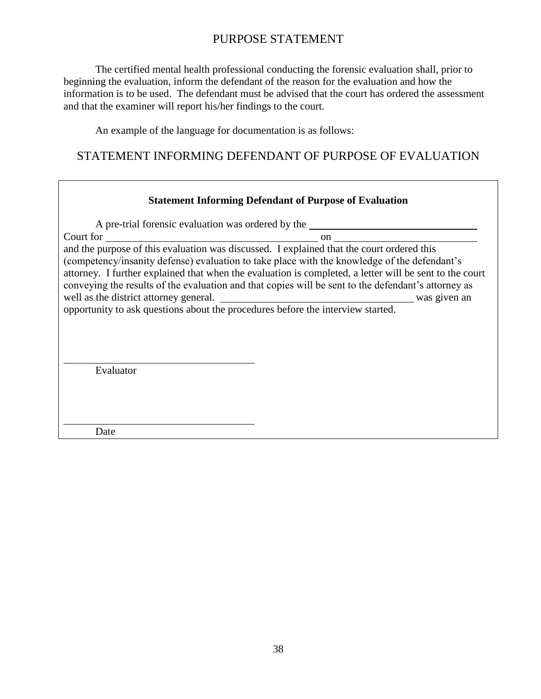# PURPOSE STATEMENT

The certified mental health professional conducting the forensic evaluation shall, prior to beginning the evaluation, inform the defendant of the reason for the evaluation and how the information is to be used. The defendant must be advised that the court has ordered the assessment and that the examiner will report his/her findings to the court.

An example of the language for documentation is as follows:

# STATEMENT INFORMING DEFENDANT OF PURPOSE OF EVALUATION

#### **Statement Informing Defendant of Purpose of Evaluation**

A pre-trial forensic evaluation was ordered by the Court for on and the purpose of this evaluation was discussed. I explained that the court ordered this (competency/insanity defense) evaluation to take place with the knowledge of the defendant's attorney. I further explained that when the evaluation is completed, a letter will be sent to the court conveying the results of the evaluation and that copies will be sent to the defendant's attorney as well as the district attorney general. We was given an was given an opportunity to ask questions about the procedures before the interview started. Evaluator

Date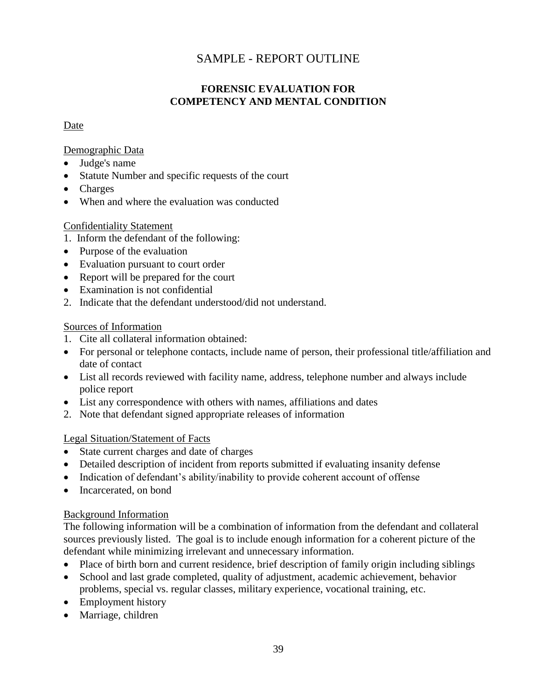# SAMPLE - REPORT OUTLINE

#### **FORENSIC EVALUATION FOR COMPETENCY AND MENTAL CONDITION**

#### Date

#### Demographic Data

- Judge's name
- Statute Number and specific requests of the court
- Charges
- When and where the evaluation was conducted

#### Confidentiality Statement

- 1. Inform the defendant of the following:
- Purpose of the evaluation
- Evaluation pursuant to court order
- Report will be prepared for the court
- Examination is not confidential
- 2. Indicate that the defendant understood/did not understand.

#### Sources of Information

- 1. Cite all collateral information obtained:
- For personal or telephone contacts, include name of person, their professional title/affiliation and date of contact
- List all records reviewed with facility name, address, telephone number and always include police report
- List any correspondence with others with names, affiliations and dates
- 2. Note that defendant signed appropriate releases of information

#### Legal Situation/Statement of Facts

- State current charges and date of charges
- Detailed description of incident from reports submitted if evaluating insanity defense
- Indication of defendant's ability/inability to provide coherent account of offense
- Incarcerated, on bond

#### Background Information

The following information will be a combination of information from the defendant and collateral sources previously listed. The goal is to include enough information for a coherent picture of the defendant while minimizing irrelevant and unnecessary information.

- Place of birth born and current residence, brief description of family origin including siblings
- School and last grade completed, quality of adjustment, academic achievement, behavior problems, special vs. regular classes, military experience, vocational training, etc.
- Employment history
- Marriage, children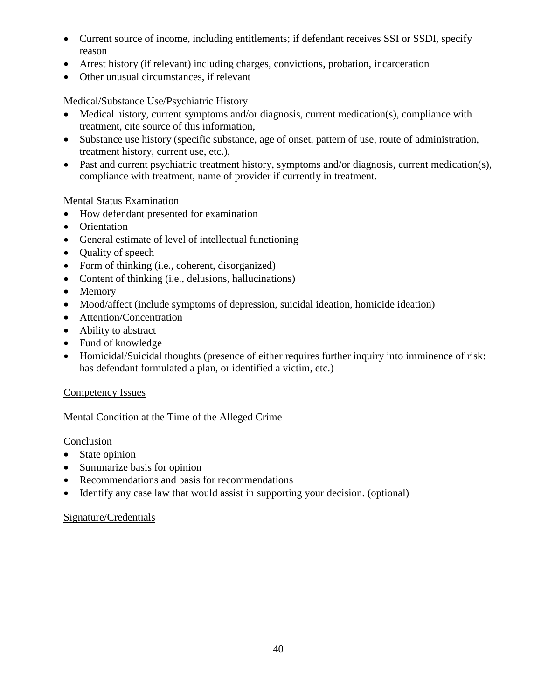- Current source of income, including entitlements; if defendant receives SSI or SSDI, specify reason
- Arrest history (if relevant) including charges, convictions, probation, incarceration
- Other unusual circumstances, if relevant

#### Medical/Substance Use/Psychiatric History

- Medical history, current symptoms and/or diagnosis, current medication(s), compliance with treatment, cite source of this information,
- Substance use history (specific substance, age of onset, pattern of use, route of administration, treatment history, current use, etc.),
- Past and current psychiatric treatment history, symptoms and/or diagnosis, current medication(s), compliance with treatment, name of provider if currently in treatment.

#### Mental Status Examination

- How defendant presented for examination
- Orientation
- General estimate of level of intellectual functioning
- Quality of speech
- Form of thinking (i.e., coherent, disorganized)
- Content of thinking (i.e., delusions, hallucinations)
- Memory
- Mood/affect (include symptoms of depression, suicidal ideation, homicide ideation)
- Attention/Concentration
- Ability to abstract
- Fund of knowledge
- Homicidal/Suicidal thoughts (presence of either requires further inquiry into imminence of risk: has defendant formulated a plan, or identified a victim, etc.)

#### Competency Issues

## Mental Condition at the Time of the Alleged Crime

#### **Conclusion**

- State opinion
- Summarize basis for opinion
- Recommendations and basis for recommendations
- Identify any case law that would assist in supporting your decision. (optional)

#### Signature/Credentials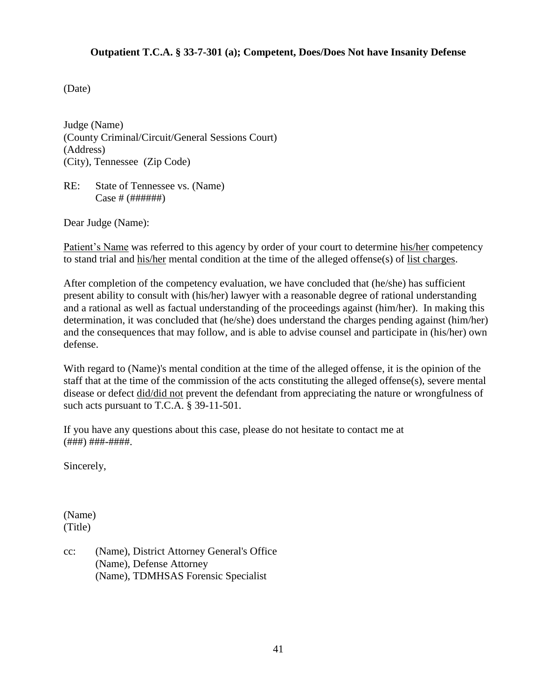#### **Outpatient T.C.A. § 33-7-301 (a); Competent, Does/Does Not have Insanity Defense**

(Date)

Judge (Name) (County Criminal/Circuit/General Sessions Court) (Address) (City), Tennessee (Zip Code)

RE: State of Tennessee vs. (Name) Case # (######)

Dear Judge (Name):

Patient's Name was referred to this agency by order of your court to determine his/her competency to stand trial and his/her mental condition at the time of the alleged offense(s) of list charges.

After completion of the competency evaluation, we have concluded that (he/she) has sufficient present ability to consult with (his/her) lawyer with a reasonable degree of rational understanding and a rational as well as factual understanding of the proceedings against (him/her). In making this determination, it was concluded that (he/she) does understand the charges pending against (him/her) and the consequences that may follow, and is able to advise counsel and participate in (his/her) own defense.

With regard to (Name)'s mental condition at the time of the alleged offense, it is the opinion of the staff that at the time of the commission of the acts constituting the alleged offense(s), severe mental disease or defect did/did not prevent the defendant from appreciating the nature or wrongfulness of such acts pursuant to T.C.A. § 39-11-501.

If you have any questions about this case, please do not hesitate to contact me at (###) ###-####.

Sincerely,

(Name) (Title)

cc: (Name), District Attorney General's Office (Name), Defense Attorney (Name), TDMHSAS Forensic Specialist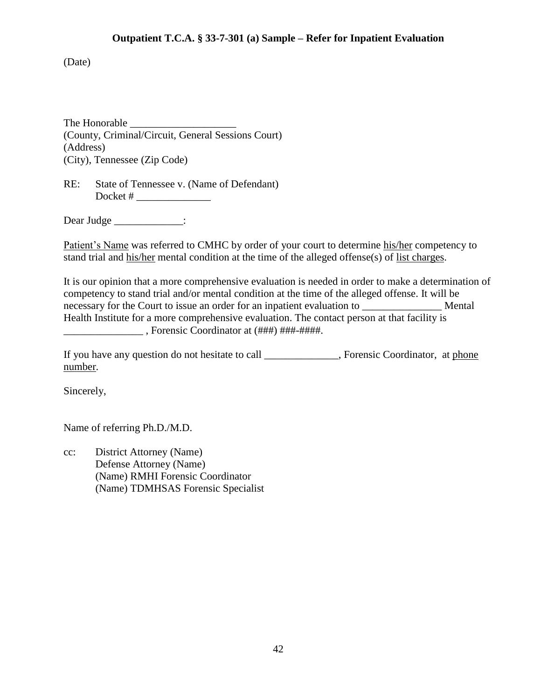#### **Outpatient T.C.A. § 33-7-301 (a) Sample – Refer for Inpatient Evaluation**

(Date)

The Honorable \_\_\_\_\_\_\_\_\_\_\_\_\_\_\_\_\_\_\_\_ (County, Criminal/Circuit, General Sessions Court) (Address) (City), Tennessee (Zip Code)

RE: State of Tennessee v. (Name of Defendant) Docket # \_\_\_\_\_\_\_\_\_\_\_\_\_\_

Dear Judge  $\qquad \qquad$ :

Patient's Name was referred to CMHC by order of your court to determine his/her competency to stand trial and his/her mental condition at the time of the alleged offense(s) of list charges.

It is our opinion that a more comprehensive evaluation is needed in order to make a determination of competency to stand trial and/or mental condition at the time of the alleged offense. It will be necessary for the Court to issue an order for an inpatient evaluation to \_\_\_\_\_\_\_\_\_\_\_\_\_\_\_ Mental Health Institute for a more comprehensive evaluation. The contact person at that facility is \_\_\_\_\_\_\_\_\_\_\_\_\_\_\_ , Forensic Coordinator at (###) ###-####.

If you have any question do not hesitate to call \_\_\_\_\_\_\_\_\_\_\_, Forensic Coordinator, at phone number.

Sincerely,

Name of referring Ph.D./M.D.

cc: District Attorney (Name) Defense Attorney (Name) (Name) RMHI Forensic Coordinator (Name) TDMHSAS Forensic Specialist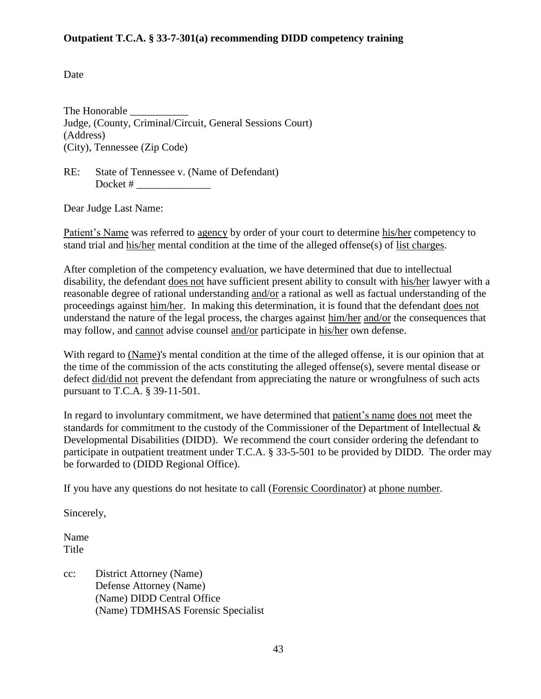#### **Outpatient T.C.A. § 33-7-301(a) recommending DIDD competency training**

Date

The Honorable Judge, (County, Criminal/Circuit, General Sessions Court) (Address) (City), Tennessee (Zip Code)

RE: State of Tennessee v. (Name of Defendant) Docket # \_\_\_\_\_\_\_\_\_\_\_\_\_\_

Dear Judge Last Name:

Patient's Name was referred to agency by order of your court to determine his/her competency to stand trial and his/her mental condition at the time of the alleged offense(s) of list charges.

After completion of the competency evaluation, we have determined that due to intellectual disability, the defendant does not have sufficient present ability to consult with his/her lawyer with a reasonable degree of rational understanding and/or a rational as well as factual understanding of the proceedings against him/her. In making this determination, it is found that the defendant does not understand the nature of the legal process, the charges against him/her and/or the consequences that may follow, and cannot advise counsel and/or participate in his/her own defense.

With regard to (Name)'s mental condition at the time of the alleged offense, it is our opinion that at the time of the commission of the acts constituting the alleged offense(s), severe mental disease or defect did/did not prevent the defendant from appreciating the nature or wrongfulness of such acts pursuant to T.C.A. § 39-11-501.

In regard to involuntary commitment, we have determined that patient's name does not meet the standards for commitment to the custody of the Commissioner of the Department of Intellectual & Developmental Disabilities (DIDD). We recommend the court consider ordering the defendant to participate in outpatient treatment under T.C.A. § 33-5-501 to be provided by DIDD. The order may be forwarded to (DIDD Regional Office).

If you have any questions do not hesitate to call (Forensic Coordinator) at phone number.

Sincerely,

Name Title

cc: District Attorney (Name) Defense Attorney (Name) (Name) DIDD Central Office (Name) TDMHSAS Forensic Specialist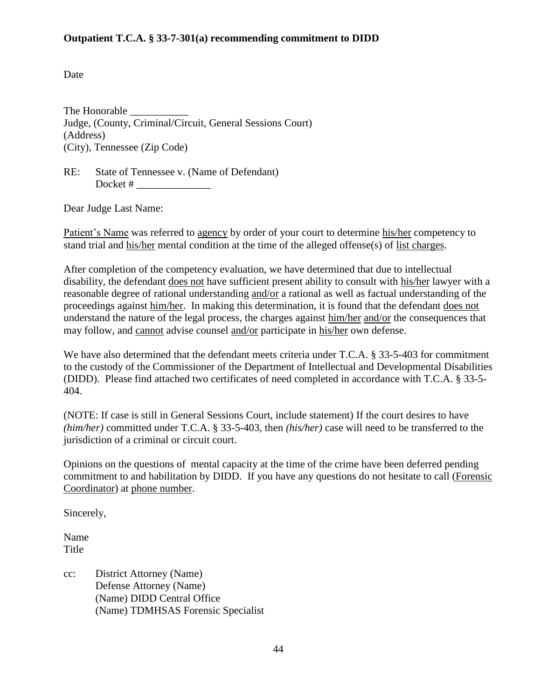#### **Outpatient T.C.A. § 33-7-301(a) recommending commitment to DIDD**

Date

The Honorable Judge, (County, Criminal/Circuit, General Sessions Court) (Address) (City), Tennessee (Zip Code)

RE: State of Tennessee v. (Name of Defendant) Docket # \_\_\_\_\_\_\_\_\_\_\_\_\_\_

Dear Judge Last Name:

Patient's Name was referred to agency by order of your court to determine his/her competency to stand trial and his/her mental condition at the time of the alleged offense(s) of list charges.

After completion of the competency evaluation, we have determined that due to intellectual disability, the defendant does not have sufficient present ability to consult with his/her lawyer with a reasonable degree of rational understanding and/or a rational as well as factual understanding of the proceedings against him/her. In making this determination, it is found that the defendant does not understand the nature of the legal process, the charges against him/her and/or the consequences that may follow, and cannot advise counsel and/or participate in his/her own defense.

We have also determined that the defendant meets criteria under T.C.A. § 33-5-403 for commitment to the custody of the Commissioner of the Department of Intellectual and Developmental Disabilities (DIDD). Please find attached two certificates of need completed in accordance with T.C.A. § 33-5- 404.

(NOTE: If case is still in General Sessions Court, include statement) If the court desires to have *(him/her)* committed under T.C.A. § 33-5-403, then *(his/her)* case will need to be transferred to the jurisdiction of a criminal or circuit court.

Opinions on the questions of mental capacity at the time of the crime have been deferred pending commitment to and habilitation by DIDD. If you have any questions do not hesitate to call (Forensic Coordinator) at phone number.

Sincerely,

Name Title

cc: District Attorney (Name) Defense Attorney (Name) (Name) DIDD Central Office (Name) TDMHSAS Forensic Specialist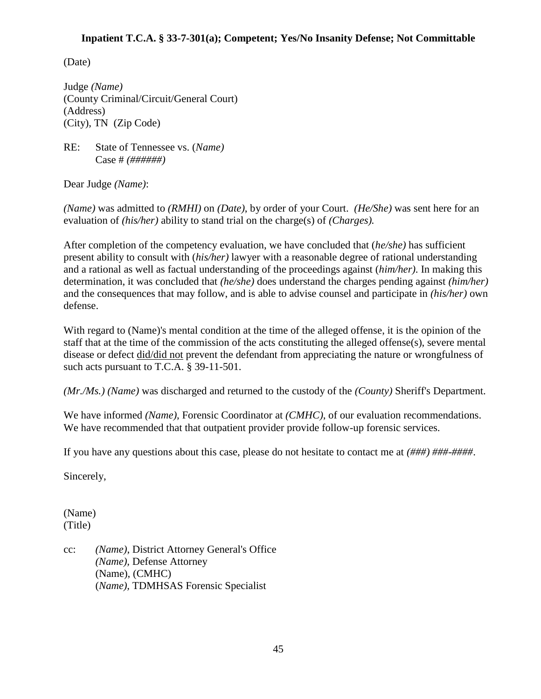#### **Inpatient T.C.A. § 33-7-301(a); Competent; Yes/No Insanity Defense; Not Committable**

(Date)

Judge *(Name)* (County Criminal/Circuit/General Court) (Address) (City), TN (Zip Code)

RE: State of Tennessee vs. (*Name)* Case # *(######)*

Dear Judge *(Name)*:

*(Name)* was admitted to *(RMHI)* on *(Date)*, by order of your Court. *(He/She)* was sent here for an evaluation of *(his/her)* ability to stand trial on the charge(s) of *(Charges).*

After completion of the competency evaluation, we have concluded that (*he/she)* has sufficient present ability to consult with (*his/her)* lawyer with a reasonable degree of rational understanding and a rational as well as factual understanding of the proceedings against (*him/her)*. In making this determination, it was concluded that *(he/she)* does understand the charges pending against *(him/her)*  and the consequences that may follow, and is able to advise counsel and participate in *(his/her)* own defense.

With regard to (Name)'s mental condition at the time of the alleged offense, it is the opinion of the staff that at the time of the commission of the acts constituting the alleged offense(s), severe mental disease or defect did/did not prevent the defendant from appreciating the nature or wrongfulness of such acts pursuant to T.C.A. § 39-11-501.

*(Mr./Ms.) (Name)* was discharged and returned to the custody of the *(County)* Sheriff's Department.

We have informed *(Name)*, Forensic Coordinator at *(CMHC)*, of our evaluation recommendations. We have recommended that that outpatient provider provide follow-up forensic services.

If you have any questions about this case, please do not hesitate to contact me at *(###) ###-####*.

Sincerely,

(Name) (Title)

cc: *(Name)*, District Attorney General's Office *(Name),* Defense Attorney (Name), (CMHC) (*Name),* TDMHSAS Forensic Specialist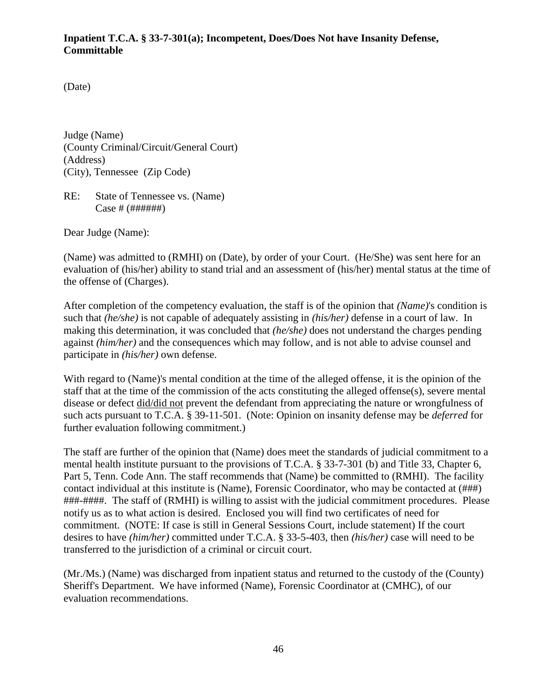#### **Inpatient T.C.A. § 33-7-301(a); Incompetent, Does/Does Not have Insanity Defense, Committable**

(Date)

Judge (Name) (County Criminal/Circuit/General Court) (Address) (City), Tennessee (Zip Code)

RE: State of Tennessee vs. (Name) Case # (######)

Dear Judge (Name):

(Name) was admitted to (RMHI) on (Date), by order of your Court. (He/She) was sent here for an evaluation of (his/her) ability to stand trial and an assessment of (his/her) mental status at the time of the offense of (Charges).

After completion of the competency evaluation, the staff is of the opinion that *(Name)*'s condition is such that *(he/she)* is not capable of adequately assisting in *(his/her)* defense in a court of law. In making this determination, it was concluded that *(he/she)* does not understand the charges pending against *(him/her)* and the consequences which may follow, and is not able to advise counsel and participate in *(his/her)* own defense.

With regard to (Name)'s mental condition at the time of the alleged offense, it is the opinion of the staff that at the time of the commission of the acts constituting the alleged offense(s), severe mental disease or defect did/did not prevent the defendant from appreciating the nature or wrongfulness of such acts pursuant to T.C.A. § 39-11-501. (Note: Opinion on insanity defense may be *deferred* for further evaluation following commitment.)

The staff are further of the opinion that (Name) does meet the standards of judicial commitment to a mental health institute pursuant to the provisions of T.C.A. § 33-7-301 (b) and Title 33, Chapter 6, Part 5, Tenn. Code Ann. The staff recommends that (Name) be committed to (RMHI). The facility contact individual at this institute is (Name), Forensic Coordinator, who may be contacted at (###) ###-####. The staff of (RMHI) is willing to assist with the judicial commitment procedures. Please notify us as to what action is desired. Enclosed you will find two certificates of need for commitment. (NOTE: If case is still in General Sessions Court, include statement) If the court desires to have *(him/her)* committed under T.C.A. § 33-5-403, then *(his/her)* case will need to be transferred to the jurisdiction of a criminal or circuit court.

(Mr./Ms.) (Name) was discharged from inpatient status and returned to the custody of the (County) Sheriff's Department. We have informed (Name), Forensic Coordinator at (CMHC), of our evaluation recommendations.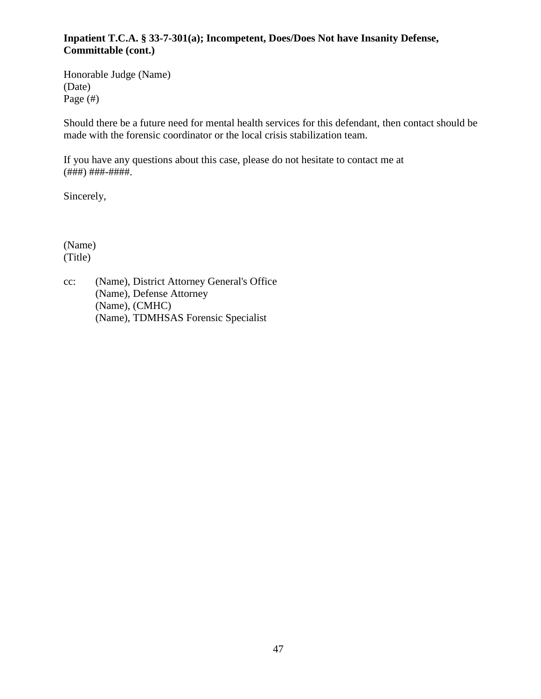### **Inpatient T.C.A. § 33-7-301(a); Incompetent, Does/Does Not have Insanity Defense, Committable (cont.)**

Honorable Judge (Name) (Date) Page (#)

Should there be a future need for mental health services for this defendant, then contact should be made with the forensic coordinator or the local crisis stabilization team.

If you have any questions about this case, please do not hesitate to contact me at (###) ###-####.

Sincerely,

(Name) (Title)

cc: (Name), District Attorney General's Office (Name), Defense Attorney (Name), (CMHC) (Name), TDMHSAS Forensic Specialist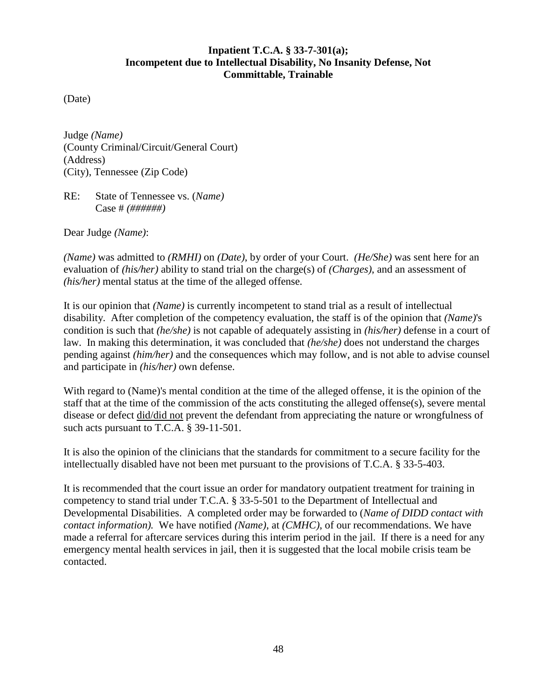#### **Inpatient T.C.A. § 33-7-301(a); Incompetent due to Intellectual Disability, No Insanity Defense, Not Committable, Trainable**

(Date)

Judge *(Name)* (County Criminal/Circuit/General Court) (Address) (City), Tennessee (Zip Code)

RE: State of Tennessee vs. (*Name)* Case # *(######)*

Dear Judge *(Name)*:

*(Name)* was admitted to *(RMHI)* on *(Date)*, by order of your Court. *(He/She)* was sent here for an evaluation of *(his/her)* ability to stand trial on the charge(s) of *(Charges)*, and an assessment of *(his/her)* mental status at the time of the alleged offense*.*

It is our opinion that *(Name)* is currently incompetent to stand trial as a result of intellectual disability. After completion of the competency evaluation, the staff is of the opinion that *(Name)*'s condition is such that *(he/she)* is not capable of adequately assisting in *(his/her)* defense in a court of law. In making this determination, it was concluded that *(he/she)* does not understand the charges pending against *(him/her)* and the consequences which may follow, and is not able to advise counsel and participate in *(his/her)* own defense.

With regard to (Name)'s mental condition at the time of the alleged offense, it is the opinion of the staff that at the time of the commission of the acts constituting the alleged offense(s), severe mental disease or defect did/did not prevent the defendant from appreciating the nature or wrongfulness of such acts pursuant to T.C.A. § 39-11-501.

It is also the opinion of the clinicians that the standards for commitment to a secure facility for the intellectually disabled have not been met pursuant to the provisions of T.C.A. § 33-5-403.

It is recommended that the court issue an order for mandatory outpatient treatment for training in competency to stand trial under T.C.A. § 33-5-501 to the Department of Intellectual and Developmental Disabilities. A completed order may be forwarded to (*Name of DIDD contact with contact information).* We have notified *(Name)*, at *(CMHC)*, of our recommendations. We have made a referral for aftercare services during this interim period in the jail. If there is a need for any emergency mental health services in jail, then it is suggested that the local mobile crisis team be contacted.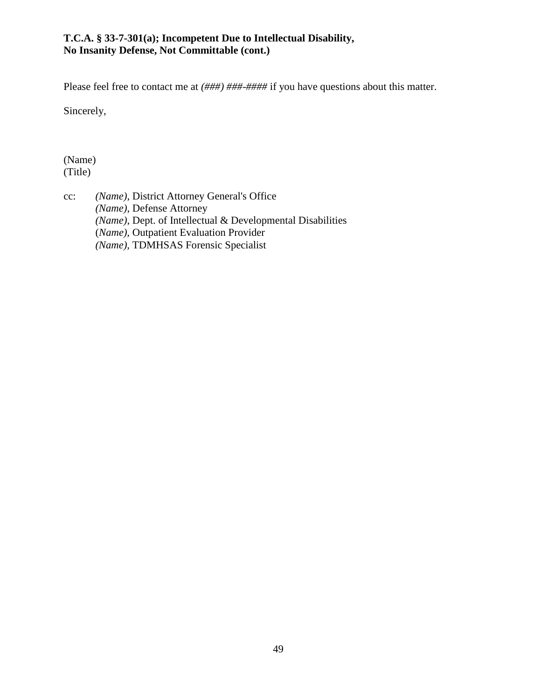#### **T.C.A. § 33-7-301(a); Incompetent Due to Intellectual Disability, No Insanity Defense, Not Committable (cont.)**

Please feel free to contact me at  $(\# \# \#) \# \# \# \# \# \#$  if you have questions about this matter.

Sincerely,

(Name) (Title)

cc: *(Name)*, District Attorney General's Office *(Name)*, Defense Attorney *(Name)*, Dept. of Intellectual & Developmental Disabilities (*Name),* Outpatient Evaluation Provider *(Name),* TDMHSAS Forensic Specialist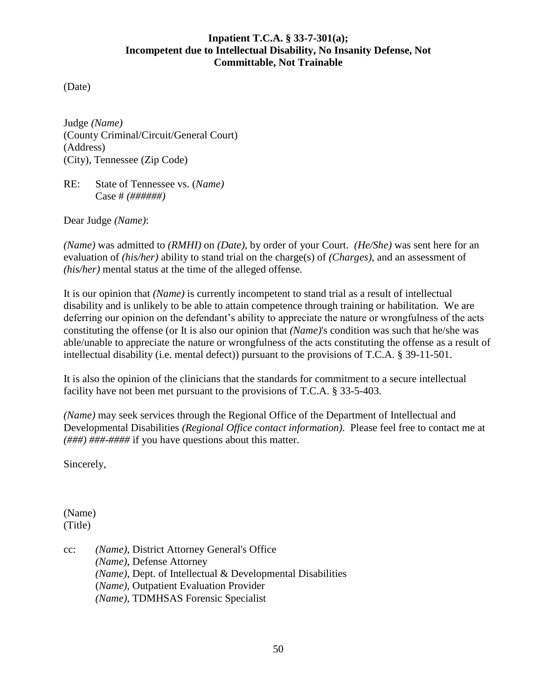#### **Inpatient T.C.A. § 33-7-301(a); Incompetent due to Intellectual Disability, No Insanity Defense, Not Committable, Not Trainable**

(Date)

Judge *(Name)* (County Criminal/Circuit/General Court) (Address) (City), Tennessee (Zip Code)

RE: State of Tennessee vs. (*Name)* Case # *(######)*

Dear Judge *(Name)*:

*(Name)* was admitted to *(RMHI)* on *(Date)*, by order of your Court. *(He/She)* was sent here for an evaluation of *(his/her)* ability to stand trial on the charge(s) of *(Charges)*, and an assessment of *(his/her)* mental status at the time of the alleged offense*.*

It is our opinion that *(Name)* is currently incompetent to stand trial as a result of intellectual disability and is unlikely to be able to attain competence through training or habilitation. We are deferring our opinion on the defendant's ability to appreciate the nature or wrongfulness of the acts constituting the offense (or It is also our opinion that *(Name)*'s condition was such that he/she was able/unable to appreciate the nature or wrongfulness of the acts constituting the offense as a result of intellectual disability (i.e. mental defect)) pursuant to the provisions of T.C.A. § 39-11-501.

It is also the opinion of the clinicians that the standards for commitment to a secure intellectual facility have not been met pursuant to the provisions of T.C.A. § 33-5-403.

*(Name)* may seek services through the Regional Office of the Department of Intellectual and Developmental Disabilities *(Regional Office contact information)*. Please feel free to contact me at *(###) ###-####* if you have questions about this matter.

Sincerely,

(Name) (Title)

cc: *(Name)*, District Attorney General's Office *(Name)*, Defense Attorney *(Name)*, Dept. of Intellectual & Developmental Disabilities (*Name),* Outpatient Evaluation Provider *(Name),* TDMHSAS Forensic Specialist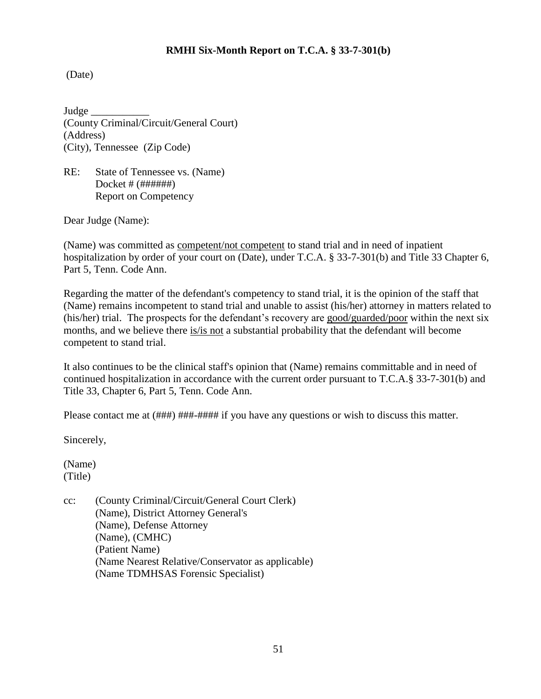#### **RMHI Six-Month Report on T.C.A. § 33-7-301(b)**

(Date)

Judge \_\_\_\_\_\_\_\_\_\_\_ (County Criminal/Circuit/General Court) (Address) (City), Tennessee (Zip Code)

RE: State of Tennessee vs. (Name) Docket # (######) Report on Competency

Dear Judge (Name):

(Name) was committed as competent/not competent to stand trial and in need of inpatient hospitalization by order of your court on (Date), under T.C.A. § 33-7-301(b) and Title 33 Chapter 6, Part 5, Tenn. Code Ann.

Regarding the matter of the defendant's competency to stand trial, it is the opinion of the staff that (Name) remains incompetent to stand trial and unable to assist (his/her) attorney in matters related to (his/her) trial. The prospects for the defendant's recovery are good/guarded/poor within the next six months, and we believe there is/is not a substantial probability that the defendant will become competent to stand trial.

It also continues to be the clinical staff's opinion that (Name) remains committable and in need of continued hospitalization in accordance with the current order pursuant to T.C.A.§ 33-7-301(b) and Title 33, Chapter 6, Part 5, Tenn. Code Ann.

Please contact me at  $(\# \# \#) \# \# \# \# \# \# \#$  if you have any questions or wish to discuss this matter.

Sincerely,

(Name) (Title)

cc: (County Criminal/Circuit/General Court Clerk) (Name), District Attorney General's (Name), Defense Attorney (Name), (CMHC) (Patient Name) (Name Nearest Relative/Conservator as applicable) (Name TDMHSAS Forensic Specialist)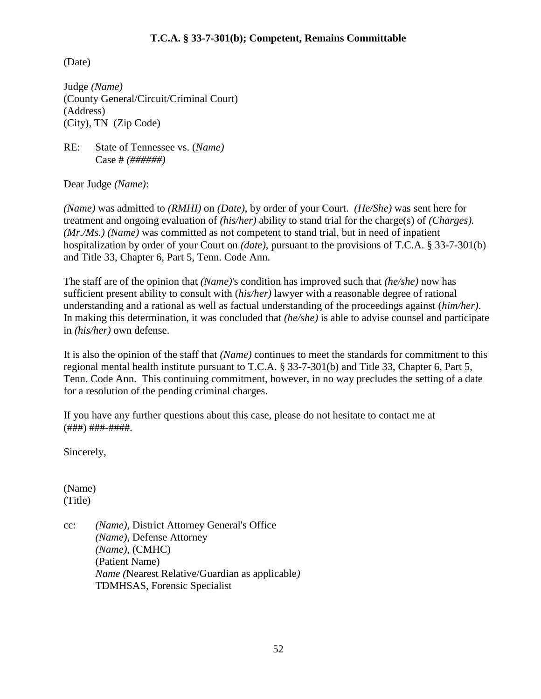#### **T.C.A. § 33-7-301(b); Competent, Remains Committable**

(Date)

Judge *(Name)* (County General/Circuit/Criminal Court) (Address) (City), TN (Zip Code)

RE: State of Tennessee vs. (*Name)* Case # *(######)*

Dear Judge *(Name)*:

*(Name)* was admitted to *(RMHI)* on *(Date)*, by order of your Court. *(He/She)* was sent here for treatment and ongoing evaluation of *(his/her)* ability to stand trial for the charge(s) of *(Charges). (Mr./Ms.) (Name)* was committed as not competent to stand trial, but in need of inpatient hospitalization by order of your Court on *(date)*, pursuant to the provisions of T.C.A. § 33-7-301(b) and Title 33, Chapter 6, Part 5, Tenn. Code Ann.

The staff are of the opinion that *(Name)*'s condition has improved such that *(he/she)* now has sufficient present ability to consult with (*his/her)* lawyer with a reasonable degree of rational understanding and a rational as well as factual understanding of the proceedings against (*him/her)*. In making this determination, it was concluded that *(he/she)* is able to advise counsel and participate in *(his/her)* own defense.

It is also the opinion of the staff that *(Name)* continues to meet the standards for commitment to this regional mental health institute pursuant to T.C.A. § 33-7-301(b) and Title 33, Chapter 6, Part 5, Tenn. Code Ann. This continuing commitment, however, in no way precludes the setting of a date for a resolution of the pending criminal charges.

If you have any further questions about this case, please do not hesitate to contact me at (###) ###-####.

Sincerely,

(Name) (Title)

cc: *(Name)*, District Attorney General's Office *(Name)*, Defense Attorney *(Name)*, (CMHC) (Patient Name) *Name (*Nearest Relative/Guardian as applicable*)* TDMHSAS, Forensic Specialist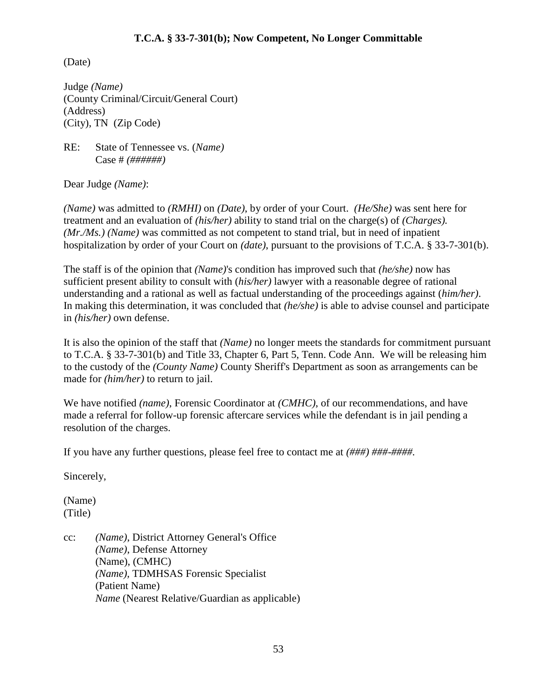#### **T.C.A. § 33-7-301(b); Now Competent, No Longer Committable**

(Date)

Judge *(Name)* (County Criminal/Circuit/General Court) (Address) (City), TN (Zip Code)

RE: State of Tennessee vs. (*Name)* Case # *(######)*

Dear Judge *(Name)*:

*(Name)* was admitted to *(RMHI)* on *(Date)*, by order of your Court. *(He/She)* was sent here for treatment and an evaluation of *(his/her)* ability to stand trial on the charge(s) of *(Charges). (Mr./Ms.) (Name)* was committed as not competent to stand trial, but in need of inpatient hospitalization by order of your Court on *(date)*, pursuant to the provisions of T.C.A. § 33-7-301(b).

The staff is of the opinion that *(Name)*'s condition has improved such that *(he/she)* now has sufficient present ability to consult with (*his/her)* lawyer with a reasonable degree of rational understanding and a rational as well as factual understanding of the proceedings against (*him/her)*. In making this determination, it was concluded that *(he/she)* is able to advise counsel and participate in *(his/her)* own defense.

It is also the opinion of the staff that *(Name)* no longer meets the standards for commitment pursuant to T.C.A. § 33-7-301(b) and Title 33, Chapter 6, Part 5, Tenn. Code Ann. We will be releasing him to the custody of the *(County Name)* County Sheriff's Department as soon as arrangements can be made for *(him/her)* to return to jail.

We have notified *(name)*, Forensic Coordinator at *(CMHC)*, of our recommendations, and have made a referral for follow-up forensic aftercare services while the defendant is in jail pending a resolution of the charges.

If you have any further questions, please feel free to contact me at *(###) ###-####.*

Sincerely,

(Name) (Title)

cc: *(Name)*, District Attorney General's Office *(Name)*, Defense Attorney (Name), (CMHC) *(Name),* TDMHSAS Forensic Specialist (Patient Name) *Name* (Nearest Relative/Guardian as applicable)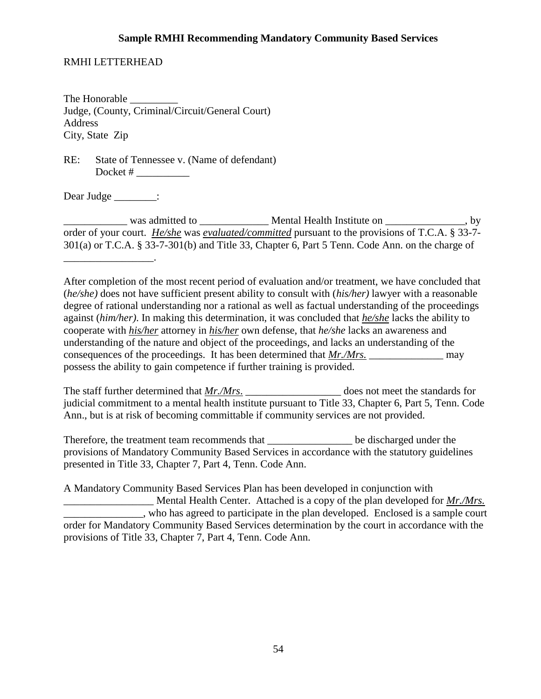#### **Sample RMHI Recommending Mandatory Community Based Services**

#### RMHI LETTERHEAD

The Honorable \_\_\_\_\_\_\_\_\_ Judge, (County, Criminal/Circuit/General Court) Address City, State Zip

RE: State of Tennessee v. (Name of defendant) Docket # \_\_\_\_\_\_\_\_\_\_

Dear Judge \_\_\_\_\_\_\_\_:

\_\_\_\_\_\_\_\_\_\_\_\_\_\_\_\_\_.

was admitted to **Wental Health Institute on**  $\bullet$ , by order of your court. *He/she* was *evaluated/committed* pursuant to the provisions of T.C.A. § 33-7- 301(a) or T.C.A. § 33-7-301(b) and Title 33, Chapter 6, Part 5 Tenn. Code Ann. on the charge of

After completion of the most recent period of evaluation and/or treatment, we have concluded that (*he/she)* does not have sufficient present ability to consult with (*his/her)* lawyer with a reasonable degree of rational understanding nor a rational as well as factual understanding of the proceedings against (*him/her)*. In making this determination, it was concluded that *he/she* lacks the ability to cooperate with *his/her* attorney in *his/her* own defense, that *he/she* lacks an awareness and understanding of the nature and object of the proceedings, and lacks an understanding of the consequences of the proceedings. It has been determined that *Mr./Mrs*. may possess the ability to gain competence if further training is provided.

The staff further determined that <u>*Mr./Mrs*.</u> \_\_\_\_\_\_\_\_\_\_\_\_\_\_\_\_\_\_\_\_\_\_\_\_ does not meet the standards for judicial commitment to a mental health institute pursuant to Title 33, Chapter 6, Part 5, Tenn. Code Ann., but is at risk of becoming committable if community services are not provided.

Therefore, the treatment team recommends that \_\_\_\_\_\_\_\_\_\_\_\_\_\_\_\_ be discharged under the provisions of Mandatory Community Based Services in accordance with the statutory guidelines presented in Title 33, Chapter 7, Part 4, Tenn. Code Ann.

A Mandatory Community Based Services Plan has been developed in conjunction with \_\_\_\_\_\_\_\_\_\_\_\_\_\_\_\_\_ Mental Health Center. Attached is a copy of the plan developed for *Mr./Mrs.* who has agreed to participate in the plan developed. Enclosed is a sample court order for Mandatory Community Based Services determination by the court in accordance with the provisions of Title 33, Chapter 7, Part 4, Tenn. Code Ann.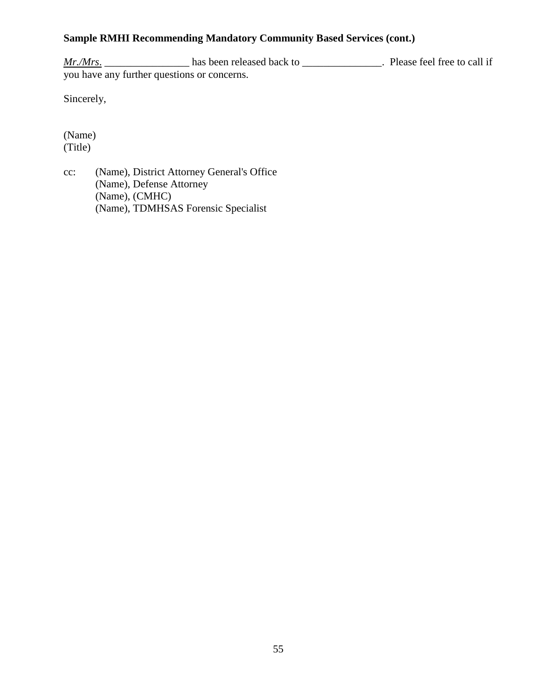## **Sample RMHI Recommending Mandatory Community Based Services (cont.)**

*Mr./Mrs.* \_\_\_\_\_\_\_\_\_\_\_\_\_\_\_\_\_\_\_ has been released back to \_\_\_\_\_\_\_\_\_\_\_\_\_\_\_\_. Please feel free to call if you have any further questions or concerns.

Sincerely,

(Name) (Title)

cc: (Name), District Attorney General's Office (Name), Defense Attorney (Name), (CMHC) (Name), TDMHSAS Forensic Specialist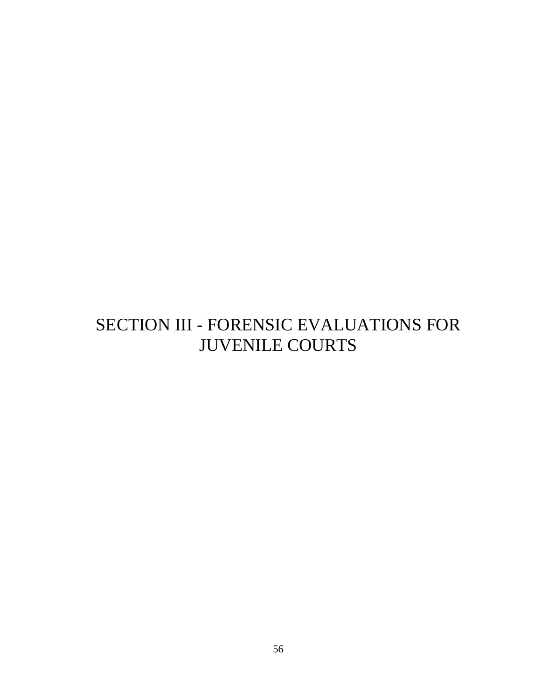# SECTION III - FORENSIC EVALUATIONS FOR JUVENILE COURTS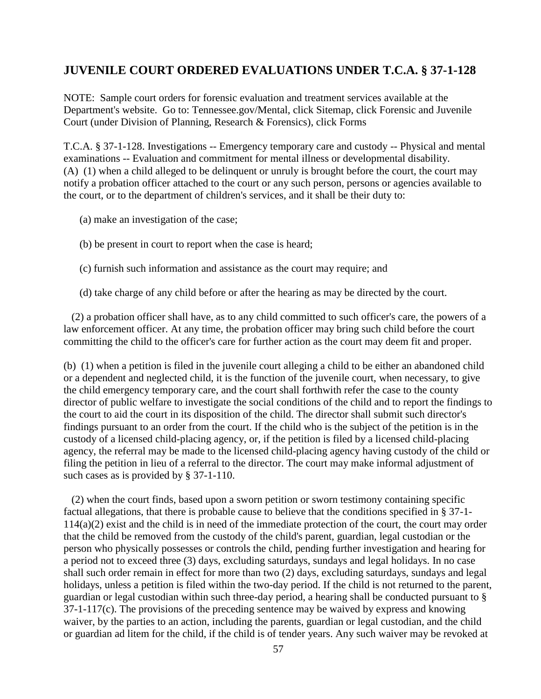## **JUVENILE COURT ORDERED EVALUATIONS UNDER T.C.A. § 37-1-128**

NOTE: Sample court orders for forensic evaluation and treatment services available at the Department's website. Go to: Tennessee.gov/Mental, click Sitemap, click Forensic and Juvenile Court (under Division of Planning, Research & Forensics), click Forms

T.C.A. § 37-1-128. Investigations -- Emergency temporary care and custody -- Physical and mental examinations -- Evaluation and commitment for mental illness or developmental disability. (A) (1) when a child alleged to be delinquent or unruly is brought before the court, the court may notify a probation officer attached to the court or any such person, persons or agencies available to the court, or to the department of children's services, and it shall be their duty to:

- (a) make an investigation of the case;
- (b) be present in court to report when the case is heard;
- (c) furnish such information and assistance as the court may require; and

(d) take charge of any child before or after the hearing as may be directed by the court.

(2) a probation officer shall have, as to any child committed to such officer's care, the powers of a law enforcement officer. At any time, the probation officer may bring such child before the court committing the child to the officer's care for further action as the court may deem fit and proper.

(b) (1) when a petition is filed in the juvenile court alleging a child to be either an abandoned child or a dependent and neglected child, it is the function of the juvenile court, when necessary, to give the child emergency temporary care, and the court shall forthwith refer the case to the county director of public welfare to investigate the social conditions of the child and to report the findings to the court to aid the court in its disposition of the child. The director shall submit such director's findings pursuant to an order from the court. If the child who is the subject of the petition is in the custody of a licensed child-placing agency, or, if the petition is filed by a licensed child-placing agency, the referral may be made to the licensed child-placing agency having custody of the child or filing the petition in lieu of a referral to the director. The court may make informal adjustment of such cases as is provided by § 37-1-110.

(2) when the court finds, based upon a sworn petition or sworn testimony containing specific factual allegations, that there is probable cause to believe that the conditions specified in § 37-1- 114(a)(2) exist and the child is in need of the immediate protection of the court, the court may order that the child be removed from the custody of the child's parent, guardian, legal custodian or the person who physically possesses or controls the child, pending further investigation and hearing for a period not to exceed three (3) days, excluding saturdays, sundays and legal holidays. In no case shall such order remain in effect for more than two (2) days, excluding saturdays, sundays and legal holidays, unless a petition is filed within the two-day period. If the child is not returned to the parent, guardian or legal custodian within such three-day period, a hearing shall be conducted pursuant to § 37-1-117(c). The provisions of the preceding sentence may be waived by express and knowing waiver, by the parties to an action, including the parents, guardian or legal custodian, and the child or guardian ad litem for the child, if the child is of tender years. Any such waiver may be revoked at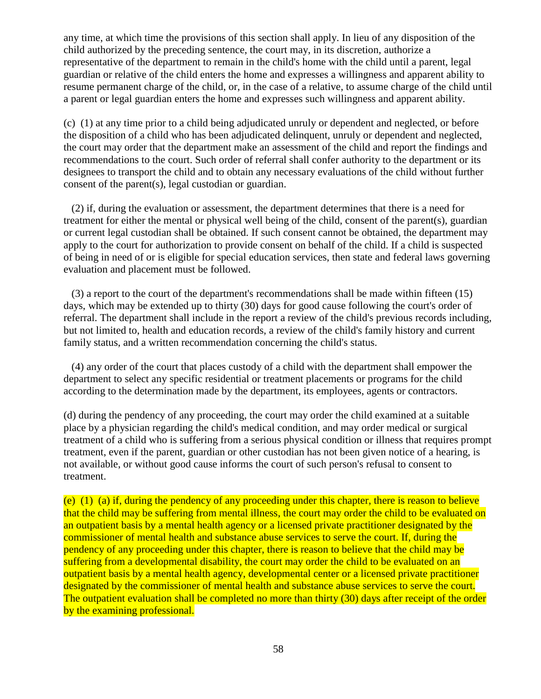any time, at which time the provisions of this section shall apply. In lieu of any disposition of the child authorized by the preceding sentence, the court may, in its discretion, authorize a representative of the department to remain in the child's home with the child until a parent, legal guardian or relative of the child enters the home and expresses a willingness and apparent ability to resume permanent charge of the child, or, in the case of a relative, to assume charge of the child until a parent or legal guardian enters the home and expresses such willingness and apparent ability.

(c) (1) at any time prior to a child being adjudicated unruly or dependent and neglected, or before the disposition of a child who has been adjudicated delinquent, unruly or dependent and neglected, the court may order that the department make an assessment of the child and report the findings and recommendations to the court. Such order of referral shall confer authority to the department or its designees to transport the child and to obtain any necessary evaluations of the child without further consent of the parent(s), legal custodian or guardian.

(2) if, during the evaluation or assessment, the department determines that there is a need for treatment for either the mental or physical well being of the child, consent of the parent(s), guardian or current legal custodian shall be obtained. If such consent cannot be obtained, the department may apply to the court for authorization to provide consent on behalf of the child. If a child is suspected of being in need of or is eligible for special education services, then state and federal laws governing evaluation and placement must be followed.

(3) a report to the court of the department's recommendations shall be made within fifteen (15) days, which may be extended up to thirty (30) days for good cause following the court's order of referral. The department shall include in the report a review of the child's previous records including, but not limited to, health and education records, a review of the child's family history and current family status, and a written recommendation concerning the child's status.

(4) any order of the court that places custody of a child with the department shall empower the department to select any specific residential or treatment placements or programs for the child according to the determination made by the department, its employees, agents or contractors.

(d) during the pendency of any proceeding, the court may order the child examined at a suitable place by a physician regarding the child's medical condition, and may order medical or surgical treatment of a child who is suffering from a serious physical condition or illness that requires prompt treatment, even if the parent, guardian or other custodian has not been given notice of a hearing, is not available, or without good cause informs the court of such person's refusal to consent to treatment.

(e) (1) (a) if, during the pendency of any proceeding under this chapter, there is reason to believe that the child may be suffering from mental illness, the court may order the child to be evaluated on an outpatient basis by a mental health agency or a licensed private practitioner designated by the commissioner of mental health and substance abuse services to serve the court. If, during the pendency of any proceeding under this chapter, there is reason to believe that the child may be suffering from a developmental disability, the court may order the child to be evaluated on an outpatient basis by a mental health agency, developmental center or a licensed private practitioner designated by the commissioner of mental health and substance abuse services to serve the court. The outpatient evaluation shall be completed no more than thirty (30) days after receipt of the order by the examining professional.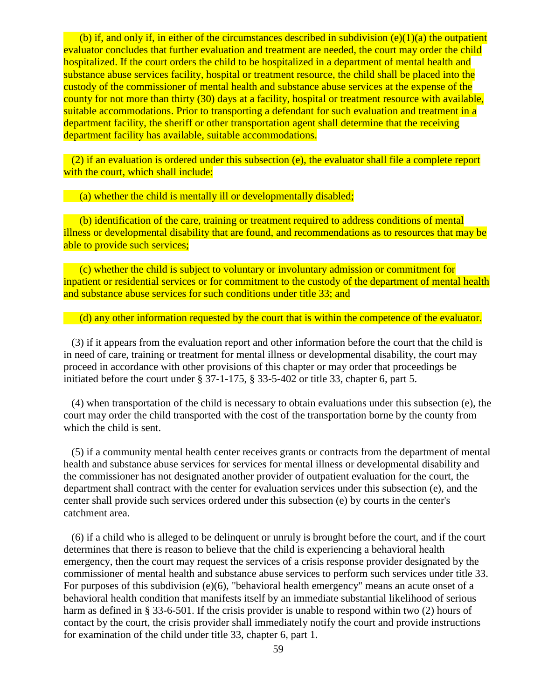(b) if, and only if, in either of the circumstances described in subdivision  $(e)(1)(a)$  the outpatient evaluator concludes that further evaluation and treatment are needed, the court may order the child hospitalized. If the court orders the child to be hospitalized in a department of mental health and substance abuse services facility, hospital or treatment resource, the child shall be placed into the custody of the commissioner of mental health and substance abuse services at the expense of the county for not more than thirty (30) days at a facility, hospital or treatment resource with available, suitable accommodations. Prior to transporting a defendant for such evaluation and treatment in a department facility, the sheriff or other transportation agent shall determine that the receiving department facility has available, suitable accommodations.

(2) if an evaluation is ordered under this subsection (e), the evaluator shall file a complete report with the court, which shall include:

(a) whether the child is mentally ill or developmentally disabled;

(b) identification of the care, training or treatment required to address conditions of mental illness or developmental disability that are found, and recommendations as to resources that may be able to provide such services;

(c) whether the child is subject to voluntary or involuntary admission or commitment for inpatient or residential services or for commitment to the custody of the department of mental health and substance abuse services for such conditions under title 33; and

(d) any other information requested by the court that is within the competence of the evaluator.

(3) if it appears from the evaluation report and other information before the court that the child is in need of care, training or treatment for mental illness or developmental disability, the court may proceed in accordance with other provisions of this chapter or may order that proceedings be initiated before the court under § 37-1-175, § 33-5-402 or title 33, chapter 6, part 5.

(4) when transportation of the child is necessary to obtain evaluations under this subsection (e), the court may order the child transported with the cost of the transportation borne by the county from which the child is sent.

(5) if a community mental health center receives grants or contracts from the department of mental health and substance abuse services for services for mental illness or developmental disability and the commissioner has not designated another provider of outpatient evaluation for the court, the department shall contract with the center for evaluation services under this subsection (e), and the center shall provide such services ordered under this subsection (e) by courts in the center's catchment area.

(6) if a child who is alleged to be delinquent or unruly is brought before the court, and if the court determines that there is reason to believe that the child is experiencing a behavioral health emergency, then the court may request the services of a crisis response provider designated by the commissioner of mental health and substance abuse services to perform such services under title 33. For purposes of this subdivision (e)(6), "behavioral health emergency" means an acute onset of a behavioral health condition that manifests itself by an immediate substantial likelihood of serious harm as defined in § 33-6-501. If the crisis provider is unable to respond within two (2) hours of contact by the court, the crisis provider shall immediately notify the court and provide instructions for examination of the child under title 33, chapter 6, part 1.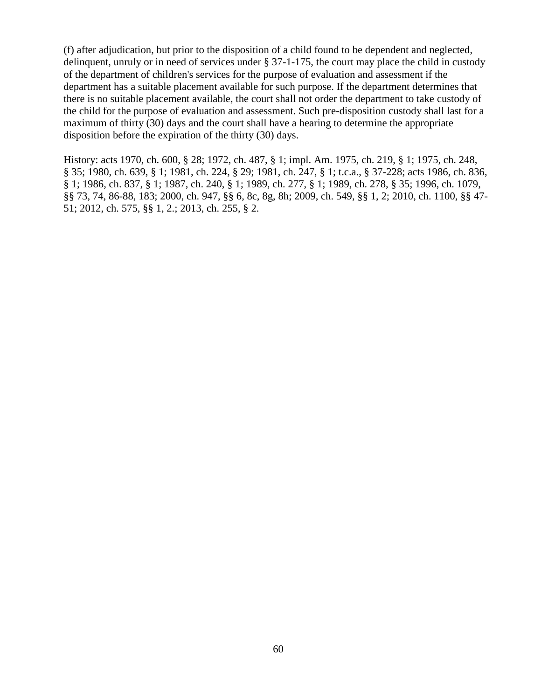(f) after adjudication, but prior to the disposition of a child found to be dependent and neglected, delinquent, unruly or in need of services under § 37-1-175, the court may place the child in custody of the department of children's services for the purpose of evaluation and assessment if the department has a suitable placement available for such purpose. If the department determines that there is no suitable placement available, the court shall not order the department to take custody of the child for the purpose of evaluation and assessment. Such pre-disposition custody shall last for a maximum of thirty (30) days and the court shall have a hearing to determine the appropriate disposition before the expiration of the thirty (30) days.

History: acts 1970, ch. 600, § 28; 1972, ch. 487, § 1; impl. Am. 1975, ch. 219, § 1; 1975, ch. 248, § 35; 1980, ch. 639, § 1; 1981, ch. 224, § 29; 1981, ch. 247, § 1; t.c.a., § 37-228; acts 1986, ch. 836, § 1; 1986, ch. 837, § 1; 1987, ch. 240, § 1; 1989, ch. 277, § 1; 1989, ch. 278, § 35; 1996, ch. 1079, §§ 73, 74, 86-88, 183; 2000, ch. 947, §§ 6, 8c, 8g, 8h; 2009, ch. 549, §§ 1, 2; 2010, ch. 1100, §§ 47- 51; 2012, ch. 575, §§ 1, 2.; 2013, ch. 255, § 2.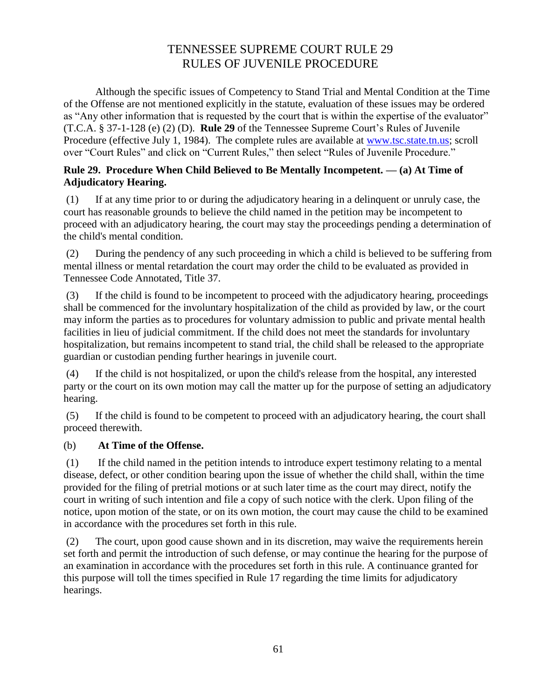# TENNESSEE SUPREME COURT RULE 29 RULES OF JUVENILE PROCEDURE

Although the specific issues of Competency to Stand Trial and Mental Condition at the Time of the Offense are not mentioned explicitly in the statute, evaluation of these issues may be ordered as "Any other information that is requested by the court that is within the expertise of the evaluator" (T.C.A. § 37-1-128 (e) (2) (D). **Rule 29** of the Tennessee Supreme Court's Rules of Juvenile Procedure (effective July 1, 1984). The complete rules are available at [www.tsc.state.tn.us;](http://www.tsc.state.tn.us/) scroll over "Court Rules" and click on "Current Rules," then select "Rules of Juvenile Procedure."

## **Rule 29. Procedure When Child Believed to Be Mentally Incompetent. — (a) At Time of Adjudicatory Hearing.**

(1) If at any time prior to or during the adjudicatory hearing in a delinquent or unruly case, the court has reasonable grounds to believe the child named in the petition may be incompetent to proceed with an adjudicatory hearing, the court may stay the proceedings pending a determination of the child's mental condition.

(2) During the pendency of any such proceeding in which a child is believed to be suffering from mental illness or mental retardation the court may order the child to be evaluated as provided in Tennessee Code Annotated, Title 37.

(3) If the child is found to be incompetent to proceed with the adjudicatory hearing, proceedings shall be commenced for the involuntary hospitalization of the child as provided by law, or the court may inform the parties as to procedures for voluntary admission to public and private mental health facilities in lieu of judicial commitment. If the child does not meet the standards for involuntary hospitalization, but remains incompetent to stand trial, the child shall be released to the appropriate guardian or custodian pending further hearings in juvenile court.

(4) If the child is not hospitalized, or upon the child's release from the hospital, any interested party or the court on its own motion may call the matter up for the purpose of setting an adjudicatory hearing.

(5) If the child is found to be competent to proceed with an adjudicatory hearing, the court shall proceed therewith.

## (b) **At Time of the Offense.**

(1) If the child named in the petition intends to introduce expert testimony relating to a mental disease, defect, or other condition bearing upon the issue of whether the child shall, within the time provided for the filing of pretrial motions or at such later time as the court may direct, notify the court in writing of such intention and file a copy of such notice with the clerk. Upon filing of the notice, upon motion of the state, or on its own motion, the court may cause the child to be examined in accordance with the procedures set forth in this rule.

(2) The court, upon good cause shown and in its discretion, may waive the requirements herein set forth and permit the introduction of such defense, or may continue the hearing for the purpose of an examination in accordance with the procedures set forth in this rule. A continuance granted for this purpose will toll the times specified in Rule 17 regarding the time limits for adjudicatory hearings.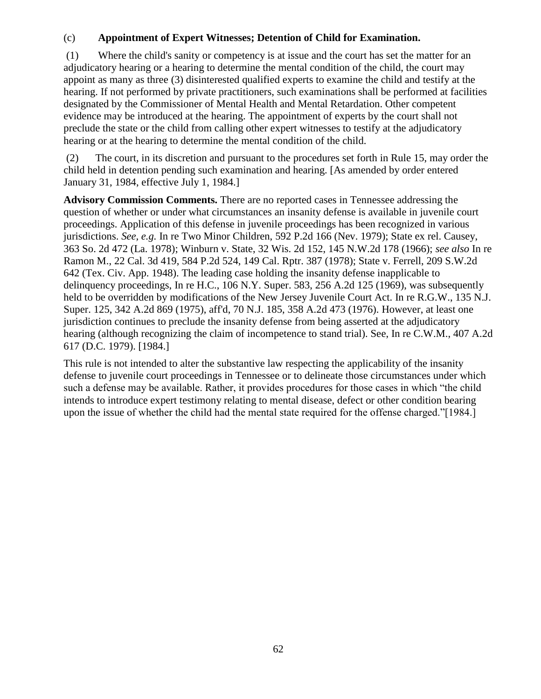#### (c) **Appointment of Expert Witnesses; Detention of Child for Examination.**

(1) Where the child's sanity or competency is at issue and the court has set the matter for an adjudicatory hearing or a hearing to determine the mental condition of the child, the court may appoint as many as three (3) disinterested qualified experts to examine the child and testify at the hearing. If not performed by private practitioners, such examinations shall be performed at facilities designated by the Commissioner of Mental Health and Mental Retardation. Other competent evidence may be introduced at the hearing. The appointment of experts by the court shall not preclude the state or the child from calling other expert witnesses to testify at the adjudicatory hearing or at the hearing to determine the mental condition of the child.

(2) The court, in its discretion and pursuant to the procedures set forth in Rule 15, may order the child held in detention pending such examination and hearing. [As amended by order entered January 31, 1984, effective July 1, 1984.]

**Advisory Commission Comments.** There are no reported cases in Tennessee addressing the question of whether or under what circumstances an insanity defense is available in juvenile court proceedings. Application of this defense in juvenile proceedings has been recognized in various jurisdictions. *See, e.g.* In re Two Minor Children, 592 P.2d 166 (Nev. 1979); State ex rel. Causey, 363 So. 2d 472 (La. 1978); Winburn v. State, 32 Wis. 2d 152, 145 N.W.2d 178 (1966); *see also* In re Ramon M., 22 Cal. 3d 419, 584 P.2d 524, 149 Cal. Rptr. 387 (1978); State v. Ferrell, 209 S.W.2d 642 (Tex. Civ. App. 1948). The leading case holding the insanity defense inapplicable to delinquency proceedings, In re H.C., 106 N.Y. Super. 583, 256 A.2d 125 (1969), was subsequently held to be overridden by modifications of the New Jersey Juvenile Court Act. In re R.G.W., 135 N.J. Super. 125, 342 A.2d 869 (1975), aff'd, 70 N.J. 185, 358 A.2d 473 (1976). However, at least one jurisdiction continues to preclude the insanity defense from being asserted at the adjudicatory hearing (although recognizing the claim of incompetence to stand trial). See, In re C.W.M., 407 A.2d 617 (D.C. 1979). [1984.]

This rule is not intended to alter the substantive law respecting the applicability of the insanity defense to juvenile court proceedings in Tennessee or to delineate those circumstances under which such a defense may be available. Rather, it provides procedures for those cases in which "the child intends to introduce expert testimony relating to mental disease, defect or other condition bearing upon the issue of whether the child had the mental state required for the offense charged."[1984.]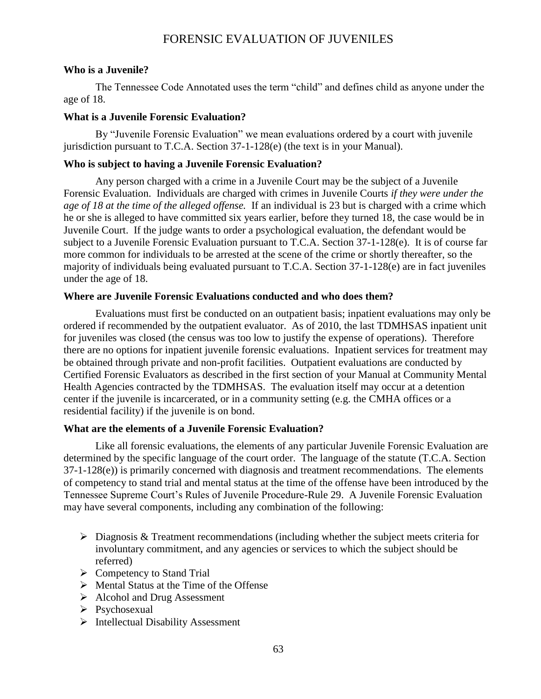## FORENSIC EVALUATION OF JUVENILES

#### **Who is a Juvenile?**

The Tennessee Code Annotated uses the term "child" and defines child as anyone under the age of 18.

#### **What is a Juvenile Forensic Evaluation?**

By "Juvenile Forensic Evaluation" we mean evaluations ordered by a court with juvenile jurisdiction pursuant to T.C.A. Section 37-1-128(e) (the text is in your Manual).

#### **Who is subject to having a Juvenile Forensic Evaluation?**

Any person charged with a crime in a Juvenile Court may be the subject of a Juvenile Forensic Evaluation. Individuals are charged with crimes in Juvenile Courts *if they were under the age of 18 at the time of the alleged offense.* If an individual is 23 but is charged with a crime which he or she is alleged to have committed six years earlier, before they turned 18, the case would be in Juvenile Court. If the judge wants to order a psychological evaluation, the defendant would be subject to a Juvenile Forensic Evaluation pursuant to T.C.A. Section 37-1-128(e). It is of course far more common for individuals to be arrested at the scene of the crime or shortly thereafter, so the majority of individuals being evaluated pursuant to T.C.A. Section 37-1-128(e) are in fact juveniles under the age of 18.

#### **Where are Juvenile Forensic Evaluations conducted and who does them?**

Evaluations must first be conducted on an outpatient basis; inpatient evaluations may only be ordered if recommended by the outpatient evaluator. As of 2010, the last TDMHSAS inpatient unit for juveniles was closed (the census was too low to justify the expense of operations). Therefore there are no options for inpatient juvenile forensic evaluations. Inpatient services for treatment may be obtained through private and non-profit facilities. Outpatient evaluations are conducted by Certified Forensic Evaluators as described in the first section of your Manual at Community Mental Health Agencies contracted by the TDMHSAS. The evaluation itself may occur at a detention center if the juvenile is incarcerated, or in a community setting (e.g. the CMHA offices or a residential facility) if the juvenile is on bond.

#### **What are the elements of a Juvenile Forensic Evaluation?**

Like all forensic evaluations, the elements of any particular Juvenile Forensic Evaluation are determined by the specific language of the court order. The language of the statute (T.C.A. Section 37-1-128(e)) is primarily concerned with diagnosis and treatment recommendations. The elements of competency to stand trial and mental status at the time of the offense have been introduced by the Tennessee Supreme Court's Rules of Juvenile Procedure-Rule 29. A Juvenile Forensic Evaluation may have several components, including any combination of the following:

- $\triangleright$  Diagnosis & Treatment recommendations (including whether the subject meets criteria for involuntary commitment, and any agencies or services to which the subject should be referred)
- $\triangleright$  Competency to Stand Trial
- $\triangleright$  Mental Status at the Time of the Offense
- $\triangleright$  Alcohol and Drug Assessment
- > Psychosexual
- > Intellectual Disability Assessment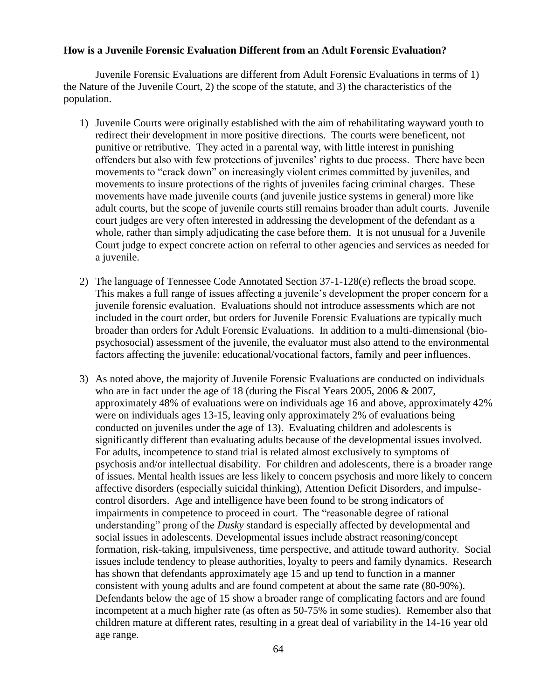#### **How is a Juvenile Forensic Evaluation Different from an Adult Forensic Evaluation?**

Juvenile Forensic Evaluations are different from Adult Forensic Evaluations in terms of 1) the Nature of the Juvenile Court, 2) the scope of the statute, and 3) the characteristics of the population.

- 1) Juvenile Courts were originally established with the aim of rehabilitating wayward youth to redirect their development in more positive directions. The courts were beneficent, not punitive or retributive. They acted in a parental way, with little interest in punishing offenders but also with few protections of juveniles' rights to due process. There have been movements to "crack down" on increasingly violent crimes committed by juveniles, and movements to insure protections of the rights of juveniles facing criminal charges. These movements have made juvenile courts (and juvenile justice systems in general) more like adult courts, but the scope of juvenile courts still remains broader than adult courts. Juvenile court judges are very often interested in addressing the development of the defendant as a whole, rather than simply adjudicating the case before them. It is not unusual for a Juvenile Court judge to expect concrete action on referral to other agencies and services as needed for a juvenile.
- 2) The language of Tennessee Code Annotated Section 37-1-128(e) reflects the broad scope. This makes a full range of issues affecting a juvenile's development the proper concern for a juvenile forensic evaluation. Evaluations should not introduce assessments which are not included in the court order, but orders for Juvenile Forensic Evaluations are typically much broader than orders for Adult Forensic Evaluations. In addition to a multi-dimensional (biopsychosocial) assessment of the juvenile, the evaluator must also attend to the environmental factors affecting the juvenile: educational/vocational factors, family and peer influences.
- 3) As noted above, the majority of Juvenile Forensic Evaluations are conducted on individuals who are in fact under the age of 18 (during the Fiscal Years 2005, 2006 & 2007, approximately 48% of evaluations were on individuals age 16 and above, approximately 42% were on individuals ages 13-15, leaving only approximately 2% of evaluations being conducted on juveniles under the age of 13). Evaluating children and adolescents is significantly different than evaluating adults because of the developmental issues involved. For adults, incompetence to stand trial is related almost exclusively to symptoms of psychosis and/or intellectual disability. For children and adolescents, there is a broader range of issues. Mental health issues are less likely to concern psychosis and more likely to concern affective disorders (especially suicidal thinking), Attention Deficit Disorders, and impulsecontrol disorders. Age and intelligence have been found to be strong indicators of impairments in competence to proceed in court. The "reasonable degree of rational understanding" prong of the *Dusky* standard is especially affected by developmental and social issues in adolescents. Developmental issues include abstract reasoning/concept formation, risk-taking, impulsiveness, time perspective, and attitude toward authority. Social issues include tendency to please authorities, loyalty to peers and family dynamics. Research has shown that defendants approximately age 15 and up tend to function in a manner consistent with young adults and are found competent at about the same rate (80-90%). Defendants below the age of 15 show a broader range of complicating factors and are found incompetent at a much higher rate (as often as 50-75% in some studies). Remember also that children mature at different rates, resulting in a great deal of variability in the 14-16 year old age range.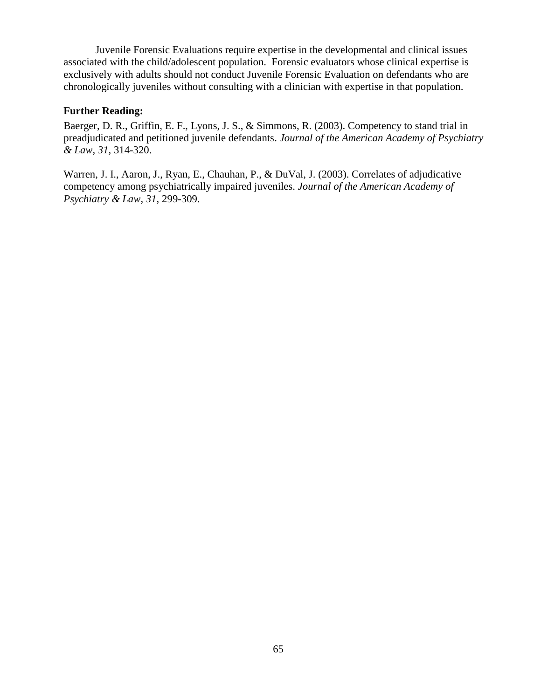Juvenile Forensic Evaluations require expertise in the developmental and clinical issues associated with the child/adolescent population. Forensic evaluators whose clinical expertise is exclusively with adults should not conduct Juvenile Forensic Evaluation on defendants who are chronologically juveniles without consulting with a clinician with expertise in that population.

#### **Further Reading:**

Baerger, D. R., Griffin, E. F., Lyons, J. S., & Simmons, R. (2003). Competency to stand trial in preadjudicated and petitioned juvenile defendants. *Journal of the American Academy of Psychiatry & Law, 31,* 314-320.

Warren, J. I., Aaron, J., Ryan, E., Chauhan, P., & DuVal, J. (2003). Correlates of adjudicative competency among psychiatrically impaired juveniles. *Journal of the American Academy of Psychiatry & Law, 31,* 299-309.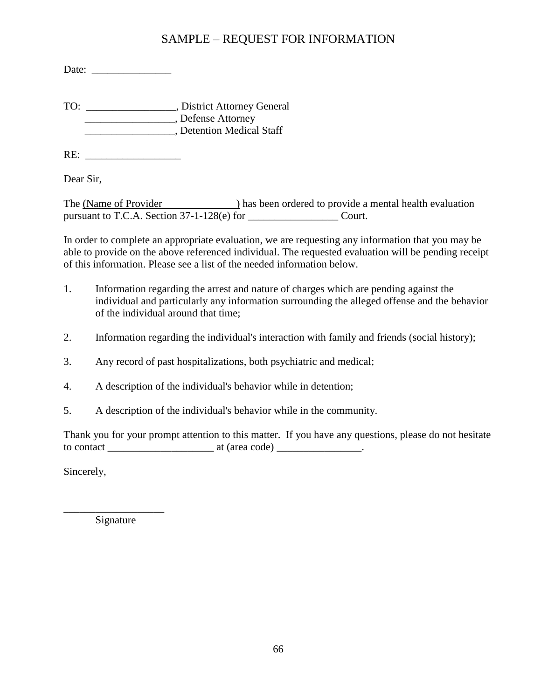# SAMPLE – REQUEST FOR INFORMATION

Date:

TO: \_\_\_\_\_\_\_\_\_\_\_\_\_\_\_\_\_, District Attorney General \_\_\_\_\_\_\_\_\_\_\_\_\_\_\_\_\_, Defense Attorney \_\_\_\_\_\_\_\_\_\_\_\_\_\_\_\_\_, Detention Medical Staff

RE:

Dear Sir,

The (Name of Provider ) has been ordered to provide a mental health evaluation pursuant to T.C.A. Section 37-1-128(e) for \_\_\_\_\_\_\_\_\_\_\_\_\_\_\_\_\_\_\_\_\_\_\_Court.

In order to complete an appropriate evaluation, we are requesting any information that you may be able to provide on the above referenced individual. The requested evaluation will be pending receipt of this information. Please see a list of the needed information below.

- 1. Information regarding the arrest and nature of charges which are pending against the individual and particularly any information surrounding the alleged offense and the behavior of the individual around that time;
- 2. Information regarding the individual's interaction with family and friends (social history);
- 3. Any record of past hospitalizations, both psychiatric and medical;
- 4. A description of the individual's behavior while in detention;
- 5. A description of the individual's behavior while in the community.

Thank you for your prompt attention to this matter. If you have any questions, please do not hesitate to contact  $\frac{1}{\sqrt{1-\frac{1}{n}}}\$  at (area code)  $\frac{1}{\sqrt{1-\frac{1}{n}}}\$ .

Sincerely,

\_\_\_\_\_\_\_\_\_\_\_\_\_\_\_\_\_\_\_ Signature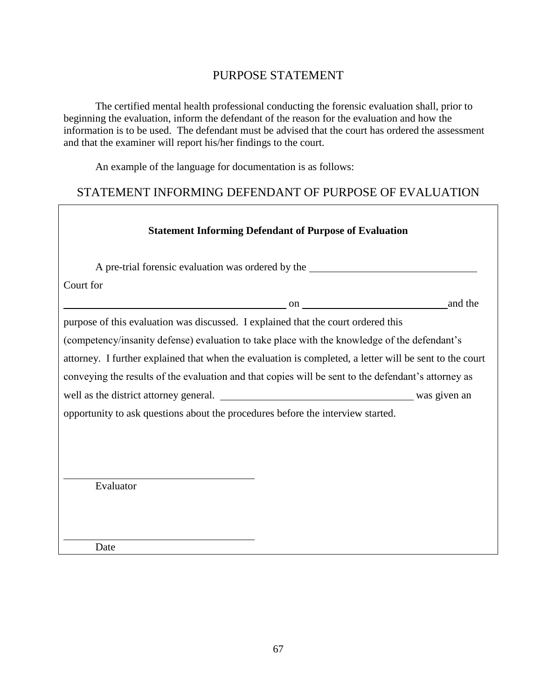# PURPOSE STATEMENT

The certified mental health professional conducting the forensic evaluation shall, prior to beginning the evaluation, inform the defendant of the reason for the evaluation and how the information is to be used. The defendant must be advised that the court has ordered the assessment and that the examiner will report his/her findings to the court.

An example of the language for documentation is as follows:

# STATEMENT INFORMING DEFENDANT OF PURPOSE OF EVALUATION

٦

|                                                                                                         | <b>Statement Informing Defendant of Purpose of Evaluation</b> |         |  |  |  |  |
|---------------------------------------------------------------------------------------------------------|---------------------------------------------------------------|---------|--|--|--|--|
| A pre-trial forensic evaluation was ordered by the                                                      |                                                               |         |  |  |  |  |
| Court for                                                                                               |                                                               |         |  |  |  |  |
| $\sim$ 00 $\sim$ 00 $\sim$                                                                              |                                                               | and the |  |  |  |  |
| purpose of this evaluation was discussed. I explained that the court ordered this                       |                                                               |         |  |  |  |  |
| (competency/insanity defense) evaluation to take place with the knowledge of the defendant's            |                                                               |         |  |  |  |  |
| attorney. I further explained that when the evaluation is completed, a letter will be sent to the court |                                                               |         |  |  |  |  |
| conveying the results of the evaluation and that copies will be sent to the defendant's attorney as     |                                                               |         |  |  |  |  |
|                                                                                                         |                                                               |         |  |  |  |  |
| opportunity to ask questions about the procedures before the interview started.                         |                                                               |         |  |  |  |  |
|                                                                                                         |                                                               |         |  |  |  |  |
|                                                                                                         |                                                               |         |  |  |  |  |
|                                                                                                         |                                                               |         |  |  |  |  |
| Evaluator                                                                                               |                                                               |         |  |  |  |  |
|                                                                                                         |                                                               |         |  |  |  |  |
|                                                                                                         |                                                               |         |  |  |  |  |
|                                                                                                         |                                                               |         |  |  |  |  |

Date

 $\Gamma$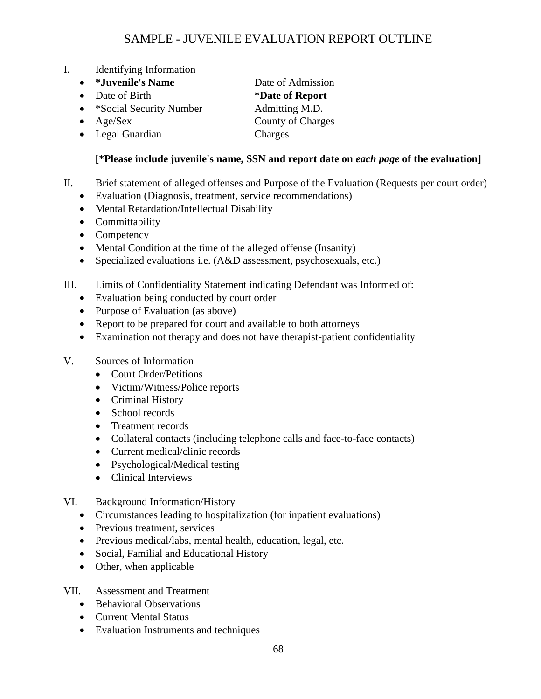# SAMPLE - JUVENILE EVALUATION REPORT OUTLINE

- I. Identifying Information
	- *\*Juvenile's Name* Date of Admission
	-
	- \*Social Security Number Admitting M.D.
	-
	- Legal Guardian Charges

• Date of Birth **\*Date of Report** • Age/Sex County of Charges

## **[\*Please include juvenile's name, SSN and report date on** *each page* **of the evaluation]**

- II. Brief statement of alleged offenses and Purpose of the Evaluation (Requests per court order)
	- Evaluation (Diagnosis, treatment, service recommendations)
	- Mental Retardation/Intellectual Disability
	- Committability
	- Competency
	- Mental Condition at the time of the alleged offense (Insanity)
	- Specialized evaluations i.e. (A&D assessment, psychosexuals, etc.)
- III. Limits of Confidentiality Statement indicating Defendant was Informed of:
	- Evaluation being conducted by court order
	- Purpose of Evaluation (as above)
	- Report to be prepared for court and available to both attorneys
	- Examination not therapy and does not have therapist-patient confidentiality
- V. Sources of Information
	- Court Order/Petitions
	- Victim/Witness/Police reports
	- Criminal History
	- School records
	- Treatment records
	- Collateral contacts (including telephone calls and face-to-face contacts)
	- Current medical/clinic records
	- Psychological/Medical testing
	- Clinical Interviews
- VI. Background Information/History
	- Circumstances leading to hospitalization (for inpatient evaluations)
	- Previous treatment, services
	- Previous medical/labs, mental health, education, legal, etc.
	- Social, Familial and Educational History
	- Other, when applicable

#### VII. Assessment and Treatment

- Behavioral Observations
- Current Mental Status
- Evaluation Instruments and techniques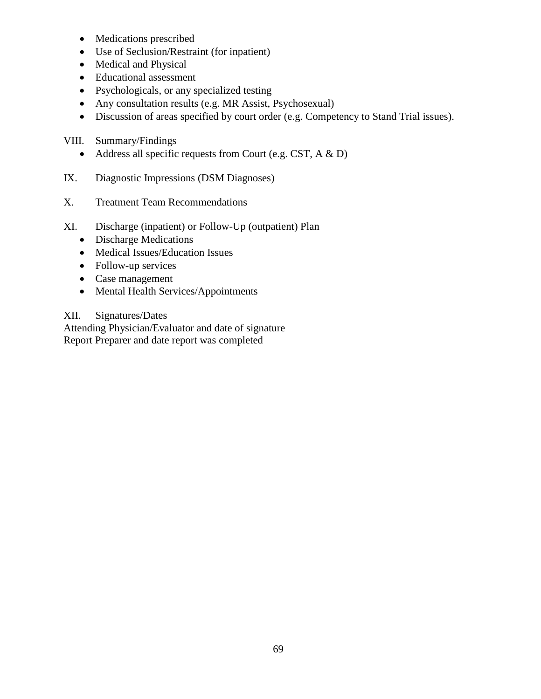- Medications prescribed
- Use of Seclusion/Restraint (for inpatient)
- Medical and Physical
- Educational assessment
- Psychologicals, or any specialized testing
- Any consultation results (e.g. MR Assist, Psychosexual)
- Discussion of areas specified by court order (e.g. Competency to Stand Trial issues).
- VIII. Summary/Findings
	- Address all specific requests from Court (e.g. CST,  $A \& D$ )
- IX. Diagnostic Impressions (DSM Diagnoses)
- X. Treatment Team Recommendations
- XI. Discharge (inpatient) or Follow-Up (outpatient) Plan
	- Discharge Medications
	- Medical Issues/Education Issues
	- Follow-up services
	- Case management
	- Mental Health Services/Appointments

# XII. Signatures/Dates

Attending Physician/Evaluator and date of signature Report Preparer and date report was completed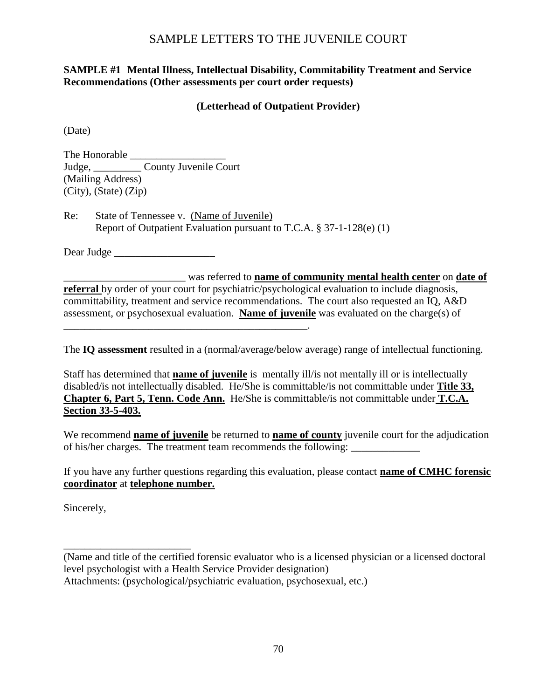# SAMPLE LETTERS TO THE JUVENILE COURT

# **SAMPLE #1 Mental Illness, Intellectual Disability, Commitability Treatment and Service Recommendations (Other assessments per court order requests)**

# **(Letterhead of Outpatient Provider)**

(Date)

The Honorable \_\_\_\_\_\_\_\_\_\_\_\_\_\_\_\_\_\_ Judge, County Juvenile Court (Mailing Address) (City), (State) (Zip)

Re: State of Tennessee v. (Name of Juvenile) Report of Outpatient Evaluation pursuant to T.C.A. § 37-1-128(e) (1)

\_\_\_\_\_\_\_\_\_\_\_\_\_\_\_\_\_\_\_\_\_\_\_\_\_\_\_\_\_\_\_\_\_\_\_\_\_\_\_\_\_\_\_\_\_\_.

Dear Judge

\_\_\_\_\_\_\_\_\_\_\_\_\_\_\_\_\_\_\_\_\_\_\_ was referred to **name of community mental health center** on **date of referral** by order of your court for psychiatric/psychological evaluation to include diagnosis, committability, treatment and service recommendations. The court also requested an IQ, A&D assessment, or psychosexual evaluation. **Name of juvenile** was evaluated on the charge(s) of

The **IQ assessment** resulted in a (normal/average/below average) range of intellectual functioning.

Staff has determined that **name of juvenile** is mentally ill/is not mentally ill or is intellectually disabled/is not intellectually disabled. He/She is committable/is not committable under **Title 33, Chapter 6, Part 5, Tenn. Code Ann.** He/She is committable/is not committable under **T.C.A. Section 33-5-403.**

We recommend **name of juvenile** be returned to **name of county** juvenile court for the adjudication of his/her charges. The treatment team recommends the following:

If you have any further questions regarding this evaluation, please contact **name of CMHC forensic coordinator** at **telephone number.**

Sincerely,

\_\_\_\_\_\_\_\_\_\_\_\_\_\_\_\_\_\_\_\_\_\_\_\_

(Name and title of the certified forensic evaluator who is a licensed physician or a licensed doctoral level psychologist with a Health Service Provider designation) Attachments: (psychological/psychiatric evaluation, psychosexual, etc.)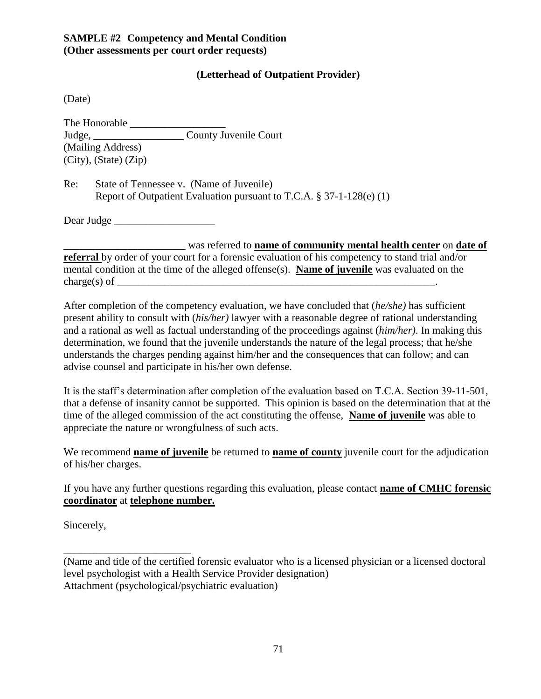# **SAMPLE #2 Competency and Mental Condition (Other assessments per court order requests)**

# **(Letterhead of Outpatient Provider)**

(Date)

The Honorable \_\_\_\_\_\_\_\_\_\_\_\_\_\_\_\_\_\_ Judge, \_\_\_\_\_\_\_\_\_\_\_\_\_\_\_\_\_ County Juvenile Court (Mailing Address) (City), (State) (Zip)

Re: State of Tennessee v. (Name of Juvenile) Report of Outpatient Evaluation pursuant to T.C.A. § 37-1-128(e) (1)

Dear Judge

\_\_\_\_\_\_\_\_\_\_\_\_\_\_\_\_\_\_\_\_\_\_\_ was referred to **name of community mental health center** on **date of** 

**referral** by order of your court for a forensic evaluation of his competency to stand trial and/or mental condition at the time of the alleged offense(s). **Name of juvenile** was evaluated on the charge(s) of  $\Box$ 

After completion of the competency evaluation, we have concluded that (*he/she)* has sufficient present ability to consult with (*his/her)* lawyer with a reasonable degree of rational understanding and a rational as well as factual understanding of the proceedings against (*him/her)*. In making this determination, we found that the juvenile understands the nature of the legal process; that he/she understands the charges pending against him/her and the consequences that can follow; and can advise counsel and participate in his/her own defense.

It is the staff's determination after completion of the evaluation based on T.C.A. Section 39-11-501, that a defense of insanity cannot be supported. This opinion is based on the determination that at the time of the alleged commission of the act constituting the offense, **Name of juvenile** was able to appreciate the nature or wrongfulness of such acts.

We recommend **name of juvenile** be returned to **name of county** juvenile court for the adjudication of his/her charges.

If you have any further questions regarding this evaluation, please contact **name of CMHC forensic coordinator** at **telephone number.**

Sincerely,

\_\_\_\_\_\_\_\_\_\_\_\_\_\_\_\_\_\_\_\_\_\_\_\_

(Name and title of the certified forensic evaluator who is a licensed physician or a licensed doctoral level psychologist with a Health Service Provider designation) Attachment (psychological/psychiatric evaluation)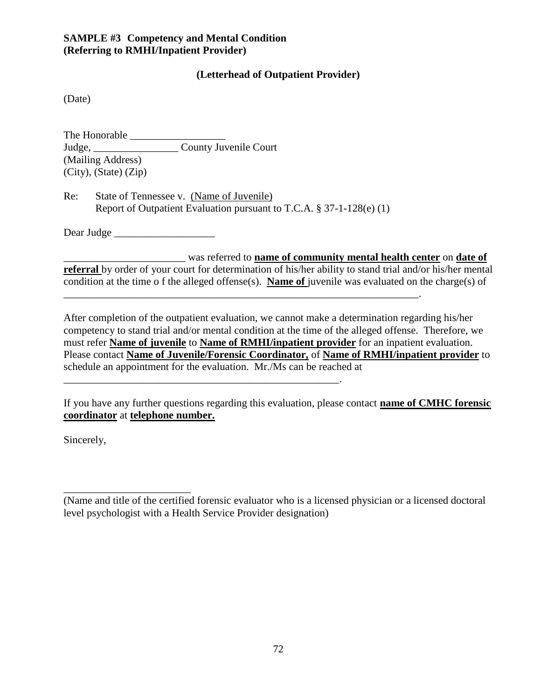# **SAMPLE #3 Competency and Mental Condition (Referring to RMHI/Inpatient Provider)**

## **(Letterhead of Outpatient Provider)**

(Date)

The Honorable \_\_\_\_\_\_\_\_\_\_\_\_\_\_\_\_\_\_ Judge, County Juvenile Court (Mailing Address) (City), (State) (Zip)

Re: State of Tennessee v. (Name of Juvenile) Report of Outpatient Evaluation pursuant to T.C.A. § 37-1-128(e) (1)

\_\_\_\_\_\_\_\_\_\_\_\_\_\_\_\_\_\_\_\_\_\_\_\_\_\_\_\_\_\_\_\_\_\_\_\_\_\_\_\_\_\_\_\_\_\_\_\_\_\_\_\_\_\_\_\_\_\_\_\_\_\_\_\_\_\_\_.

\_\_\_\_\_\_\_\_\_\_\_\_\_\_\_\_\_\_\_\_\_\_\_\_\_\_\_\_\_\_\_\_\_\_\_\_\_\_\_\_\_\_\_\_\_\_\_\_\_\_\_\_.

Dear Judge \_\_\_\_\_\_\_\_\_\_\_\_\_\_\_\_\_\_\_

\_\_\_\_\_\_\_\_\_\_\_\_\_\_\_\_\_\_\_\_\_\_\_ was referred to **name of community mental health center** on **date of referral** by order of your court for determination of his/her ability to stand trial and/or his/her mental condition at the time o f the alleged offense(s). **Name of** juvenile was evaluated on the charge(s) of

After completion of the outpatient evaluation, we cannot make a determination regarding his/her competency to stand trial and/or mental condition at the time of the alleged offense. Therefore, we must refer **Name of juvenile** to **Name of RMHI/inpatient provider** for an inpatient evaluation. Please contact **Name of Juvenile/Forensic Coordinator,** of **Name of RMHI/inpatient provider** to schedule an appointment for the evaluation. Mr./Ms can be reached at

If you have any further questions regarding this evaluation, please contact **name of CMHC forensic coordinator** at **telephone number.**

Sincerely,

\_\_\_\_\_\_\_\_\_\_\_\_\_\_\_\_\_\_\_\_\_\_\_\_

<sup>(</sup>Name and title of the certified forensic evaluator who is a licensed physician or a licensed doctoral level psychologist with a Health Service Provider designation)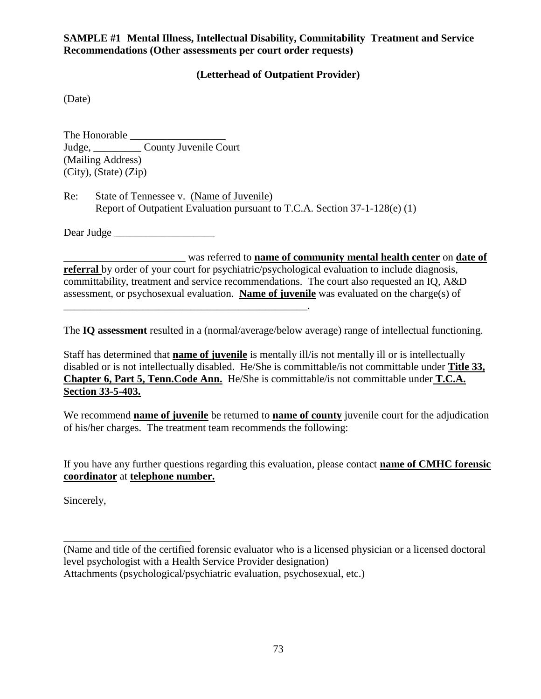# **SAMPLE #1 Mental Illness, Intellectual Disability, Commitability Treatment and Service Recommendations (Other assessments per court order requests)**

# **(Letterhead of Outpatient Provider)**

(Date)

The Honorable \_\_\_\_\_\_\_\_\_\_\_\_\_\_\_\_\_\_ Judge, County Juvenile Court (Mailing Address) (City), (State) (Zip)

Re: State of Tennessee v. (Name of Juvenile) Report of Outpatient Evaluation pursuant to T.C.A. Section 37-1-128(e) (1)

Dear Judge \_\_\_\_\_\_\_\_\_\_\_\_\_\_\_\_\_\_\_

\_\_\_\_\_\_\_\_\_\_\_\_\_\_\_\_\_\_\_\_\_\_\_ was referred to **name of community mental health center** on **date of referral** by order of your court for psychiatric/psychological evaluation to include diagnosis, committability, treatment and service recommendations. The court also requested an IQ, A&D assessment, or psychosexual evaluation. **Name of juvenile** was evaluated on the charge(s) of \_\_\_\_\_\_\_\_\_\_\_\_\_\_\_\_\_\_\_\_\_\_\_\_\_\_\_\_\_\_\_\_\_\_\_\_\_\_\_\_\_\_\_\_\_\_.

The **IQ assessment** resulted in a (normal/average/below average) range of intellectual functioning.

Staff has determined that **name of juvenile** is mentally ill/is not mentally ill or is intellectually disabled or is not intellectually disabled. He/She is committable/is not committable under **Title 33, Chapter 6, Part 5, Tenn.Code Ann.** He/She is committable/is not committable under **T.C.A. Section 33-5-403.**

We recommend **name of juvenile** be returned to **name of county** juvenile court for the adjudication of his/her charges. The treatment team recommends the following:

If you have any further questions regarding this evaluation, please contact **name of CMHC forensic coordinator** at **telephone number.**

Sincerely,

\_\_\_\_\_\_\_\_\_\_\_\_\_\_\_\_\_\_\_\_\_\_\_\_

(Name and title of the certified forensic evaluator who is a licensed physician or a licensed doctoral level psychologist with a Health Service Provider designation) Attachments (psychological/psychiatric evaluation, psychosexual, etc.)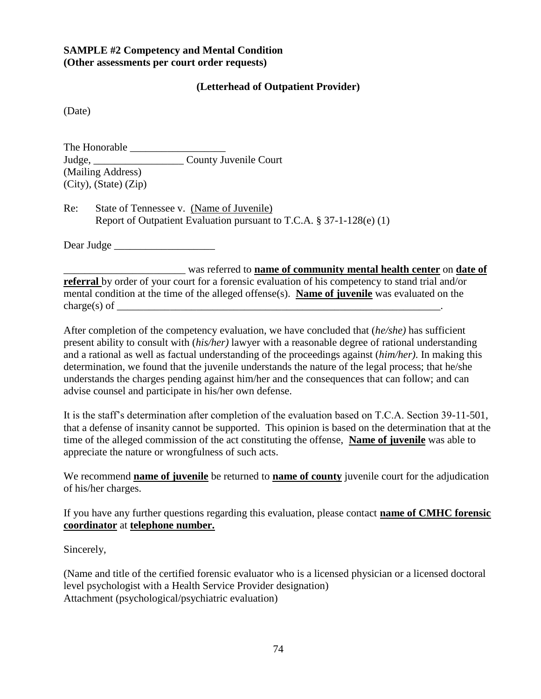# **SAMPLE #2 Competency and Mental Condition (Other assessments per court order requests)**

# **(Letterhead of Outpatient Provider)**

(Date)

The Honorable \_\_\_\_\_\_\_\_\_\_\_\_\_\_\_\_\_\_ Judge, \_\_\_\_\_\_\_\_\_\_\_\_\_\_\_\_\_ County Juvenile Court (Mailing Address) (City), (State) (Zip)

Re: State of Tennessee v. (Name of Juvenile) Report of Outpatient Evaluation pursuant to T.C.A. § 37-1-128(e) (1)

Dear Judge

\_\_\_\_\_\_\_\_\_\_\_\_\_\_\_\_\_\_\_\_\_\_\_ was referred to **name of community mental health center** on **date of referral** by order of your court for a forensic evaluation of his competency to stand trial and/or mental condition at the time of the alleged offense(s). **Name of juvenile** was evaluated on the charge(s) of  $\overline{\phantom{a}}$ 

After completion of the competency evaluation, we have concluded that (*he/she)* has sufficient present ability to consult with (*his/her)* lawyer with a reasonable degree of rational understanding and a rational as well as factual understanding of the proceedings against (*him/her)*. In making this determination, we found that the juvenile understands the nature of the legal process; that he/she understands the charges pending against him/her and the consequences that can follow; and can advise counsel and participate in his/her own defense.

It is the staff's determination after completion of the evaluation based on T.C.A. Section 39-11-501, that a defense of insanity cannot be supported. This opinion is based on the determination that at the time of the alleged commission of the act constituting the offense, **Name of juvenile** was able to appreciate the nature or wrongfulness of such acts.

We recommend **name of juvenile** be returned to **name of county** juvenile court for the adjudication of his/her charges.

If you have any further questions regarding this evaluation, please contact **name of CMHC forensic coordinator** at **telephone number.**

Sincerely,

(Name and title of the certified forensic evaluator who is a licensed physician or a licensed doctoral level psychologist with a Health Service Provider designation) Attachment (psychological/psychiatric evaluation)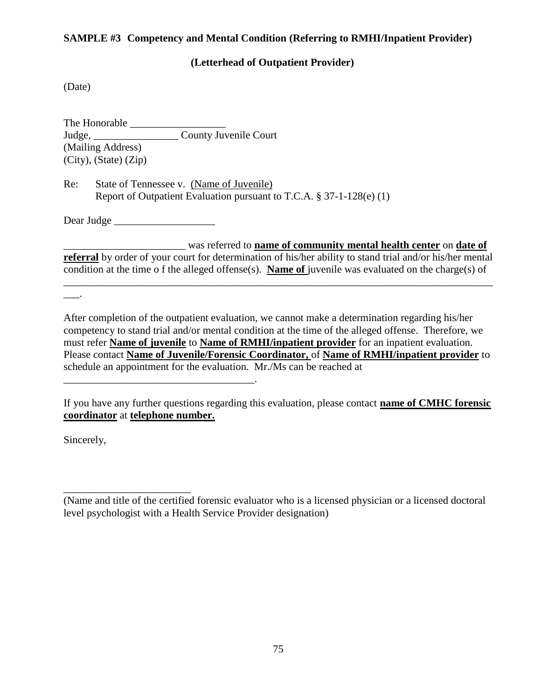## **SAMPLE #3 Competency and Mental Condition (Referring to RMHI/Inpatient Provider)**

## **(Letterhead of Outpatient Provider)**

(Date)

The Honorable \_\_\_\_\_\_\_\_\_\_\_\_\_\_\_\_\_\_ Judge, \_\_\_\_\_\_\_\_\_\_\_\_\_\_\_\_ County Juvenile Court (Mailing Address) (City), (State) (Zip)

Re: State of Tennessee v. (Name of Juvenile) Report of Outpatient Evaluation pursuant to T.C.A. § 37-1-128(e) (1)

Dear Judge

\_\_\_\_\_\_\_\_\_\_\_\_\_\_\_\_\_\_\_\_\_\_\_\_\_\_\_\_\_\_\_\_\_\_\_\_.

\_\_\_\_\_\_\_\_\_\_\_\_\_\_\_\_\_\_\_\_\_\_\_ was referred to **name of community mental health center** on **date of** 

**referral** by order of your court for determination of his/her ability to stand trial and/or his/her mental condition at the time o f the alleged offense(s). **Name of** juvenile was evaluated on the charge(s) of

\_\_\_\_\_\_\_\_\_\_\_\_\_\_\_\_\_\_\_\_\_\_\_\_\_\_\_\_\_\_\_\_\_\_\_\_\_\_\_\_\_\_\_\_\_\_\_\_\_\_\_\_\_\_\_\_\_\_\_\_\_\_\_\_\_\_\_\_\_\_\_\_\_\_\_\_\_\_\_\_\_

After completion of the outpatient evaluation, we cannot make a determination regarding his/her competency to stand trial and/or mental condition at the time of the alleged offense. Therefore, we must refer **Name of juvenile** to **Name of RMHI/inpatient provider** for an inpatient evaluation. Please contact **Name of Juvenile/Forensic Coordinator,** of **Name of RMHI/inpatient provider** to schedule an appointment for the evaluation. Mr./Ms can be reached at

If you have any further questions regarding this evaluation, please contact **name of CMHC forensic coordinator** at **telephone number.**

Sincerely,

\_\_\_\_\_\_\_\_\_\_\_\_\_\_\_\_\_\_\_\_\_\_\_\_

 $\overline{\phantom{a}}$ .

<sup>(</sup>Name and title of the certified forensic evaluator who is a licensed physician or a licensed doctoral level psychologist with a Health Service Provider designation)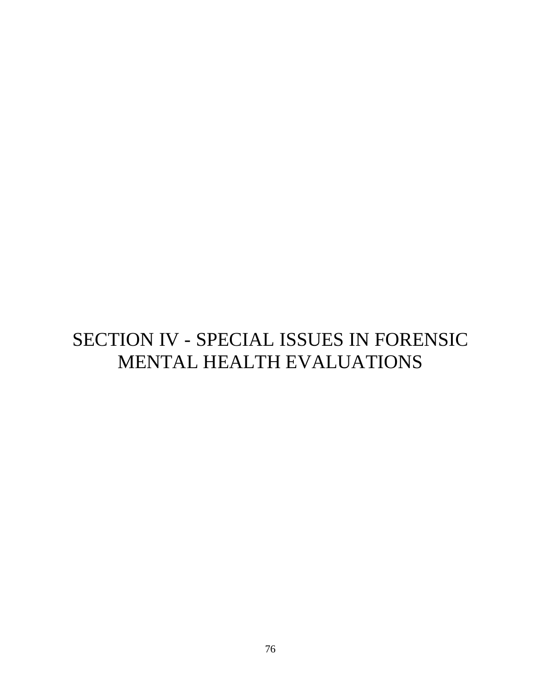# SECTION IV - SPECIAL ISSUES IN FORENSIC MENTAL HEALTH EVALUATIONS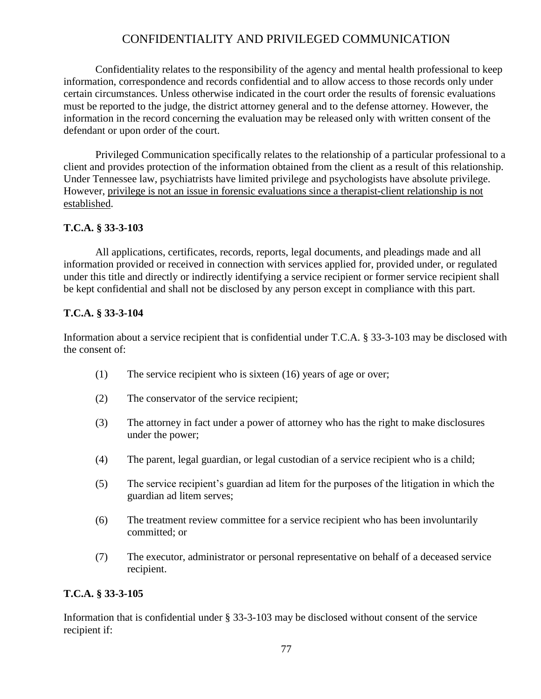# CONFIDENTIALITY AND PRIVILEGED COMMUNICATION

Confidentiality relates to the responsibility of the agency and mental health professional to keep information, correspondence and records confidential and to allow access to those records only under certain circumstances. Unless otherwise indicated in the court order the results of forensic evaluations must be reported to the judge, the district attorney general and to the defense attorney. However, the information in the record concerning the evaluation may be released only with written consent of the defendant or upon order of the court.

Privileged Communication specifically relates to the relationship of a particular professional to a client and provides protection of the information obtained from the client as a result of this relationship. Under Tennessee law, psychiatrists have limited privilege and psychologists have absolute privilege. However, privilege is not an issue in forensic evaluations since a therapist-client relationship is not established.

# **T.C.A. § 33-3-103**

All applications, certificates, records, reports, legal documents, and pleadings made and all information provided or received in connection with services applied for, provided under, or regulated under this title and directly or indirectly identifying a service recipient or former service recipient shall be kept confidential and shall not be disclosed by any person except in compliance with this part.

# **T.C.A. § 33-3-104**

Information about a service recipient that is confidential under T.C.A. § 33-3-103 may be disclosed with the consent of:

- (1) The service recipient who is sixteen (16) years of age or over;
- (2) The conservator of the service recipient;
- (3) The attorney in fact under a power of attorney who has the right to make disclosures under the power;
- (4) The parent, legal guardian, or legal custodian of a service recipient who is a child;
- (5) The service recipient's guardian ad litem for the purposes of the litigation in which the guardian ad litem serves;
- (6) The treatment review committee for a service recipient who has been involuntarily committed; or
- (7) The executor, administrator or personal representative on behalf of a deceased service recipient.

# **T.C.A. § 33-3-105**

Information that is confidential under § 33-3-103 may be disclosed without consent of the service recipient if: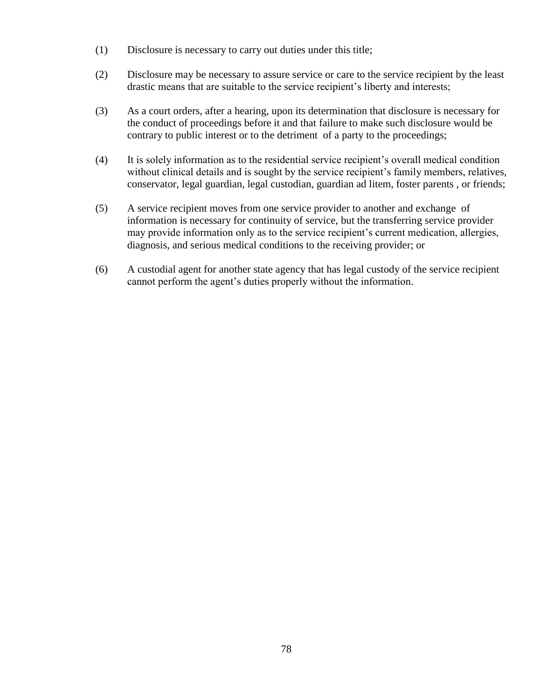- (1) Disclosure is necessary to carry out duties under this title;
- (2) Disclosure may be necessary to assure service or care to the service recipient by the least drastic means that are suitable to the service recipient's liberty and interests;
- (3) As a court orders, after a hearing, upon its determination that disclosure is necessary for the conduct of proceedings before it and that failure to make such disclosure would be contrary to public interest or to the detriment of a party to the proceedings;
- (4) It is solely information as to the residential service recipient's overall medical condition without clinical details and is sought by the service recipient's family members, relatives, conservator, legal guardian, legal custodian, guardian ad litem, foster parents , or friends;
- (5) A service recipient moves from one service provider to another and exchange of information is necessary for continuity of service, but the transferring service provider may provide information only as to the service recipient's current medication, allergies, diagnosis, and serious medical conditions to the receiving provider; or
- (6) A custodial agent for another state agency that has legal custody of the service recipient cannot perform the agent's duties properly without the information.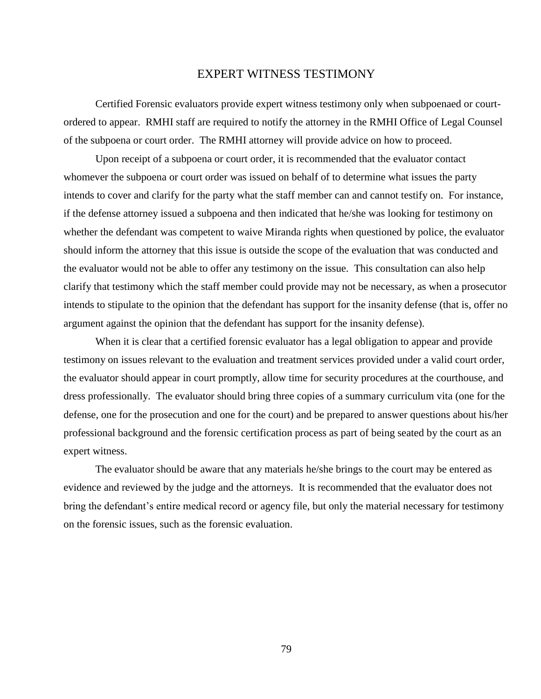## EXPERT WITNESS TESTIMONY

Certified Forensic evaluators provide expert witness testimony only when subpoenaed or courtordered to appear. RMHI staff are required to notify the attorney in the RMHI Office of Legal Counsel of the subpoena or court order. The RMHI attorney will provide advice on how to proceed.

Upon receipt of a subpoena or court order, it is recommended that the evaluator contact whomever the subpoena or court order was issued on behalf of to determine what issues the party intends to cover and clarify for the party what the staff member can and cannot testify on. For instance, if the defense attorney issued a subpoena and then indicated that he/she was looking for testimony on whether the defendant was competent to waive Miranda rights when questioned by police, the evaluator should inform the attorney that this issue is outside the scope of the evaluation that was conducted and the evaluator would not be able to offer any testimony on the issue. This consultation can also help clarify that testimony which the staff member could provide may not be necessary, as when a prosecutor intends to stipulate to the opinion that the defendant has support for the insanity defense (that is, offer no argument against the opinion that the defendant has support for the insanity defense).

When it is clear that a certified forensic evaluator has a legal obligation to appear and provide testimony on issues relevant to the evaluation and treatment services provided under a valid court order, the evaluator should appear in court promptly, allow time for security procedures at the courthouse, and dress professionally. The evaluator should bring three copies of a summary curriculum vita (one for the defense, one for the prosecution and one for the court) and be prepared to answer questions about his/her professional background and the forensic certification process as part of being seated by the court as an expert witness.

The evaluator should be aware that any materials he/she brings to the court may be entered as evidence and reviewed by the judge and the attorneys. It is recommended that the evaluator does not bring the defendant's entire medical record or agency file, but only the material necessary for testimony on the forensic issues, such as the forensic evaluation.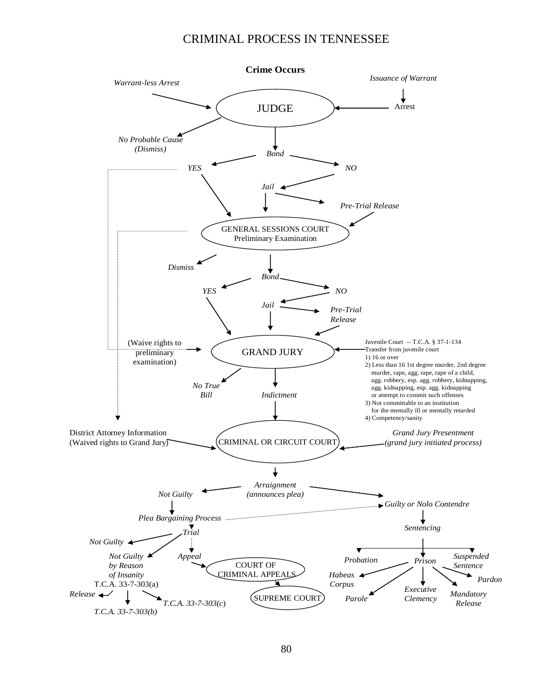## CRIMINAL PROCESS IN TENNESSEE

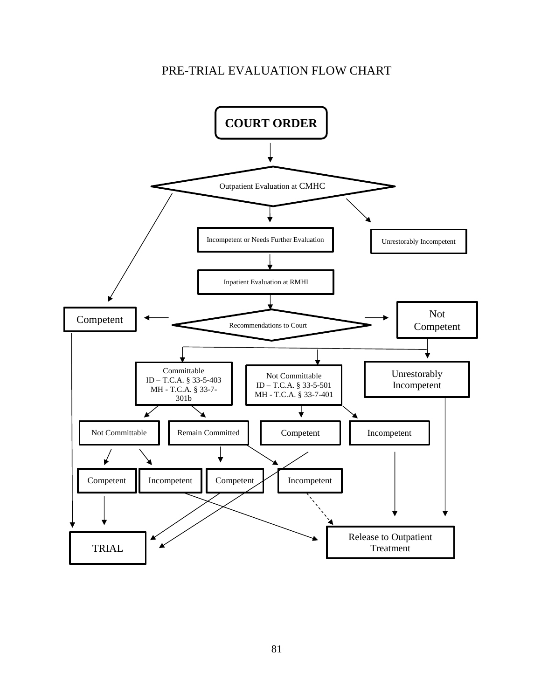# PRE-TRIAL EVALUATION FLOW CHART

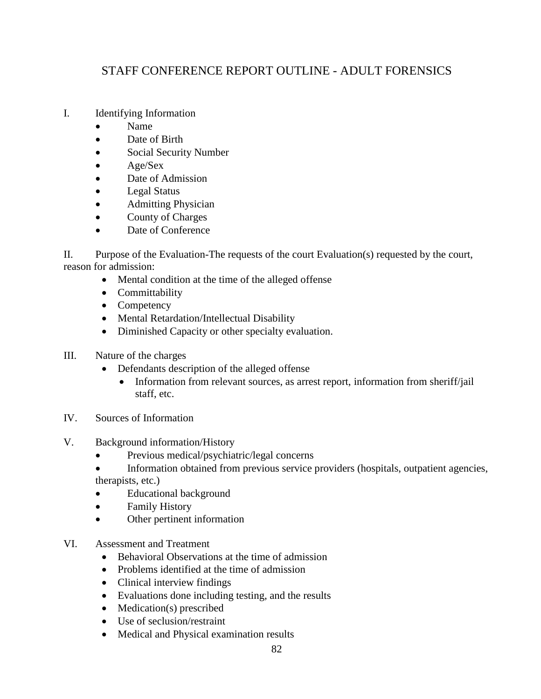# STAFF CONFERENCE REPORT OUTLINE - ADULT FORENSICS

- I. Identifying Information
	- Name
	- Date of Birth
	- Social Security Number
	- $\bullet$  Age/Sex
	- Date of Admission
	- Legal Status
	- Admitting Physician
	- County of Charges
	- Date of Conference

II. Purpose of the Evaluation-The requests of the court Evaluation(s) requested by the court, reason for admission:

- Mental condition at the time of the alleged offense
- Committability
- Competency
- Mental Retardation/Intellectual Disability
- Diminished Capacity or other specialty evaluation.
- III. Nature of the charges
	- Defendants description of the alleged offense
		- Information from relevant sources, as arrest report, information from sheriff/jail staff, etc.
- IV. Sources of Information
- V. Background information/History
	- Previous medical/psychiatric/legal concerns
	- Information obtained from previous service providers (hospitals, outpatient agencies, therapists, etc.)
	- Educational background
	- Family History
	- Other pertinent information
- VI. Assessment and Treatment
	- Behavioral Observations at the time of admission
	- Problems identified at the time of admission
	- Clinical interview findings
	- Evaluations done including testing, and the results
	- Medication(s) prescribed
	- Use of seclusion/restraint
	- Medical and Physical examination results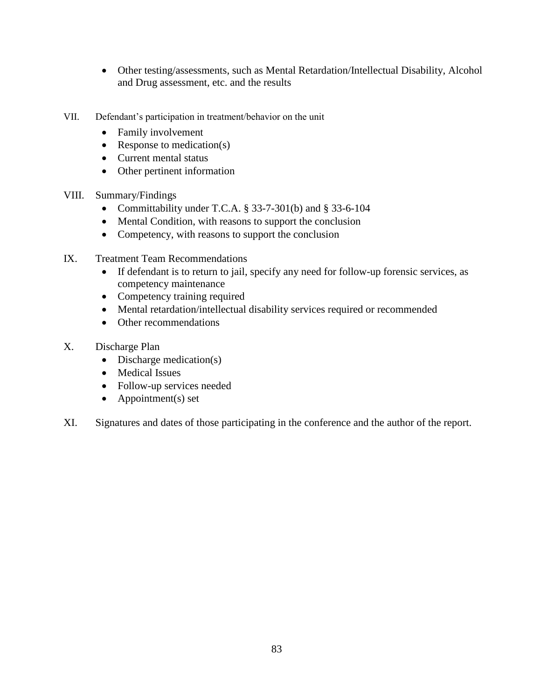- Other testing/assessments, such as Mental Retardation/Intellectual Disability, Alcohol and Drug assessment, etc. and the results
- VII. Defendant's participation in treatment/behavior on the unit
	- Family involvement
	- Response to medication(s)
	- Current mental status
	- Other pertinent information
- VIII. Summary/Findings
	- Committability under T.C.A.  $\S$  33-7-301(b) and  $\S$  33-6-104
	- Mental Condition, with reasons to support the conclusion
	- Competency, with reasons to support the conclusion
- IX. Treatment Team Recommendations
	- If defendant is to return to jail, specify any need for follow-up forensic services, as competency maintenance
	- Competency training required
	- Mental retardation/intellectual disability services required or recommended
	- Other recommendations
- X. Discharge Plan
	- Discharge medication(s)
	- Medical Issues
	- Follow-up services needed
	- Appointment(s) set
- XI. Signatures and dates of those participating in the conference and the author of the report.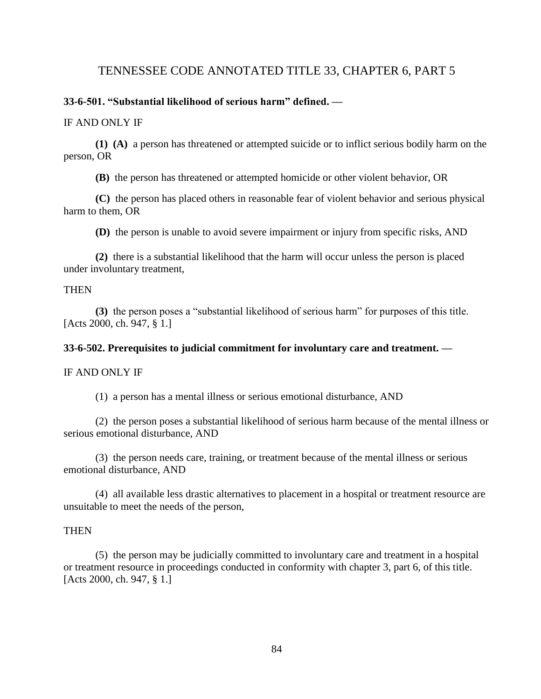# TENNESSEE CODE ANNOTATED TITLE 33, CHAPTER 6, PART 5

#### **33-6-501. "Substantial likelihood of serious harm" defined. —**

#### IF AND ONLY IF

**(1) (A)** a person has threatened or attempted suicide or to inflict serious bodily harm on the person, OR <sup>-</sup>

**(B)** the person has threatened or attempted homicide or other violent behavior, OR

**(C)** the person has placed others in reasonable fear of violent behavior and serious physical harm to them, OR

**(D)** the person is unable to avoid severe impairment or injury from specific risks, AND

**(2)** there is a substantial likelihood that the harm will occur unless the person is placed under involuntary treatment,

#### **THEN**

**(3)** the person poses a "substantial likelihood of serious harm" for purposes of this title. [Acts 2000, ch. 947, § 1.]

#### **33-6-502. Prerequisites to judicial commitment for involuntary care and treatment. —**

IF AND ONLY IF

(1) a person has a mental illness or serious emotional disturbance, AND

(2) the person poses a substantial likelihood of serious harm because of the mental illness or serious emotional disturbance, AND

(3) the person needs care, training, or treatment because of the mental illness or serious emotional disturbance, AND

(4) all available less drastic alternatives to placement in a hospital or treatment resource are unsuitable to meet the needs of the person,

### **THEN**

(5) the person may be judicially committed to involuntary care and treatment in a hospital or treatment resource in proceedings conducted in conformity with chapter 3, part 6, of this title. [Acts 2000, ch. 947, § 1.]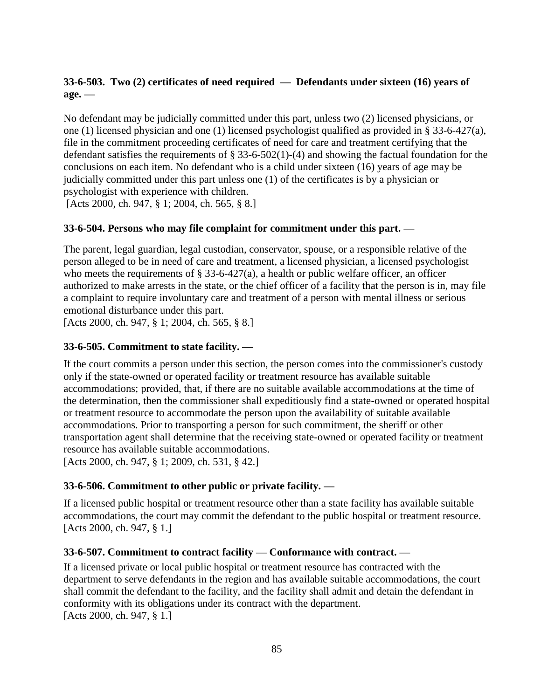# **33-6-503. Two (2) certificates of need required — Defendants under sixteen (16) years of age. —**

No defendant may be judicially committed under this part, unless two (2) licensed physicians, or one (1) licensed physician and one (1) licensed psychologist qualified as provided in § 33-6-427(a), file in the commitment proceeding certificates of need for care and treatment certifying that the defendant satisfies the requirements of § 33-6-502(1)-(4) and showing the factual foundation for the conclusions on each item. No defendant who is a child under sixteen (16) years of age may be judicially committed under this part unless one (1) of the certificates is by a physician or psychologist with experience with children.

[Acts 2000, ch. 947, § 1; 2004, ch. 565, § 8.]

# **33-6-504. Persons who may file complaint for commitment under this part. —**

The parent, legal guardian, legal custodian, conservator, spouse, or a responsible relative of the person alleged to be in need of care and treatment, a licensed physician, a licensed psychologist who meets the requirements of  $\S$  [33-6-427\(](http://www.michie.com/tennessee/lpext.dll?f=FifLink&t=document-frame.htm&l=jump&iid=tncode&d=33-6-427&sid=7c32692a.2a192b6e.0.0#JD_33-6-427)a), a health or public welfare officer, an officer authorized to make arrests in the state, or the chief officer of a facility that the person is in, may file a complaint to require involuntary care and treatment of a person with mental illness or serious emotional disturbance under this part.

[Acts 2000, ch. 947, § 1; 2004, ch. 565, § 8.]

# **33-6-505. Commitment to state facility. —**

If the court commits a person under this section, the person comes into the commissioner's custody only if the state-owned or operated facility or treatment resource has available suitable accommodations; provided, that, if there are no suitable available accommodations at the time of the determination, then the commissioner shall expeditiously find a state-owned or operated hospital or treatment resource to accommodate the person upon the availability of suitable available accommodations. Prior to transporting a person for such commitment, the sheriff or other transportation agent shall determine that the receiving state-owned or operated facility or treatment resource has available suitable accommodations. [Acts 2000, ch. 947, § 1; 2009, ch. 531, § 42.]

# **33-6-506. Commitment to other public or private facility. —**

If a licensed public hospital or treatment resource other than a state facility has available suitable accommodations, the court may commit the defendant to the public hospital or treatment resource. [Acts 2000, ch. 947, § 1.]

# **33-6-507. Commitment to contract facility — Conformance with contract. —**

If a licensed private or local public hospital or treatment resource has contracted with the department to serve defendants in the region and has available suitable accommodations, the court shall commit the defendant to the facility, and the facility shall admit and detain the defendant in conformity with its obligations under its contract with the department. [Acts 2000, ch. 947, § 1.]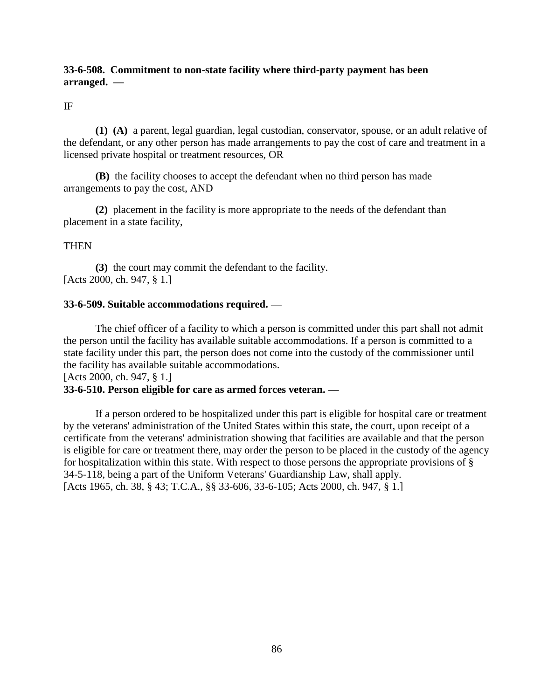## **33-6-508. Commitment to non-state facility where third-party payment has been arranged. —**

#### IF

**(1) (A)** a parent, legal guardian, legal custodian, conservator, spouse, or an adult relative of the defendant, or any other person has made arrangements to pay the cost of care and treatment in a licensed private hospital or treatment resources, OR

**(B)** the facility chooses to accept the defendant when no third person has made arrangements to pay the cost, AND

**(2)** placement in the facility is more appropriate to the needs of the defendant than placement in a state facility,

### **THEN**

**(3)** the court may commit the defendant to the facility. [Acts 2000, ch. 947, § 1.]

#### **33-6-509. Suitable accommodations required. —**

The chief officer of a facility to which a person is committed under this part shall not admit the person until the facility has available suitable accommodations. If a person is committed to a state facility under this part, the person does not come into the custody of the commissioner until the facility has available suitable accommodations.

[Acts 2000, ch. 947, § 1.]

## **33-6-510. Person eligible for care as armed forces veteran. —**

If a person ordered to be hospitalized under this part is eligible for hospital care or treatment by the veterans' administration of the United States within this state, the court, upon receipt of a certificate from the veterans' administration showing that facilities are available and that the person is eligible for care or treatment there, may order the person to be placed in the custody of the agency for hospitalization within this state. With respect to those persons the appropriate provisions of § 34-5-118, being a part of the Uniform Veterans' Guardianship Law, shall apply. [Acts 1965, ch. 38, § 43; T.C.A., §§ 33-606, 33-6-105; Acts 2000, ch. 947, § 1.]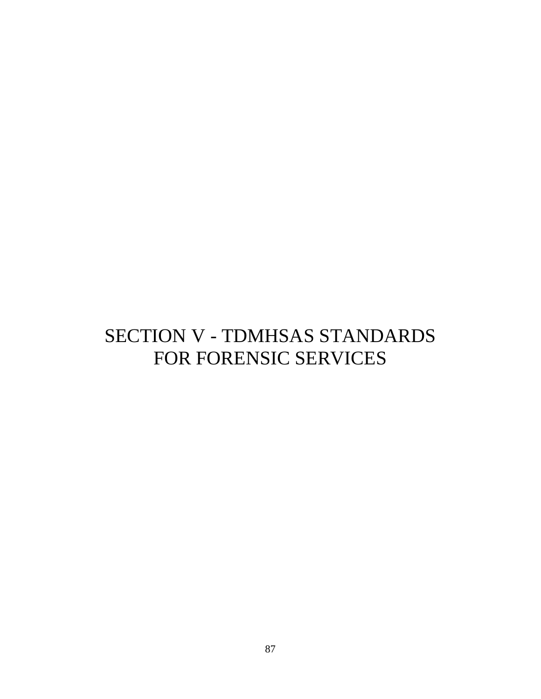# SECTION V - TDMHSAS STANDARDS FOR FORENSIC SERVICES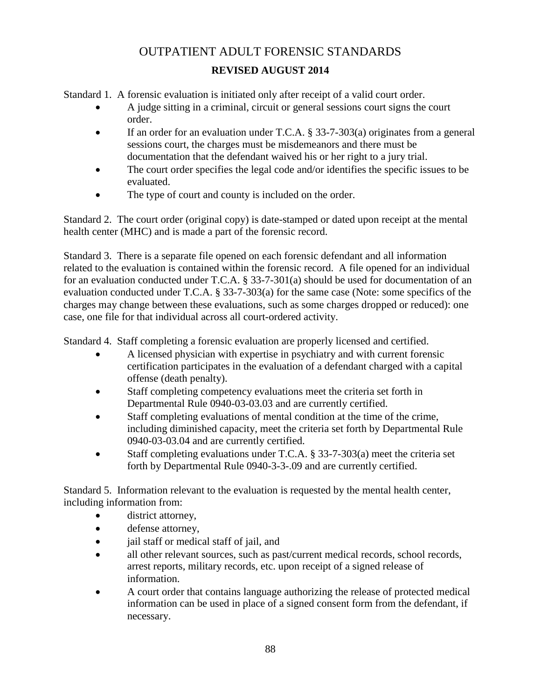# OUTPATIENT ADULT FORENSIC STANDARDS **REVISED AUGUST 2014**

Standard 1. A forensic evaluation is initiated only after receipt of a valid court order.

- A judge sitting in a criminal, circuit or general sessions court signs the court order.
- If an order for an evaluation under T.C.A. § 33-7-303(a) originates from a general sessions court, the charges must be misdemeanors and there must be documentation that the defendant waived his or her right to a jury trial.
- The court order specifies the legal code and/or identifies the specific issues to be evaluated.
- The type of court and county is included on the order.

Standard 2. The court order (original copy) is date-stamped or dated upon receipt at the mental health center (MHC) and is made a part of the forensic record.

Standard 3. There is a separate file opened on each forensic defendant and all information related to the evaluation is contained within the forensic record. A file opened for an individual for an evaluation conducted under T.C.A. § 33-7-301(a) should be used for documentation of an evaluation conducted under T.C.A. § 33-7-303(a) for the same case (Note: some specifics of the charges may change between these evaluations, such as some charges dropped or reduced): one case, one file for that individual across all court-ordered activity.

Standard 4. Staff completing a forensic evaluation are properly licensed and certified.

- A licensed physician with expertise in psychiatry and with current forensic certification participates in the evaluation of a defendant charged with a capital offense (death penalty).
- Staff completing competency evaluations meet the criteria set forth in Departmental Rule 0940-03-03.03 and are currently certified.
- Staff completing evaluations of mental condition at the time of the crime, including diminished capacity, meet the criteria set forth by Departmental Rule 0940-03-03.04 and are currently certified.
- Staff completing evaluations under T.C.A. § 33-7-303(a) meet the criteria set forth by Departmental Rule 0940-3-3-.09 and are currently certified.

Standard 5. Information relevant to the evaluation is requested by the mental health center, including information from:

- district attorney,
- defense attorney,
- jail staff or medical staff of jail, and
- all other relevant sources, such as past/current medical records, school records, arrest reports, military records, etc. upon receipt of a signed release of information.
- A court order that contains language authorizing the release of protected medical information can be used in place of a signed consent form from the defendant, if necessary.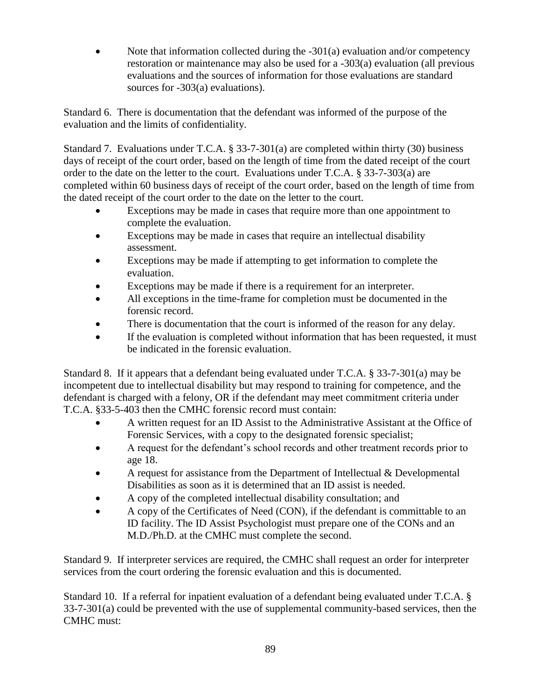Note that information collected during the  $-301(a)$  evaluation and/or competency restoration or maintenance may also be used for a -303(a) evaluation (all previous evaluations and the sources of information for those evaluations are standard sources for -303(a) evaluations).

Standard 6. There is documentation that the defendant was informed of the purpose of the evaluation and the limits of confidentiality.

Standard 7. Evaluations under T.C.A. § 33-7-301(a) are completed within thirty (30) business days of receipt of the court order, based on the length of time from the dated receipt of the court order to the date on the letter to the court. Evaluations under T.C.A. § 33-7-303(a) are completed within 60 business days of receipt of the court order, based on the length of time from the dated receipt of the court order to the date on the letter to the court.

- Exceptions may be made in cases that require more than one appointment to complete the evaluation.
- Exceptions may be made in cases that require an intellectual disability assessment.
- Exceptions may be made if attempting to get information to complete the evaluation.
- Exceptions may be made if there is a requirement for an interpreter.
- All exceptions in the time-frame for completion must be documented in the forensic record.
- There is documentation that the court is informed of the reason for any delay.
- If the evaluation is completed without information that has been requested, it must be indicated in the forensic evaluation.

Standard 8. If it appears that a defendant being evaluated under T.C.A. § 33-7-301(a) may be incompetent due to intellectual disability but may respond to training for competence, and the defendant is charged with a felony, OR if the defendant may meet commitment criteria under T.C.A. §33-5-403 then the CMHC forensic record must contain:

- A written request for an ID Assist to the Administrative Assistant at the Office of Forensic Services, with a copy to the designated forensic specialist;
- A request for the defendant's school records and other treatment records prior to age 18.
- A request for assistance from the Department of Intellectual & Developmental Disabilities as soon as it is determined that an ID assist is needed.
- A copy of the completed intellectual disability consultation; and
- A copy of the Certificates of Need (CON), if the defendant is committable to an ID facility. The ID Assist Psychologist must prepare one of the CONs and an M.D./Ph.D. at the CMHC must complete the second.

Standard 9. If interpreter services are required, the CMHC shall request an order for interpreter services from the court ordering the forensic evaluation and this is documented.

Standard 10. If a referral for inpatient evaluation of a defendant being evaluated under T.C.A. § 33-7-301(a) could be prevented with the use of supplemental community-based services, then the CMHC must: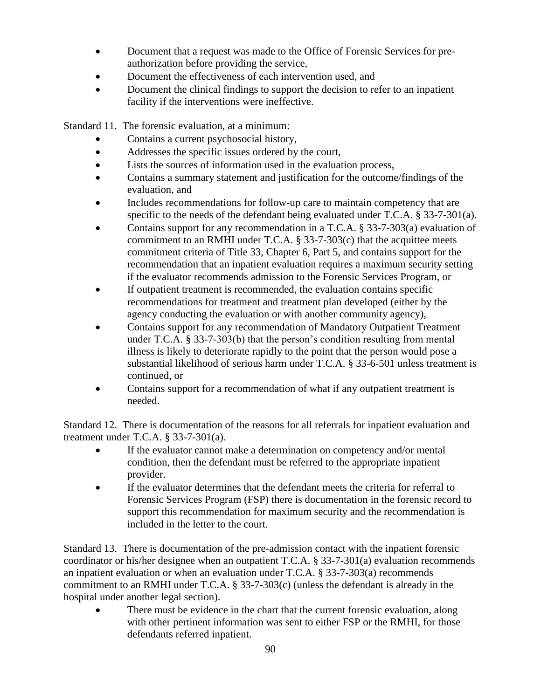- Document that a request was made to the Office of Forensic Services for preauthorization before providing the service,
- Document the effectiveness of each intervention used, and
- Document the clinical findings to support the decision to refer to an inpatient facility if the interventions were ineffective.

Standard 11. The forensic evaluation, at a minimum:

- Contains a current psychosocial history,
- Addresses the specific issues ordered by the court,
- Lists the sources of information used in the evaluation process,
- Contains a summary statement and justification for the outcome/findings of the evaluation, and
- Includes recommendations for follow-up care to maintain competency that are specific to the needs of the defendant being evaluated under T.C.A. § 33-7-301(a).
- Contains support for any recommendation in a T.C.A. § 33-7-303(a) evaluation of commitment to an RMHI under T.C.A. § 33-7-303(c) that the acquittee meets commitment criteria of Title 33, Chapter 6, Part 5, and contains support for the recommendation that an inpatient evaluation requires a maximum security setting if the evaluator recommends admission to the Forensic Services Program, or
- If outpatient treatment is recommended, the evaluation contains specific recommendations for treatment and treatment plan developed (either by the agency conducting the evaluation or with another community agency),
- Contains support for any recommendation of Mandatory Outpatient Treatment under T.C.A. § 33-7-303(b) that the person's condition resulting from mental illness is likely to deteriorate rapidly to the point that the person would pose a substantial likelihood of serious harm under T.C.A. § 33-6-501 unless treatment is continued, or
- Contains support for a recommendation of what if any outpatient treatment is needed.

Standard 12. There is documentation of the reasons for all referrals for inpatient evaluation and treatment under T.C.A. § 33-7-301(a).

- If the evaluator cannot make a determination on competency and/or mental condition, then the defendant must be referred to the appropriate inpatient provider.
- If the evaluator determines that the defendant meets the criteria for referral to Forensic Services Program (FSP) there is documentation in the forensic record to support this recommendation for maximum security and the recommendation is included in the letter to the court.

Standard 13. There is documentation of the pre-admission contact with the inpatient forensic coordinator or his/her designee when an outpatient T.C.A. § 33-7-301(a) evaluation recommends an inpatient evaluation or when an evaluation under T.C.A. § 33-7-303(a) recommends commitment to an RMHI under T.C.A. § 33-7-303(c) (unless the defendant is already in the hospital under another legal section).

 There must be evidence in the chart that the current forensic evaluation, along with other pertinent information was sent to either FSP or the RMHI, for those defendants referred inpatient.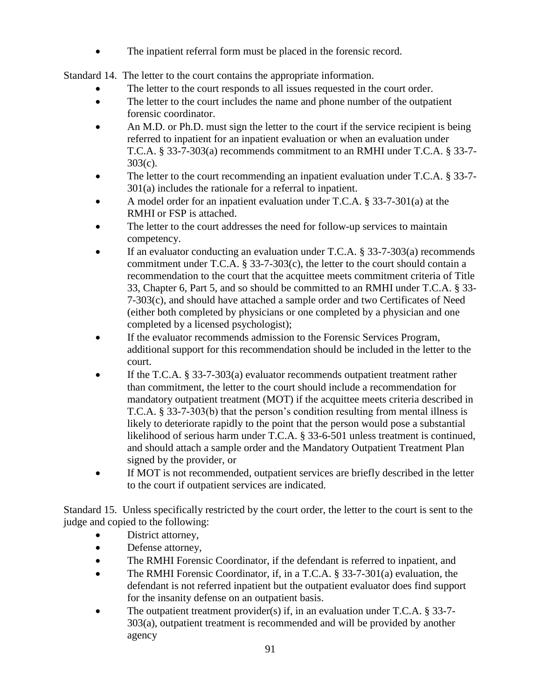The inpatient referral form must be placed in the forensic record.

Standard 14. The letter to the court contains the appropriate information.

- The letter to the court responds to all issues requested in the court order.
- The letter to the court includes the name and phone number of the outpatient forensic coordinator.
- An M.D. or Ph.D. must sign the letter to the court if the service recipient is being referred to inpatient for an inpatient evaluation or when an evaluation under T.C.A. § 33-7-303(a) recommends commitment to an RMHI under T.C.A. § 33-7- 303(c).
- The letter to the court recommending an inpatient evaluation under T.C.A. § 33-7-301(a) includes the rationale for a referral to inpatient.
- A model order for an inpatient evaluation under T.C.A. § 33-7-301(a) at the RMHI or FSP is attached.
- The letter to the court addresses the need for follow-up services to maintain competency.
- If an evaluator conducting an evaluation under T.C.A. § 33-7-303(a) recommends commitment under T.C.A. § 33-7-303(c), the letter to the court should contain a recommendation to the court that the acquittee meets commitment criteria of Title 33, Chapter 6, Part 5, and so should be committed to an RMHI under T.C.A. § 33- 7-303(c), and should have attached a sample order and two Certificates of Need (either both completed by physicians or one completed by a physician and one completed by a licensed psychologist);
- If the evaluator recommends admission to the Forensic Services Program, additional support for this recommendation should be included in the letter to the court.
- If the T.C.A. § 33-7-303(a) evaluator recommends outpatient treatment rather than commitment, the letter to the court should include a recommendation for mandatory outpatient treatment (MOT) if the acquittee meets criteria described in T.C.A. § 33-7-303(b) that the person's condition resulting from mental illness is likely to deteriorate rapidly to the point that the person would pose a substantial likelihood of serious harm under T.C.A. § 33-6-501 unless treatment is continued, and should attach a sample order and the Mandatory Outpatient Treatment Plan signed by the provider, or
- If MOT is not recommended, outpatient services are briefly described in the letter to the court if outpatient services are indicated.

Standard 15. Unless specifically restricted by the court order, the letter to the court is sent to the judge and copied to the following:

- District attorney,
- Defense attorney,
- The RMHI Forensic Coordinator, if the defendant is referred to inpatient, and
- The RMHI Forensic Coordinator, if, in a T.C.A. § 33-7-301(a) evaluation, the defendant is not referred inpatient but the outpatient evaluator does find support for the insanity defense on an outpatient basis.
- The outpatient treatment provider(s) if, in an evaluation under T.C.A.  $\S 33-7-$ 303(a), outpatient treatment is recommended and will be provided by another agency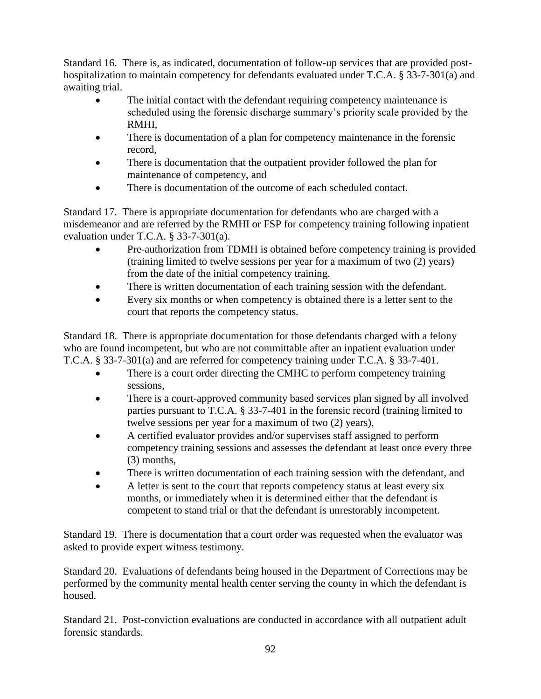Standard 16. There is, as indicated, documentation of follow-up services that are provided posthospitalization to maintain competency for defendants evaluated under T.C.A. § 33-7-301(a) and awaiting trial.

- The initial contact with the defendant requiring competency maintenance is scheduled using the forensic discharge summary's priority scale provided by the RMHI,
- There is documentation of a plan for competency maintenance in the forensic record,
- There is documentation that the outpatient provider followed the plan for maintenance of competency, and
- There is documentation of the outcome of each scheduled contact.

Standard 17. There is appropriate documentation for defendants who are charged with a misdemeanor and are referred by the RMHI or FSP for competency training following inpatient evaluation under T.C.A. § 33-7-301(a).

- Pre-authorization from TDMH is obtained before competency training is provided (training limited to twelve sessions per year for a maximum of two (2) years) from the date of the initial competency training.
- There is written documentation of each training session with the defendant.
- Every six months or when competency is obtained there is a letter sent to the court that reports the competency status.

Standard 18. There is appropriate documentation for those defendants charged with a felony who are found incompetent, but who are not committable after an inpatient evaluation under T.C.A. § 33-7-301(a) and are referred for competency training under T.C.A. § 33-7-401.

- There is a court order directing the CMHC to perform competency training sessions,
- There is a court-approved community based services plan signed by all involved parties pursuant to T.C.A. § 33-7-401 in the forensic record (training limited to twelve sessions per year for a maximum of two (2) years),
- A certified evaluator provides and/or supervises staff assigned to perform competency training sessions and assesses the defendant at least once every three (3) months,
- There is written documentation of each training session with the defendant, and
- A letter is sent to the court that reports competency status at least every six months, or immediately when it is determined either that the defendant is competent to stand trial or that the defendant is unrestorably incompetent.

Standard 19. There is documentation that a court order was requested when the evaluator was asked to provide expert witness testimony.

Standard 20. Evaluations of defendants being housed in the Department of Corrections may be performed by the community mental health center serving the county in which the defendant is housed.

Standard 21. Post-conviction evaluations are conducted in accordance with all outpatient adult forensic standards.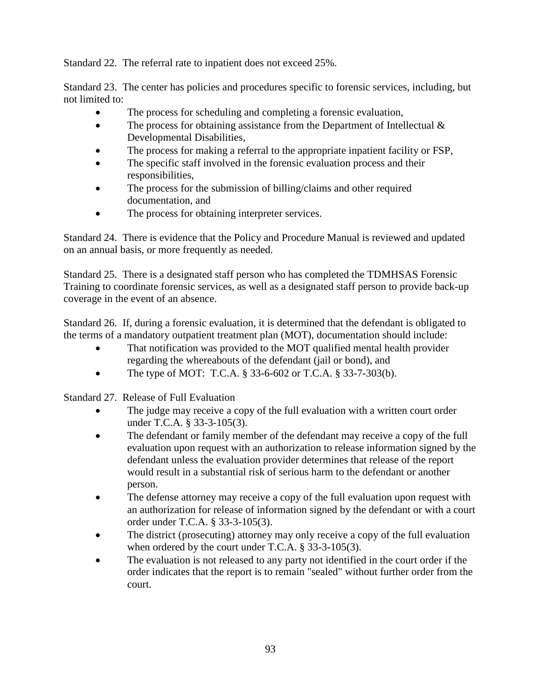Standard 22. The referral rate to inpatient does not exceed 25%.

Standard 23. The center has policies and procedures specific to forensic services, including, but not limited to:

- The process for scheduling and completing a forensic evaluation,
- The process for obtaining assistance from the Department of Intellectual  $\&$ Developmental Disabilities,
- The process for making a referral to the appropriate inpatient facility or FSP,
- The specific staff involved in the forensic evaluation process and their responsibilities,
- The process for the submission of billing/claims and other required documentation, and
- The process for obtaining interpreter services.

Standard 24. There is evidence that the Policy and Procedure Manual is reviewed and updated on an annual basis, or more frequently as needed.

Standard 25. There is a designated staff person who has completed the TDMHSAS Forensic Training to coordinate forensic services, as well as a designated staff person to provide back-up coverage in the event of an absence.

Standard 26. If, during a forensic evaluation, it is determined that the defendant is obligated to the terms of a mandatory outpatient treatment plan (MOT), documentation should include:

- That notification was provided to the MOT qualified mental health provider regarding the whereabouts of the defendant (jail or bond), and
- The type of MOT: T.C.A.  $\S 33-6-602$  or T.C.A.  $\S 33-7-303(b)$ .

Standard 27. Release of Full Evaluation

- The judge may receive a copy of the full evaluation with a written court order under T.C.A. § 33-3-105(3).
- The defendant or family member of the defendant may receive a copy of the full evaluation upon request with an authorization to release information signed by the defendant unless the evaluation provider determines that release of the report would result in a substantial risk of serious harm to the defendant or another person.
- The defense attorney may receive a copy of the full evaluation upon request with an authorization for release of information signed by the defendant or with a court order under T.C.A. § 33-3-105(3).
- The district (prosecuting) attorney may only receive a copy of the full evaluation when ordered by the court under T.C.A. § 33-3-105(3).
- The evaluation is not released to any party not identified in the court order if the order indicates that the report is to remain "sealed" without further order from the court.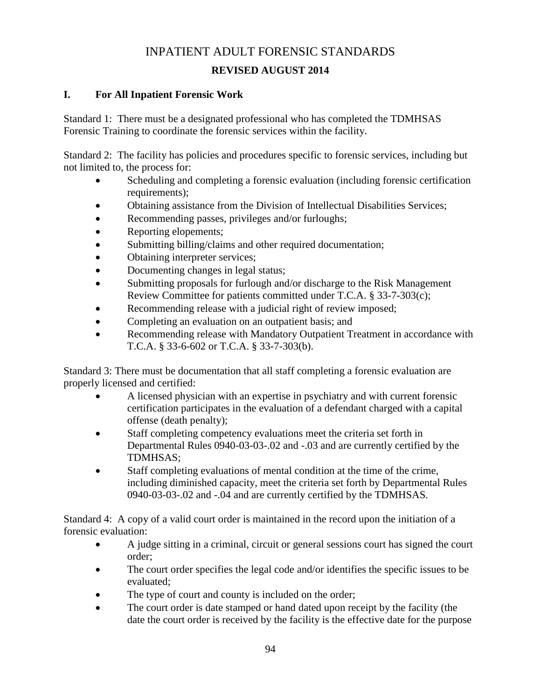# INPATIENT ADULT FORENSIC STANDARDS

# **REVISED AUGUST 2014**

# **I. For All Inpatient Forensic Work**

Standard 1: There must be a designated professional who has completed the TDMHSAS Forensic Training to coordinate the forensic services within the facility.

Standard 2: The facility has policies and procedures specific to forensic services, including but not limited to, the process for:

- Scheduling and completing a forensic evaluation (including forensic certification requirements);
- Obtaining assistance from the Division of Intellectual Disabilities Services;
- Recommending passes, privileges and/or furloughs;
- Reporting elopements;
- Submitting billing/claims and other required documentation;
- Obtaining interpreter services;
- Documenting changes in legal status;
- Submitting proposals for furlough and/or discharge to the Risk Management Review Committee for patients committed under T.C.A. § 33-7-303(c);
- Recommending release with a judicial right of review imposed;
- Completing an evaluation on an outpatient basis; and
- Recommending release with Mandatory Outpatient Treatment in accordance with T.C.A. § 33-6-602 or T.C.A. § 33-7-303(b).

Standard 3: There must be documentation that all staff completing a forensic evaluation are properly licensed and certified:

- A licensed physician with an expertise in psychiatry and with current forensic certification participates in the evaluation of a defendant charged with a capital offense (death penalty);
- Staff completing competency evaluations meet the criteria set forth in Departmental Rules 0940-03-03-.02 and -.03 and are currently certified by the TDMHSAS;
- Staff completing evaluations of mental condition at the time of the crime, including diminished capacity, meet the criteria set forth by Departmental Rules 0940-03-03-.02 and -.04 and are currently certified by the TDMHSAS.

Standard 4: A copy of a valid court order is maintained in the record upon the initiation of a forensic evaluation:

- A judge sitting in a criminal, circuit or general sessions court has signed the court order;
- The court order specifies the legal code and/or identifies the specific issues to be evaluated;
- The type of court and county is included on the order;
- The court order is date stamped or hand dated upon receipt by the facility (the date the court order is received by the facility is the effective date for the purpose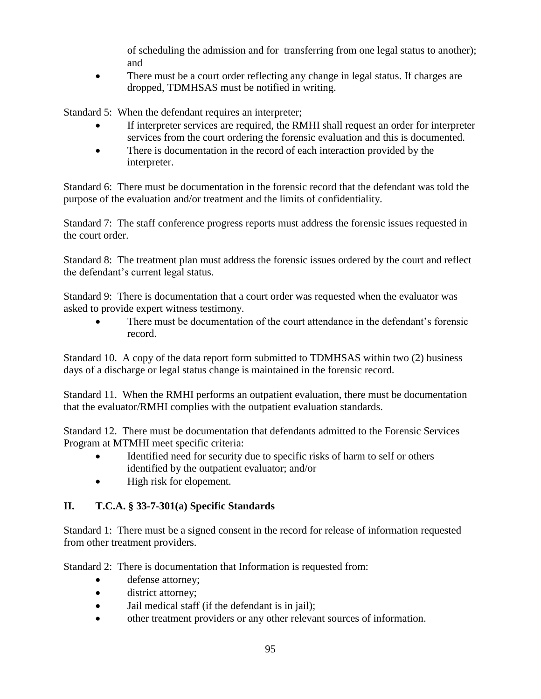of scheduling the admission and for transferring from one legal status to another); and

 There must be a court order reflecting any change in legal status. If charges are dropped, TDMHSAS must be notified in writing.

Standard 5: When the defendant requires an interpreter;

- If interpreter services are required, the RMHI shall request an order for interpreter services from the court ordering the forensic evaluation and this is documented.
- There is documentation in the record of each interaction provided by the interpreter.

Standard 6: There must be documentation in the forensic record that the defendant was told the purpose of the evaluation and/or treatment and the limits of confidentiality.

Standard 7: The staff conference progress reports must address the forensic issues requested in the court order.

Standard 8: The treatment plan must address the forensic issues ordered by the court and reflect the defendant's current legal status.

Standard 9: There is documentation that a court order was requested when the evaluator was asked to provide expert witness testimony.

 There must be documentation of the court attendance in the defendant's forensic record.

Standard 10. A copy of the data report form submitted to TDMHSAS within two (2) business days of a discharge or legal status change is maintained in the forensic record.

Standard 11. When the RMHI performs an outpatient evaluation, there must be documentation that the evaluator/RMHI complies with the outpatient evaluation standards.

Standard 12. There must be documentation that defendants admitted to the Forensic Services Program at MTMHI meet specific criteria:

- Identified need for security due to specific risks of harm to self or others identified by the outpatient evaluator; and/or
- High risk for elopement.

# **II. T.C.A. § 33-7-301(a) Specific Standards**

Standard 1: There must be a signed consent in the record for release of information requested from other treatment providers.

Standard 2: There is documentation that Information is requested from:

- defense attorney;
- district attorney;
- Jail medical staff (if the defendant is in jail);
- other treatment providers or any other relevant sources of information.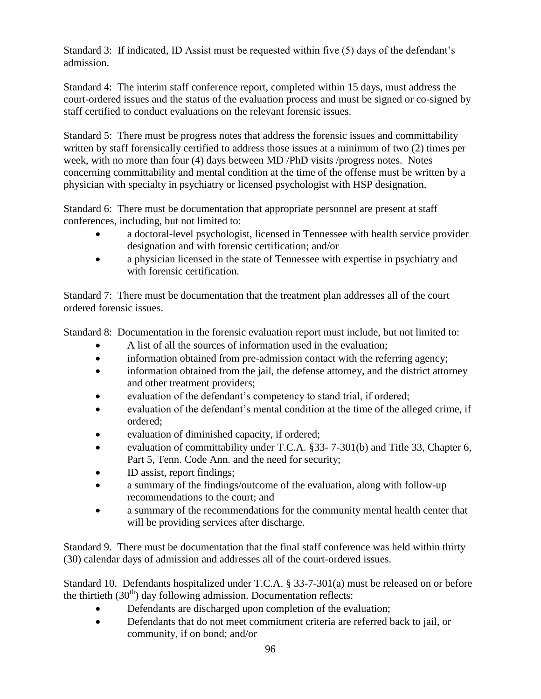Standard 3: If indicated, ID Assist must be requested within five (5) days of the defendant's admission.

Standard 4: The interim staff conference report, completed within 15 days, must address the court-ordered issues and the status of the evaluation process and must be signed or co-signed by staff certified to conduct evaluations on the relevant forensic issues.

Standard 5: There must be progress notes that address the forensic issues and committability written by staff forensically certified to address those issues at a minimum of two (2) times per week, with no more than four (4) days between MD /PhD visits /progress notes. Notes concerning committability and mental condition at the time of the offense must be written by a physician with specialty in psychiatry or licensed psychologist with HSP designation.

Standard 6: There must be documentation that appropriate personnel are present at staff conferences, including, but not limited to:

- a doctoral-level psychologist, licensed in Tennessee with health service provider designation and with forensic certification; and/or
- a physician licensed in the state of Tennessee with expertise in psychiatry and with forensic certification.

Standard 7: There must be documentation that the treatment plan addresses all of the court ordered forensic issues.

Standard 8: Documentation in the forensic evaluation report must include, but not limited to:

- A list of all the sources of information used in the evaluation;
- information obtained from pre-admission contact with the referring agency;
- information obtained from the jail, the defense attorney, and the district attorney and other treatment providers;
- evaluation of the defendant's competency to stand trial, if ordered;
- evaluation of the defendant's mental condition at the time of the alleged crime, if ordered;
- evaluation of diminished capacity, if ordered;
- evaluation of committability under T.C.A. §33- 7-301(b) and Title 33, Chapter 6, Part 5, Tenn. Code Ann. and the need for security;
- ID assist, report findings;
- a summary of the findings/outcome of the evaluation, along with follow-up recommendations to the court; and
- a summary of the recommendations for the community mental health center that will be providing services after discharge.

Standard 9. There must be documentation that the final staff conference was held within thirty (30) calendar days of admission and addresses all of the court-ordered issues.

Standard 10. Defendants hospitalized under T.C.A. § 33-7-301(a) must be released on or before the thirtieth  $(30<sup>th</sup>)$  day following admission. Documentation reflects:

- Defendants are discharged upon completion of the evaluation;
- Defendants that do not meet commitment criteria are referred back to jail, or community, if on bond; and/or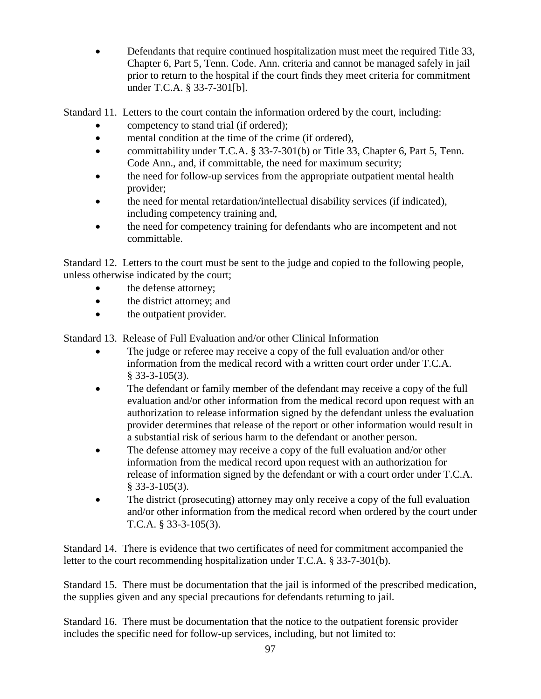Defendants that require continued hospitalization must meet the required Title 33, Chapter 6, Part 5, Tenn. Code. Ann. criteria and cannot be managed safely in jail prior to return to the hospital if the court finds they meet criteria for commitment under T.C.A. § 33-7-301[b].

Standard 11. Letters to the court contain the information ordered by the court, including:

- competency to stand trial (if ordered);
- mental condition at the time of the crime (if ordered),
- committability under T.C.A. § 33-7-301(b) or Title 33, Chapter 6, Part 5, Tenn. Code Ann., and, if committable, the need for maximum security;
- the need for follow-up services from the appropriate outpatient mental health provider;
- the need for mental retardation/intellectual disability services (if indicated), including competency training and,
- the need for competency training for defendants who are incompetent and not committable.

Standard 12. Letters to the court must be sent to the judge and copied to the following people, unless otherwise indicated by the court;

- the defense attorney;
- the district attorney; and
- the outpatient provider.

Standard 13. Release of Full Evaluation and/or other Clinical Information

- The judge or referee may receive a copy of the full evaluation and/or other information from the medical record with a written court order under T.C.A.  $§$  33-3-105(3).
- The defendant or family member of the defendant may receive a copy of the full evaluation and/or other information from the medical record upon request with an authorization to release information signed by the defendant unless the evaluation provider determines that release of the report or other information would result in a substantial risk of serious harm to the defendant or another person.
- The defense attorney may receive a copy of the full evaluation and/or other information from the medical record upon request with an authorization for release of information signed by the defendant or with a court order under T.C.A. § 33-3-105(3).
- The district (prosecuting) attorney may only receive a copy of the full evaluation and/or other information from the medical record when ordered by the court under T.C.A. § 33-3-105(3).

Standard 14. There is evidence that two certificates of need for commitment accompanied the letter to the court recommending hospitalization under T.C.A. § 33-7-301(b).

Standard 15. There must be documentation that the jail is informed of the prescribed medication, the supplies given and any special precautions for defendants returning to jail.

Standard 16. There must be documentation that the notice to the outpatient forensic provider includes the specific need for follow-up services, including, but not limited to: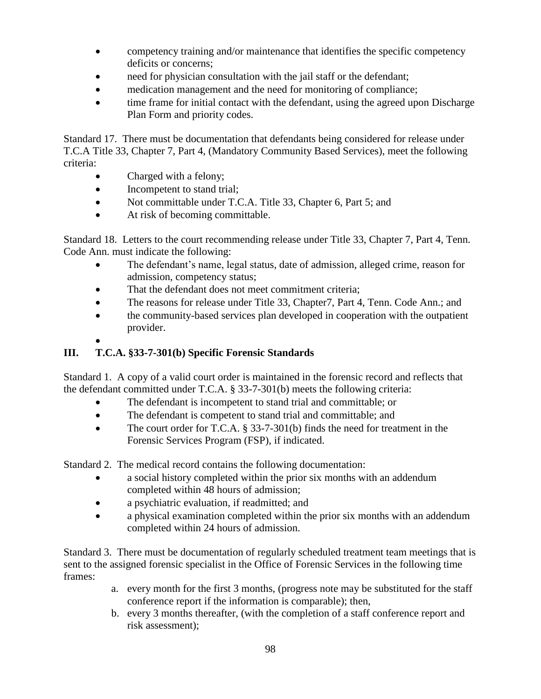- competency training and/or maintenance that identifies the specific competency deficits or concerns;
- need for physician consultation with the jail staff or the defendant;
- medication management and the need for monitoring of compliance;
- time frame for initial contact with the defendant, using the agreed upon Discharge Plan Form and priority codes.

Standard 17. There must be documentation that defendants being considered for release under T.C.A Title 33, Chapter 7, Part 4, (Mandatory Community Based Services), meet the following criteria:

- Charged with a felony;
- Incompetent to stand trial;
- Not committable under T.C.A. Title 33, Chapter 6, Part 5; and
- At risk of becoming committable.

Standard 18. Letters to the court recommending release under Title 33, Chapter 7, Part 4, Tenn. Code Ann. must indicate the following:

- The defendant's name, legal status, date of admission, alleged crime, reason for admission, competency status;
- That the defendant does not meet commitment criteria;
- The reasons for release under Title 33, Chapter 7, Part 4, Tenn. Code Ann.; and
- the community-based services plan developed in cooperation with the outpatient provider.
- $\bullet$

# **III. T.C.A. §33-7-301(b) Specific Forensic Standards**

Standard 1. A copy of a valid court order is maintained in the forensic record and reflects that the defendant committed under T.C.A. § 33-7-301(b) meets the following criteria:

- The defendant is incompetent to stand trial and committable; or
- The defendant is competent to stand trial and committable; and
- The court order for T.C.A. § 33-7-301(b) finds the need for treatment in the Forensic Services Program (FSP), if indicated.

Standard 2. The medical record contains the following documentation:

- a social history completed within the prior six months with an addendum completed within 48 hours of admission;
- a psychiatric evaluation, if readmitted; and
- a physical examination completed within the prior six months with an addendum completed within 24 hours of admission.

Standard 3. There must be documentation of regularly scheduled treatment team meetings that is sent to the assigned forensic specialist in the Office of Forensic Services in the following time frames:

- a. every month for the first 3 months, (progress note may be substituted for the staff conference report if the information is comparable); then,
- b. every 3 months thereafter, (with the completion of a staff conference report and risk assessment);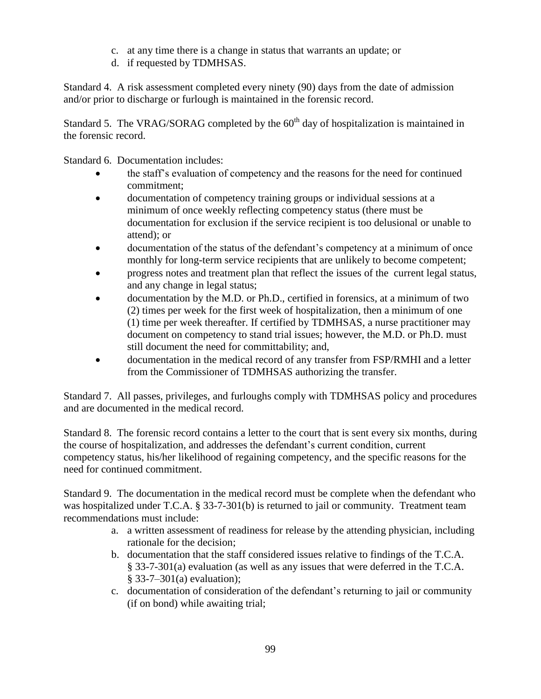- c. at any time there is a change in status that warrants an update; or
- d. if requested by TDMHSAS.

Standard 4. A risk assessment completed every ninety (90) days from the date of admission and/or prior to discharge or furlough is maintained in the forensic record.

Standard 5. The VRAG/SORAG completed by the  $60<sup>th</sup>$  day of hospitalization is maintained in the forensic record.

Standard 6. Documentation includes:

- the staff's evaluation of competency and the reasons for the need for continued commitment;
- documentation of competency training groups or individual sessions at a minimum of once weekly reflecting competency status (there must be documentation for exclusion if the service recipient is too delusional or unable to attend); or
- documentation of the status of the defendant's competency at a minimum of once monthly for long-term service recipients that are unlikely to become competent;
- progress notes and treatment plan that reflect the issues of the current legal status, and any change in legal status;
- documentation by the M.D. or Ph.D., certified in forensics, at a minimum of two (2) times per week for the first week of hospitalization, then a minimum of one (1) time per week thereafter. If certified by TDMHSAS, a nurse practitioner may document on competency to stand trial issues; however, the M.D. or Ph.D. must still document the need for committability; and,
- documentation in the medical record of any transfer from FSP/RMHI and a letter from the Commissioner of TDMHSAS authorizing the transfer.

Standard 7. All passes, privileges, and furloughs comply with TDMHSAS policy and procedures and are documented in the medical record.

Standard 8. The forensic record contains a letter to the court that is sent every six months, during the course of hospitalization, and addresses the defendant's current condition, current competency status, his/her likelihood of regaining competency, and the specific reasons for the need for continued commitment.

Standard 9. The documentation in the medical record must be complete when the defendant who was hospitalized under T.C.A. § 33-7-301(b) is returned to jail or community. Treatment team recommendations must include:

- a. a written assessment of readiness for release by the attending physician, including rationale for the decision;
- b. documentation that the staff considered issues relative to findings of the T.C.A. § 33-7-301(a) evaluation (as well as any issues that were deferred in the T.C.A. § 33-7–301(a) evaluation);
- c. documentation of consideration of the defendant's returning to jail or community (if on bond) while awaiting trial;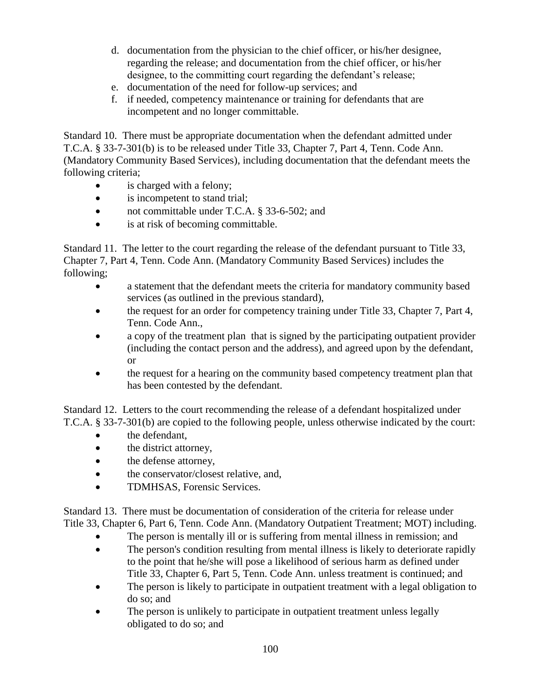- d. documentation from the physician to the chief officer, or his/her designee, regarding the release; and documentation from the chief officer, or his/her designee, to the committing court regarding the defendant's release;
- e. documentation of the need for follow-up services; and
- f. if needed, competency maintenance or training for defendants that are incompetent and no longer committable.

Standard 10. There must be appropriate documentation when the defendant admitted under T.C.A. § 33-7-301(b) is to be released under Title 33, Chapter 7, Part 4, Tenn. Code Ann. (Mandatory Community Based Services), including documentation that the defendant meets the following criteria;

- is charged with a felony;
- is incompetent to stand trial;
- not committable under T.C.A. § 33-6-502; and
- is at risk of becoming committable.

Standard 11. The letter to the court regarding the release of the defendant pursuant to Title 33, Chapter 7, Part 4, Tenn. Code Ann. (Mandatory Community Based Services) includes the following;

- a statement that the defendant meets the criteria for mandatory community based services (as outlined in the previous standard),
- the request for an order for competency training under Title 33, Chapter 7, Part 4, Tenn. Code Ann.,
- a copy of the treatment plan that is signed by the participating outpatient provider (including the contact person and the address), and agreed upon by the defendant, or
- the request for a hearing on the community based competency treatment plan that has been contested by the defendant.

Standard 12. Letters to the court recommending the release of a defendant hospitalized under T.C.A. § 33-7-301(b) are copied to the following people, unless otherwise indicated by the court:

- the defendant,
- the district attorney,
- the defense attorney,
- the conservator/closest relative, and,
- TDMHSAS, Forensic Services.

Standard 13. There must be documentation of consideration of the criteria for release under Title 33, Chapter 6, Part 6, Tenn. Code Ann. (Mandatory Outpatient Treatment; MOT) including.

- The person is mentally ill or is suffering from mental illness in remission; and
- The person's condition resulting from mental illness is likely to deteriorate rapidly to the point that he/she will pose a likelihood of serious harm as defined under Title 33, Chapter 6, Part 5, Tenn. Code Ann. unless treatment is continued; and
- The person is likely to participate in outpatient treatment with a legal obligation to do so; and
- The person is unlikely to participate in outpatient treatment unless legally obligated to do so; and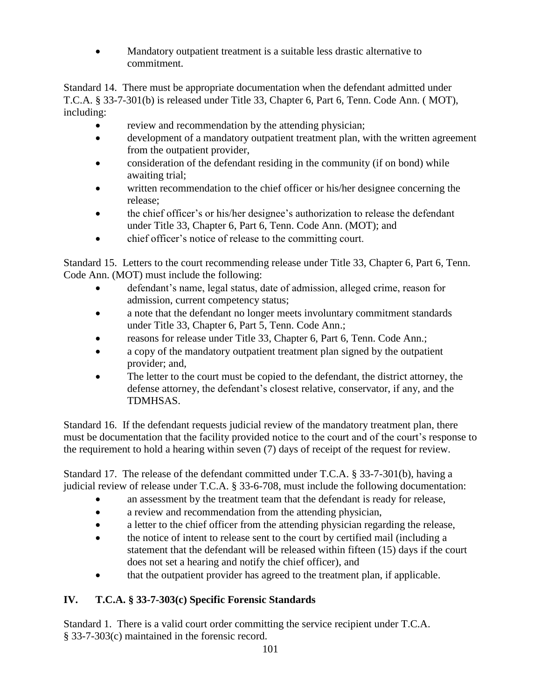Mandatory outpatient treatment is a suitable less drastic alternative to commitment.

Standard 14. There must be appropriate documentation when the defendant admitted under T.C.A. § 33-7-301(b) is released under Title 33, Chapter 6, Part 6, Tenn. Code Ann. ( MOT), including:

- review and recommendation by the attending physician;
- development of a mandatory outpatient treatment plan, with the written agreement from the outpatient provider,
- consideration of the defendant residing in the community (if on bond) while awaiting trial;
- written recommendation to the chief officer or his/her designee concerning the release;
- the chief officer's or his/her designee's authorization to release the defendant under Title 33, Chapter 6, Part 6, Tenn. Code Ann. (MOT); and
- chief officer's notice of release to the committing court.

Standard 15. Letters to the court recommending release under Title 33, Chapter 6, Part 6, Tenn. Code Ann. (MOT) must include the following:

- defendant's name, legal status, date of admission, alleged crime, reason for admission, current competency status;
- a note that the defendant no longer meets involuntary commitment standards under Title 33, Chapter 6, Part 5, Tenn. Code Ann.;
- reasons for release under Title 33, Chapter 6, Part 6, Tenn. Code Ann.;
- a copy of the mandatory outpatient treatment plan signed by the outpatient provider; and,
- The letter to the court must be copied to the defendant, the district attorney, the defense attorney, the defendant's closest relative, conservator, if any, and the TDMHSAS.

Standard 16. If the defendant requests judicial review of the mandatory treatment plan, there must be documentation that the facility provided notice to the court and of the court's response to the requirement to hold a hearing within seven (7) days of receipt of the request for review.

Standard 17. The release of the defendant committed under T.C.A. § 33-7-301(b), having a judicial review of release under T.C.A. § 33-6-708, must include the following documentation:

- an assessment by the treatment team that the defendant is ready for release,
- a review and recommendation from the attending physician,
- a letter to the chief officer from the attending physician regarding the release,
- the notice of intent to release sent to the court by certified mail (including a statement that the defendant will be released within fifteen (15) days if the court does not set a hearing and notify the chief officer), and
- that the outpatient provider has agreed to the treatment plan, if applicable.

# **IV. T.C.A. § 33-7-303(c) Specific Forensic Standards**

Standard 1. There is a valid court order committing the service recipient under T.C.A. § 33-7-303(c) maintained in the forensic record.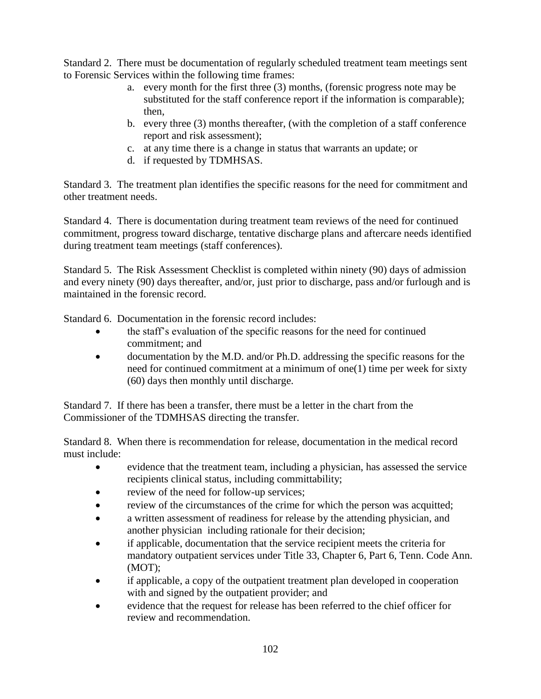Standard 2. There must be documentation of regularly scheduled treatment team meetings sent to Forensic Services within the following time frames:

- a. every month for the first three (3) months, (forensic progress note may be substituted for the staff conference report if the information is comparable); then,
- b. every three (3) months thereafter, (with the completion of a staff conference report and risk assessment);
- c. at any time there is a change in status that warrants an update; or
- d. if requested by TDMHSAS.

Standard 3. The treatment plan identifies the specific reasons for the need for commitment and other treatment needs.

Standard 4. There is documentation during treatment team reviews of the need for continued commitment, progress toward discharge, tentative discharge plans and aftercare needs identified during treatment team meetings (staff conferences).

Standard 5. The Risk Assessment Checklist is completed within ninety (90) days of admission and every ninety (90) days thereafter, and/or, just prior to discharge, pass and/or furlough and is maintained in the forensic record.

Standard 6. Documentation in the forensic record includes:

- the staff's evaluation of the specific reasons for the need for continued commitment; and
- documentation by the M.D. and/or Ph.D. addressing the specific reasons for the need for continued commitment at a minimum of one(1) time per week for sixty (60) days then monthly until discharge.

Standard 7. If there has been a transfer, there must be a letter in the chart from the Commissioner of the TDMHSAS directing the transfer.

Standard 8. When there is recommendation for release, documentation in the medical record must include:

- evidence that the treatment team, including a physician, has assessed the service recipients clinical status, including committability;
- review of the need for follow-up services;
- review of the circumstances of the crime for which the person was acquitted;
- a written assessment of readiness for release by the attending physician, and another physician including rationale for their decision;
- if applicable, documentation that the service recipient meets the criteria for mandatory outpatient services under Title 33, Chapter 6, Part 6, Tenn. Code Ann. (MOT);
- if applicable, a copy of the outpatient treatment plan developed in cooperation with and signed by the outpatient provider; and
- evidence that the request for release has been referred to the chief officer for review and recommendation.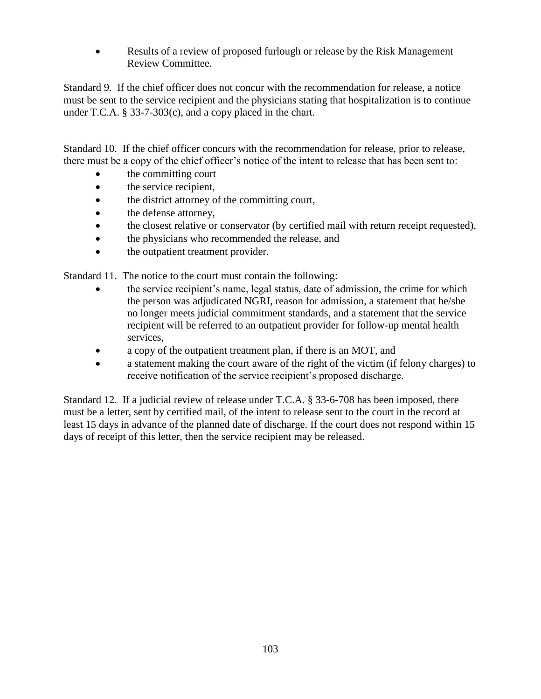Results of a review of proposed furlough or release by the Risk Management Review Committee.

Standard 9. If the chief officer does not concur with the recommendation for release, a notice must be sent to the service recipient and the physicians stating that hospitalization is to continue under T.C.A. § 33-7-303(c), and a copy placed in the chart.

Standard 10. If the chief officer concurs with the recommendation for release, prior to release, there must be a copy of the chief officer's notice of the intent to release that has been sent to:

- the committing court
- the service recipient,
- the district attorney of the committing court,
- the defense attorney,
- the closest relative or conservator (by certified mail with return receipt requested),
- the physicians who recommended the release, and
- the outpatient treatment provider.

Standard 11. The notice to the court must contain the following:

- the service recipient's name, legal status, date of admission, the crime for which the person was adjudicated NGRI, reason for admission, a statement that he/she no longer meets judicial commitment standards, and a statement that the service recipient will be referred to an outpatient provider for follow-up mental health services,
- a copy of the outpatient treatment plan, if there is an MOT, and
- a statement making the court aware of the right of the victim (if felony charges) to receive notification of the service recipient's proposed discharge.

Standard 12. If a judicial review of release under T.C.A. § 33-6-708 has been imposed, there must be a letter, sent by certified mail, of the intent to release sent to the court in the record at least 15 days in advance of the planned date of discharge. If the court does not respond within 15 days of receipt of this letter, then the service recipient may be released.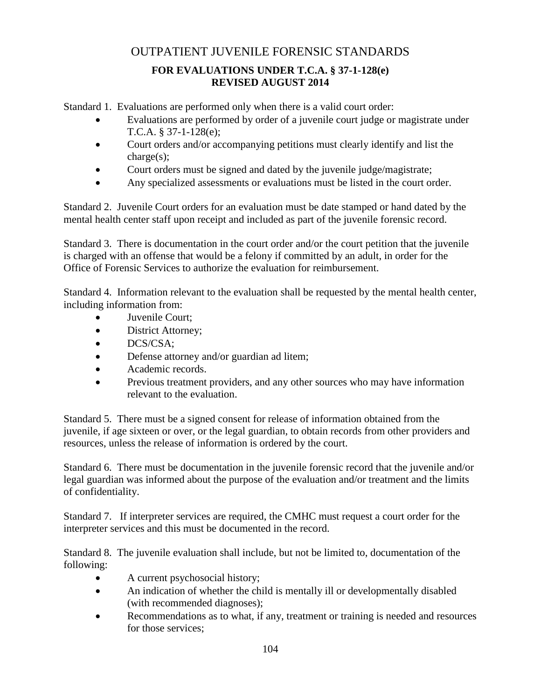# OUTPATIENT JUVENILE FORENSIC STANDARDS

# **FOR EVALUATIONS UNDER T.C.A. § 37-1-128(e) REVISED AUGUST 2014**

Standard 1. Evaluations are performed only when there is a valid court order:

- Evaluations are performed by order of a juvenile court judge or magistrate under T.C.A. § 37-1-128(e);
- Court orders and/or accompanying petitions must clearly identify and list the charge(s);
- Court orders must be signed and dated by the juvenile judge/magistrate;
- Any specialized assessments or evaluations must be listed in the court order.

Standard 2. Juvenile Court orders for an evaluation must be date stamped or hand dated by the mental health center staff upon receipt and included as part of the juvenile forensic record.

Standard 3. There is documentation in the court order and/or the court petition that the juvenile is charged with an offense that would be a felony if committed by an adult, in order for the Office of Forensic Services to authorize the evaluation for reimbursement.

Standard 4. Information relevant to the evaluation shall be requested by the mental health center, including information from:

- Juvenile Court;
- District Attorney;
- DCS/CSA;
- Defense attorney and/or guardian ad litem;
- Academic records.
- Previous treatment providers, and any other sources who may have information relevant to the evaluation.

Standard 5. There must be a signed consent for release of information obtained from the juvenile, if age sixteen or over, or the legal guardian, to obtain records from other providers and resources, unless the release of information is ordered by the court.

Standard 6. There must be documentation in the juvenile forensic record that the juvenile and/or legal guardian was informed about the purpose of the evaluation and/or treatment and the limits of confidentiality.

Standard 7. If interpreter services are required, the CMHC must request a court order for the interpreter services and this must be documented in the record.

Standard 8. The juvenile evaluation shall include, but not be limited to, documentation of the following:

- A current psychosocial history;
- An indication of whether the child is mentally ill or developmentally disabled (with recommended diagnoses);
- Recommendations as to what, if any, treatment or training is needed and resources for those services;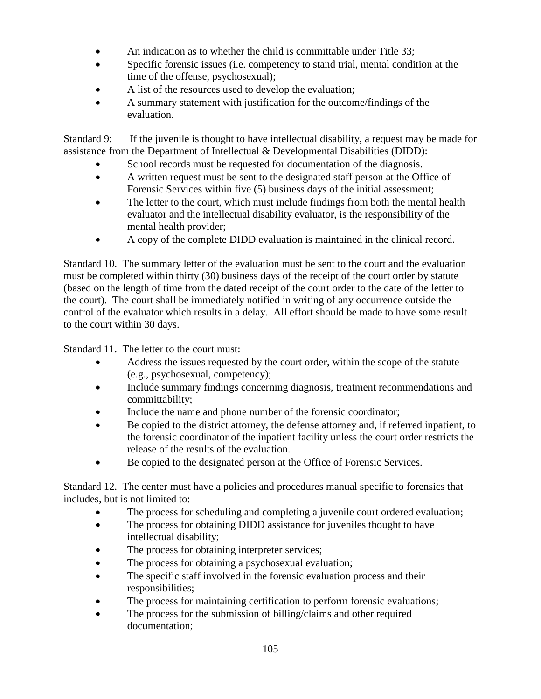- An indication as to whether the child is committable under Title 33;
- Specific forensic issues (i.e. competency to stand trial, mental condition at the time of the offense, psychosexual);
- A list of the resources used to develop the evaluation;
- A summary statement with justification for the outcome/findings of the evaluation.

Standard 9: If the juvenile is thought to have intellectual disability, a request may be made for assistance from the Department of Intellectual & Developmental Disabilities (DIDD):

- School records must be requested for documentation of the diagnosis.
- A written request must be sent to the designated staff person at the Office of Forensic Services within five (5) business days of the initial assessment;
- The letter to the court, which must include findings from both the mental health evaluator and the intellectual disability evaluator, is the responsibility of the mental health provider;
- A copy of the complete DIDD evaluation is maintained in the clinical record.

Standard 10. The summary letter of the evaluation must be sent to the court and the evaluation must be completed within thirty (30) business days of the receipt of the court order by statute (based on the length of time from the dated receipt of the court order to the date of the letter to the court). The court shall be immediately notified in writing of any occurrence outside the control of the evaluator which results in a delay. All effort should be made to have some result to the court within 30 days.

Standard 11. The letter to the court must:

- Address the issues requested by the court order, within the scope of the statute (e.g., psychosexual, competency);
- Include summary findings concerning diagnosis, treatment recommendations and committability;
- Include the name and phone number of the forensic coordinator;
- Be copied to the district attorney, the defense attorney and, if referred inpatient, to the forensic coordinator of the inpatient facility unless the court order restricts the release of the results of the evaluation.
- Be copied to the designated person at the Office of Forensic Services.

Standard 12. The center must have a policies and procedures manual specific to forensics that includes, but is not limited to:

- The process for scheduling and completing a juvenile court ordered evaluation;
- The process for obtaining DIDD assistance for juveniles thought to have intellectual disability;
- The process for obtaining interpreter services;
- The process for obtaining a psychosexual evaluation;
- The specific staff involved in the forensic evaluation process and their responsibilities;
- The process for maintaining certification to perform forensic evaluations;
- The process for the submission of billing/claims and other required documentation;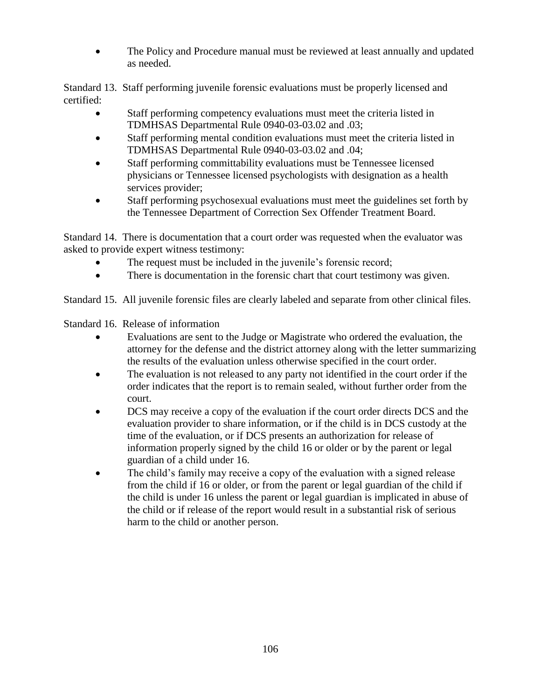The Policy and Procedure manual must be reviewed at least annually and updated as needed.

Standard 13. Staff performing juvenile forensic evaluations must be properly licensed and certified:

- Staff performing competency evaluations must meet the criteria listed in TDMHSAS Departmental Rule 0940-03-03.02 and .03;
- Staff performing mental condition evaluations must meet the criteria listed in TDMHSAS Departmental Rule 0940-03-03.02 and .04;
- Staff performing committability evaluations must be Tennessee licensed physicians or Tennessee licensed psychologists with designation as a health services provider;
- Staff performing psychosexual evaluations must meet the guidelines set forth by the Tennessee Department of Correction Sex Offender Treatment Board.

Standard 14. There is documentation that a court order was requested when the evaluator was asked to provide expert witness testimony:

- The request must be included in the juvenile's forensic record;
- There is documentation in the forensic chart that court testimony was given.

Standard 15. All juvenile forensic files are clearly labeled and separate from other clinical files.

Standard 16. Release of information

- Evaluations are sent to the Judge or Magistrate who ordered the evaluation, the attorney for the defense and the district attorney along with the letter summarizing the results of the evaluation unless otherwise specified in the court order.
- The evaluation is not released to any party not identified in the court order if the order indicates that the report is to remain sealed, without further order from the court.
- DCS may receive a copy of the evaluation if the court order directs DCS and the evaluation provider to share information, or if the child is in DCS custody at the time of the evaluation, or if DCS presents an authorization for release of information properly signed by the child 16 or older or by the parent or legal guardian of a child under 16.
- The child's family may receive a copy of the evaluation with a signed release from the child if 16 or older, or from the parent or legal guardian of the child if the child is under 16 unless the parent or legal guardian is implicated in abuse of the child or if release of the report would result in a substantial risk of serious harm to the child or another person.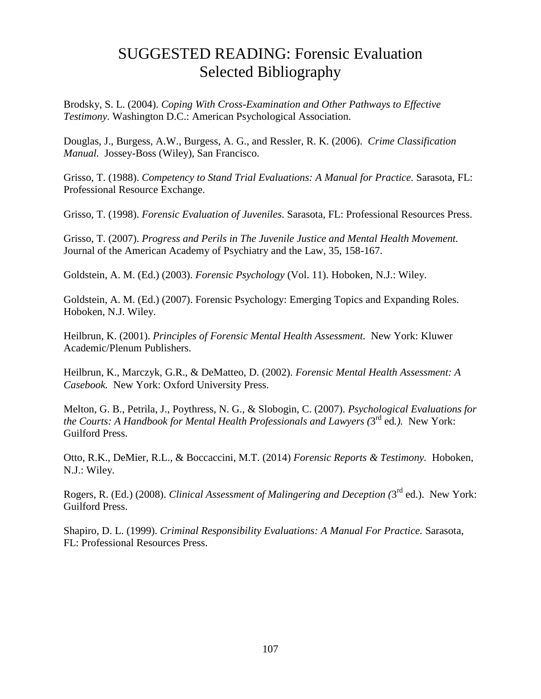## SUGGESTED READING: Forensic Evaluation Selected Bibliography

Brodsky, S. L. (2004). *Coping With Cross-Examination and Other Pathways to Effective Testimony.* Washington D.C.: American Psychological Association.

Douglas, J., Burgess, A.W., Burgess, A. G., and Ressler, R. K. (2006). *Crime Classification Manual.* Jossey-Boss (Wiley), San Francisco.

Grisso, T. (1988). *Competency to Stand Trial Evaluations: A Manual for Practice.* Sarasota, FL: Professional Resource Exchange.

Grisso, T. (1998). *Forensic Evaluation of Juveniles*. Sarasota, FL: Professional Resources Press.

Grisso, T. (2007). *Progress and Perils in The Juvenile Justice and Mental Health Movement.* Journal of the American Academy of Psychiatry and the Law, 35, 158-167.

Goldstein, A. M. (Ed.) (2003). *Forensic Psychology* (Vol. 11). Hoboken, N.J.: Wiley.

Goldstein, A. M. (Ed.) (2007). Forensic Psychology: Emerging Topics and Expanding Roles. Hoboken, N.J. Wiley.

Heilbrun, K. (2001). *Principles of Forensic Mental Health Assessment.* New York: Kluwer Academic/Plenum Publishers.

Heilbrun, K., Marczyk, G.R., & DeMatteo, D. (2002). *Forensic Mental Health Assessment: A Casebook.* New York: Oxford University Press.

Melton, G. B., Petrila, J., Poythress, N. G., & Slobogin, C. (2007). *Psychological Evaluations for*  the Courts: A Handbook for Mental Health Professionals and Lawyers (3<sup>rd</sup> ed.). New York: Guilford Press.

Otto, R.K., DeMier, R.L., & Boccaccini, M.T. (2014) *Forensic Reports & Testimony.* Hoboken, N.J.: Wiley.

Rogers, R. (Ed.) (2008). *Clinical Assessment of Malingering and Deception* (3<sup>rd</sup> ed.). New York: Guilford Press.

Shapiro, D. L. (1999). *Criminal Responsibility Evaluations: A Manual For Practice.* Sarasota, FL: Professional Resources Press.